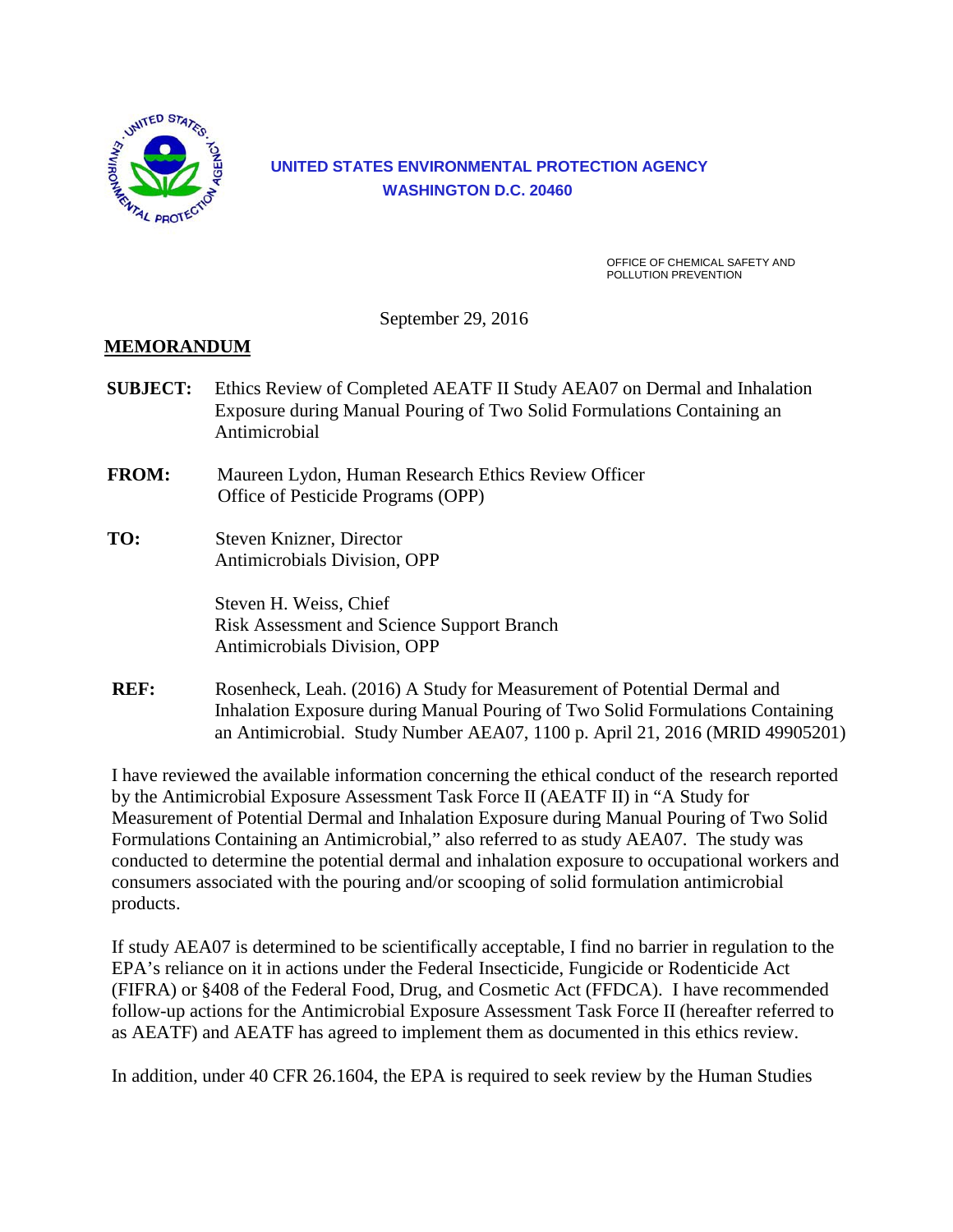

## **UNITED STATES ENVIRONMENTAL PROTECTION AGENCY WASHINGTON D.C. 20460**

OFFICE OF CHEMICAL SAFETY AND POLLUTION PREVENTION

September 29, 2016

### **MEMORANDUM**

- **SUBJECT:** Ethics Review of Completed AEATF II Study AEA07 on Dermal and Inhalation Exposure during Manual Pouring of Two Solid Formulations Containing an Antimicrobial
- **FROM:** Maureen Lydon, Human Research Ethics Review Officer Office of Pesticide Programs (OPP)
- **TO:** Steven Knizner, Director Antimicrobials Division, OPP

 Steven H. Weiss, Chief Risk Assessment and Science Support Branch Antimicrobials Division, OPP

REF: Rosenheck, Leah. (2016) A Study for Measurement of Potential Dermal and Inhalation Exposure during Manual Pouring of Two Solid Formulations Containing an Antimicrobial. Study Number AEA07, 1100 p. April 21, 2016 (MRID 49905201)

I have reviewed the available information concerning the ethical conduct of the research reported by the Antimicrobial Exposure Assessment Task Force II (AEATF II) in "A Study for Measurement of Potential Dermal and Inhalation Exposure during Manual Pouring of Two Solid Formulations Containing an Antimicrobial," also referred to as study AEA07. The study was conducted to determine the potential dermal and inhalation exposure to occupational workers and consumers associated with the pouring and/or scooping of solid formulation antimicrobial products.

If study AEA07 is determined to be scientifically acceptable, I find no barrier in regulation to the EPA's reliance on it in actions under the Federal Insecticide, Fungicide or Rodenticide Act (FIFRA) or §408 of the Federal Food, Drug, and Cosmetic Act (FFDCA). I have recommended follow-up actions for the Antimicrobial Exposure Assessment Task Force II (hereafter referred to as AEATF) and AEATF has agreed to implement them as documented in this ethics review.

In addition, under 40 CFR 26.1604, the EPA is required to seek review by the Human Studies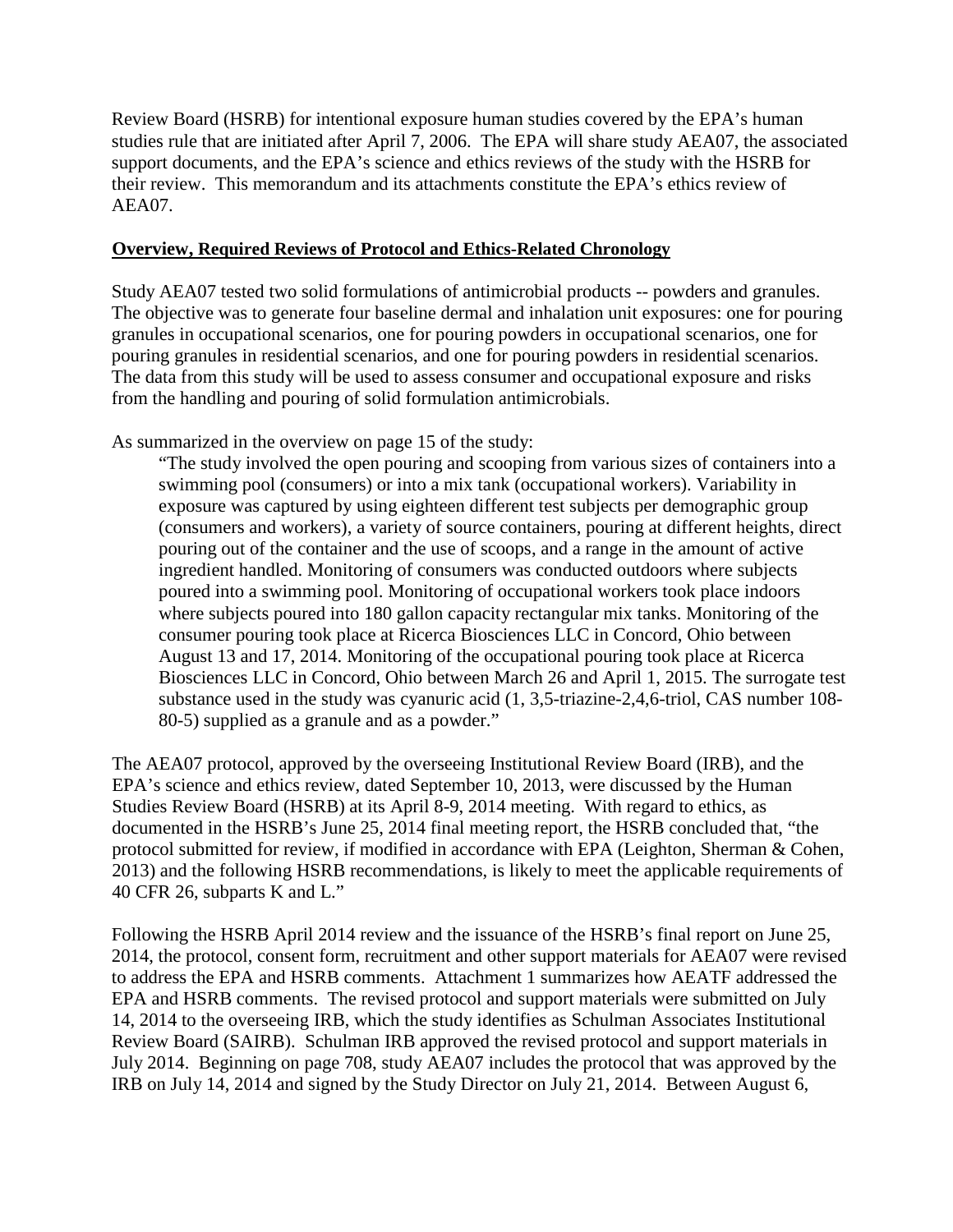Review Board (HSRB) for intentional exposure human studies covered by the EPA's human studies rule that are initiated after April 7, 2006. The EPA will share study AEA07, the associated support documents, and the EPA's science and ethics reviews of the study with the HSRB for their review. This memorandum and its attachments constitute the EPA's ethics review of AEA07.

#### **Overview, Required Reviews of Protocol and Ethics-Related Chronology**

Study AEA07 tested two solid formulations of antimicrobial products -- powders and granules. The objective was to generate four baseline dermal and inhalation unit exposures: one for pouring granules in occupational scenarios, one for pouring powders in occupational scenarios, one for pouring granules in residential scenarios, and one for pouring powders in residential scenarios. The data from this study will be used to assess consumer and occupational exposure and risks from the handling and pouring of solid formulation antimicrobials.

As summarized in the overview on page 15 of the study:

"The study involved the open pouring and scooping from various sizes of containers into a swimming pool (consumers) or into a mix tank (occupational workers). Variability in exposure was captured by using eighteen different test subjects per demographic group (consumers and workers), a variety of source containers, pouring at different heights, direct pouring out of the container and the use of scoops, and a range in the amount of active ingredient handled. Monitoring of consumers was conducted outdoors where subjects poured into a swimming pool. Monitoring of occupational workers took place indoors where subjects poured into 180 gallon capacity rectangular mix tanks. Monitoring of the consumer pouring took place at Ricerca Biosciences LLC in Concord, Ohio between August 13 and 17, 2014. Monitoring of the occupational pouring took place at Ricerca Biosciences LLC in Concord, Ohio between March 26 and April 1, 2015. The surrogate test substance used in the study was cyanuric acid (1, 3,5-triazine-2,4,6-triol, CAS number 108- 80-5) supplied as a granule and as a powder."

The AEA07 protocol, approved by the overseeing Institutional Review Board (IRB), and the EPA's science and ethics review, dated September 10, 2013, were discussed by the Human Studies Review Board (HSRB) at its April 8-9, 2014 meeting. With regard to ethics, as documented in the HSRB's June 25, 2014 final meeting report, the HSRB concluded that, "the protocol submitted for review, if modified in accordance with EPA (Leighton, Sherman & Cohen, 2013) and the following HSRB recommendations, is likely to meet the applicable requirements of 40 CFR 26, subparts K and L."

Following the HSRB April 2014 review and the issuance of the HSRB's final report on June 25, 2014, the protocol, consent form, recruitment and other support materials for AEA07 were revised to address the EPA and HSRB comments. Attachment 1 summarizes how AEATF addressed the EPA and HSRB comments. The revised protocol and support materials were submitted on July 14, 2014 to the overseeing IRB, which the study identifies as Schulman Associates Institutional Review Board (SAIRB). Schulman IRB approved the revised protocol and support materials in July 2014. Beginning on page 708, study AEA07 includes the protocol that was approved by the IRB on July 14, 2014 and signed by the Study Director on July 21, 2014. Between August 6,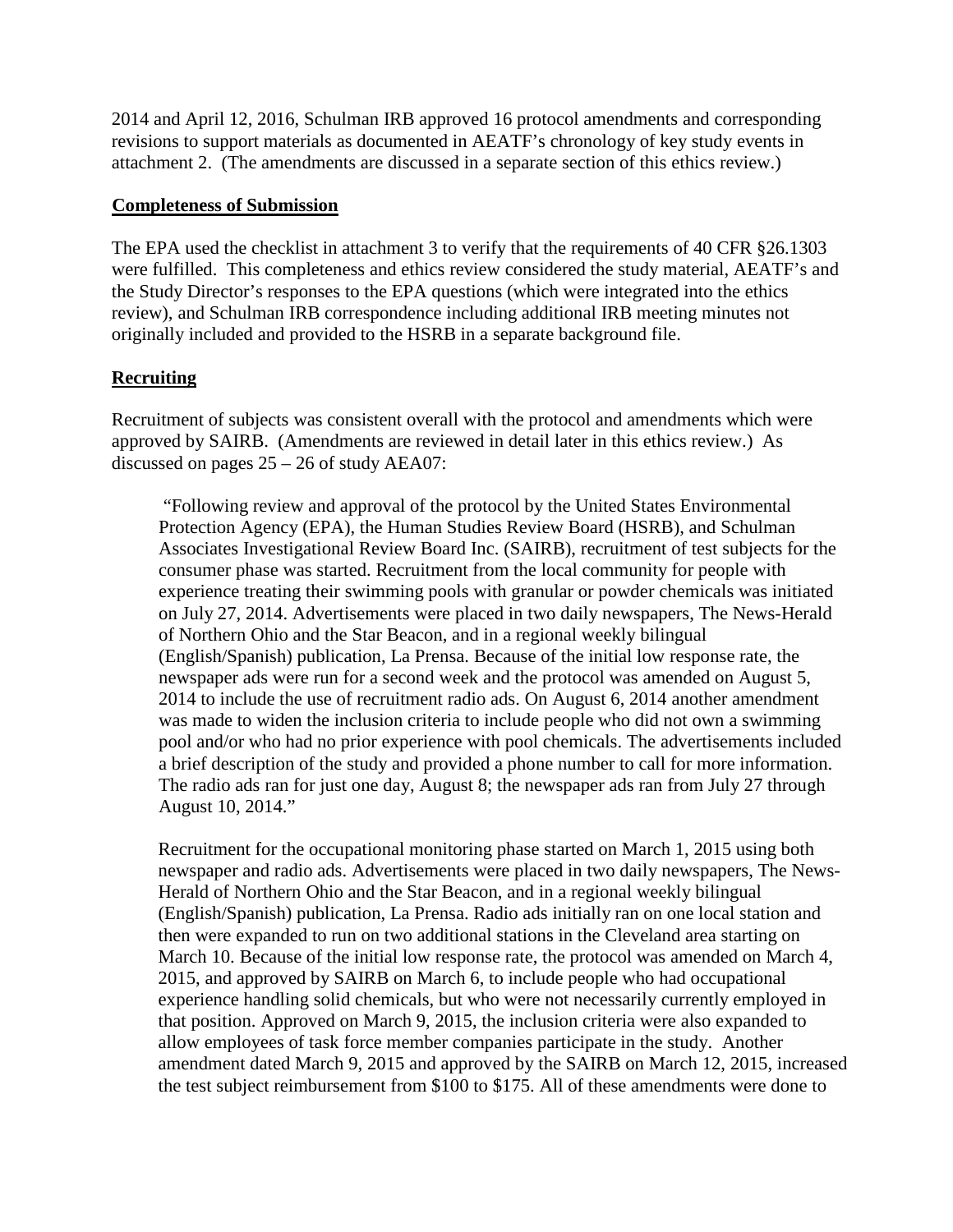2014 and April 12, 2016, Schulman IRB approved 16 protocol amendments and corresponding revisions to support materials as documented in AEATF's chronology of key study events in attachment 2. (The amendments are discussed in a separate section of this ethics review.)

#### **Completeness of Submission**

The EPA used the checklist in attachment 3 to verify that the requirements of 40 CFR §26.1303 were fulfilled. This completeness and ethics review considered the study material, AEATF's and the Study Director's responses to the EPA questions (which were integrated into the ethics review), and Schulman IRB correspondence including additional IRB meeting minutes not originally included and provided to the HSRB in a separate background file.

#### **Recruiting**

Recruitment of subjects was consistent overall with the protocol and amendments which were approved by SAIRB. (Amendments are reviewed in detail later in this ethics review.) As discussed on pages 25 – 26 of study AEA07:

"Following review and approval of the protocol by the United States Environmental Protection Agency (EPA), the Human Studies Review Board (HSRB), and Schulman Associates Investigational Review Board Inc. (SAIRB), recruitment of test subjects for the consumer phase was started. Recruitment from the local community for people with experience treating their swimming pools with granular or powder chemicals was initiated on July 27, 2014. Advertisements were placed in two daily newspapers, The News-Herald of Northern Ohio and the Star Beacon, and in a regional weekly bilingual (English/Spanish) publication, La Prensa. Because of the initial low response rate, the newspaper ads were run for a second week and the protocol was amended on August 5, 2014 to include the use of recruitment radio ads. On August 6, 2014 another amendment was made to widen the inclusion criteria to include people who did not own a swimming pool and/or who had no prior experience with pool chemicals. The advertisements included a brief description of the study and provided a phone number to call for more information. The radio ads ran for just one day, August 8; the newspaper ads ran from July 27 through August 10, 2014."

Recruitment for the occupational monitoring phase started on March 1, 2015 using both newspaper and radio ads. Advertisements were placed in two daily newspapers, The News-Herald of Northern Ohio and the Star Beacon, and in a regional weekly bilingual (English/Spanish) publication, La Prensa. Radio ads initially ran on one local station and then were expanded to run on two additional stations in the Cleveland area starting on March 10. Because of the initial low response rate, the protocol was amended on March 4, 2015, and approved by SAIRB on March 6, to include people who had occupational experience handling solid chemicals, but who were not necessarily currently employed in that position. Approved on March 9, 2015, the inclusion criteria were also expanded to allow employees of task force member companies participate in the study. Another amendment dated March 9, 2015 and approved by the SAIRB on March 12, 2015, increased the test subject reimbursement from \$100 to \$175. All of these amendments were done to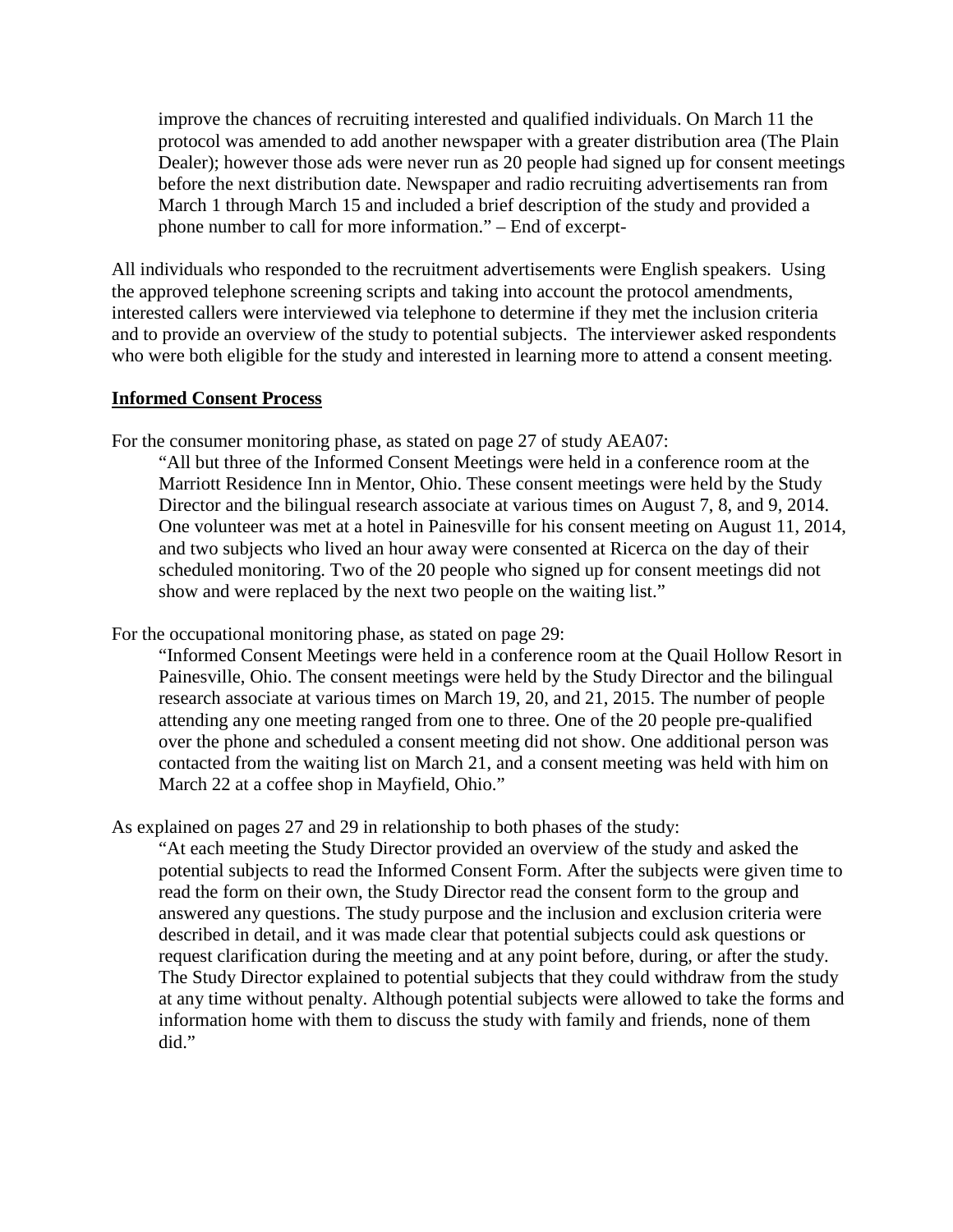improve the chances of recruiting interested and qualified individuals. On March 11 the protocol was amended to add another newspaper with a greater distribution area (The Plain Dealer); however those ads were never run as 20 people had signed up for consent meetings before the next distribution date. Newspaper and radio recruiting advertisements ran from March 1 through March 15 and included a brief description of the study and provided a phone number to call for more information." – End of excerpt-

All individuals who responded to the recruitment advertisements were English speakers. Using the approved telephone screening scripts and taking into account the protocol amendments, interested callers were interviewed via telephone to determine if they met the inclusion criteria and to provide an overview of the study to potential subjects. The interviewer asked respondents who were both eligible for the study and interested in learning more to attend a consent meeting.

#### **Informed Consent Process**

For the consumer monitoring phase, as stated on page 27 of study AEA07:

"All but three of the Informed Consent Meetings were held in a conference room at the Marriott Residence Inn in Mentor, Ohio. These consent meetings were held by the Study Director and the bilingual research associate at various times on August 7, 8, and 9, 2014. One volunteer was met at a hotel in Painesville for his consent meeting on August 11, 2014, and two subjects who lived an hour away were consented at Ricerca on the day of their scheduled monitoring. Two of the 20 people who signed up for consent meetings did not show and were replaced by the next two people on the waiting list."

For the occupational monitoring phase, as stated on page 29:

"Informed Consent Meetings were held in a conference room at the Quail Hollow Resort in Painesville, Ohio. The consent meetings were held by the Study Director and the bilingual research associate at various times on March 19, 20, and 21, 2015. The number of people attending any one meeting ranged from one to three. One of the 20 people pre-qualified over the phone and scheduled a consent meeting did not show. One additional person was contacted from the waiting list on March 21, and a consent meeting was held with him on March 22 at a coffee shop in Mayfield, Ohio."

As explained on pages 27 and 29 in relationship to both phases of the study:

"At each meeting the Study Director provided an overview of the study and asked the potential subjects to read the Informed Consent Form. After the subjects were given time to read the form on their own, the Study Director read the consent form to the group and answered any questions. The study purpose and the inclusion and exclusion criteria were described in detail, and it was made clear that potential subjects could ask questions or request clarification during the meeting and at any point before, during, or after the study. The Study Director explained to potential subjects that they could withdraw from the study at any time without penalty. Although potential subjects were allowed to take the forms and information home with them to discuss the study with family and friends, none of them did."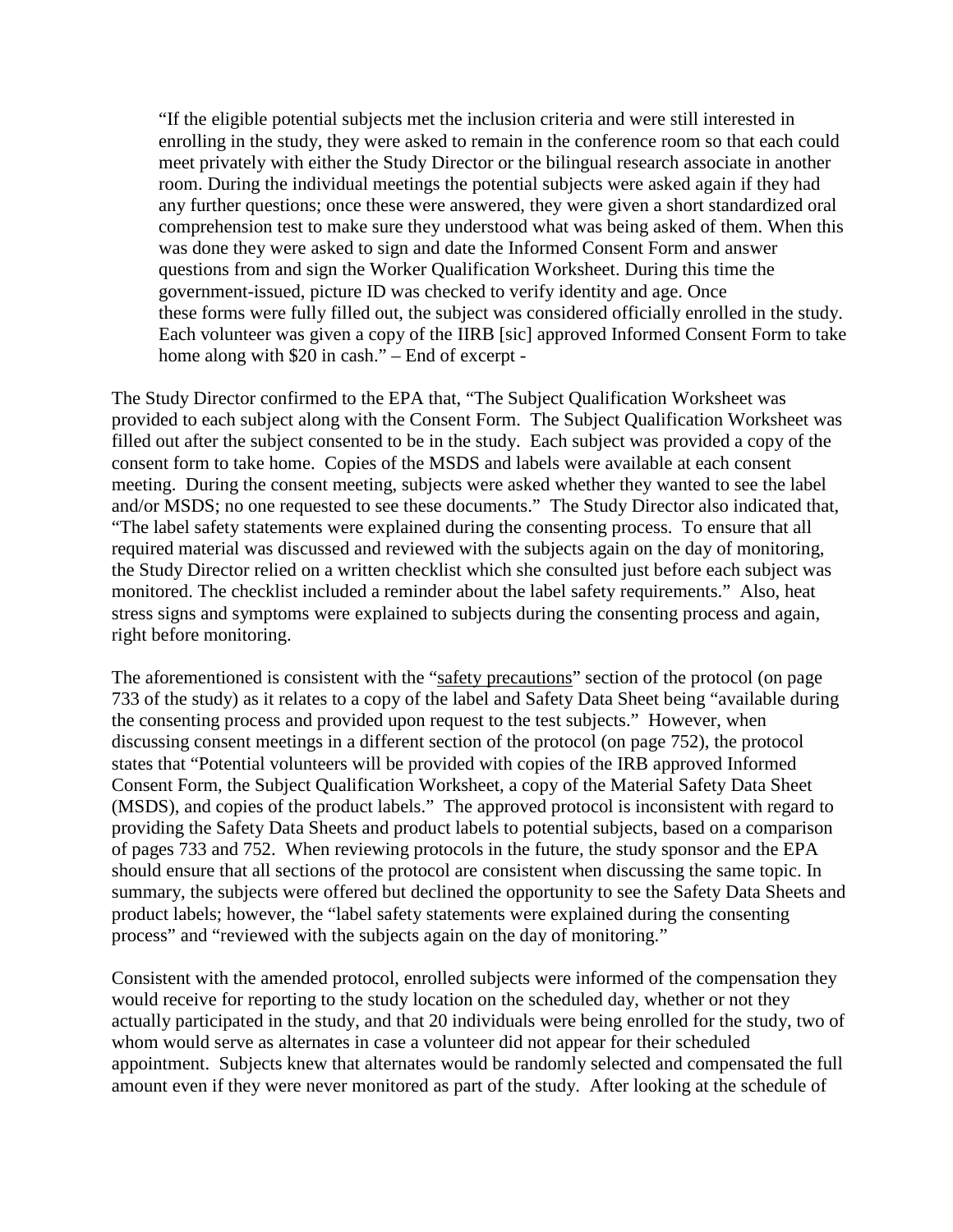"If the eligible potential subjects met the inclusion criteria and were still interested in enrolling in the study, they were asked to remain in the conference room so that each could meet privately with either the Study Director or the bilingual research associate in another room. During the individual meetings the potential subjects were asked again if they had any further questions; once these were answered, they were given a short standardized oral comprehension test to make sure they understood what was being asked of them. When this was done they were asked to sign and date the Informed Consent Form and answer questions from and sign the Worker Qualification Worksheet. During this time the government-issued, picture ID was checked to verify identity and age. Once these forms were fully filled out, the subject was considered officially enrolled in the study. Each volunteer was given a copy of the IIRB [sic] approved Informed Consent Form to take home along with \$20 in cash." – End of excerpt -

The Study Director confirmed to the EPA that, "The Subject Qualification Worksheet was provided to each subject along with the Consent Form. The Subject Qualification Worksheet was filled out after the subject consented to be in the study. Each subject was provided a copy of the consent form to take home. Copies of the MSDS and labels were available at each consent meeting. During the consent meeting, subjects were asked whether they wanted to see the label and/or MSDS; no one requested to see these documents." The Study Director also indicated that, "The label safety statements were explained during the consenting process. To ensure that all required material was discussed and reviewed with the subjects again on the day of monitoring, the Study Director relied on a written checklist which she consulted just before each subject was monitored. The checklist included a reminder about the label safety requirements." Also, heat stress signs and symptoms were explained to subjects during the consenting process and again, right before monitoring.

The aforementioned is consistent with the "safety precautions" section of the protocol (on page 733 of the study) as it relates to a copy of the label and Safety Data Sheet being "available during the consenting process and provided upon request to the test subjects." However, when discussing consent meetings in a different section of the protocol (on page 752), the protocol states that "Potential volunteers will be provided with copies of the IRB approved Informed Consent Form, the Subject Qualification Worksheet, a copy of the Material Safety Data Sheet (MSDS), and copies of the product labels." The approved protocol is inconsistent with regard to providing the Safety Data Sheets and product labels to potential subjects, based on a comparison of pages 733 and 752. When reviewing protocols in the future, the study sponsor and the EPA should ensure that all sections of the protocol are consistent when discussing the same topic. In summary, the subjects were offered but declined the opportunity to see the Safety Data Sheets and product labels; however, the "label safety statements were explained during the consenting process" and "reviewed with the subjects again on the day of monitoring."

Consistent with the amended protocol, enrolled subjects were informed of the compensation they would receive for reporting to the study location on the scheduled day, whether or not they actually participated in the study, and that 20 individuals were being enrolled for the study, two of whom would serve as alternates in case a volunteer did not appear for their scheduled appointment. Subjects knew that alternates would be randomly selected and compensated the full amount even if they were never monitored as part of the study. After looking at the schedule of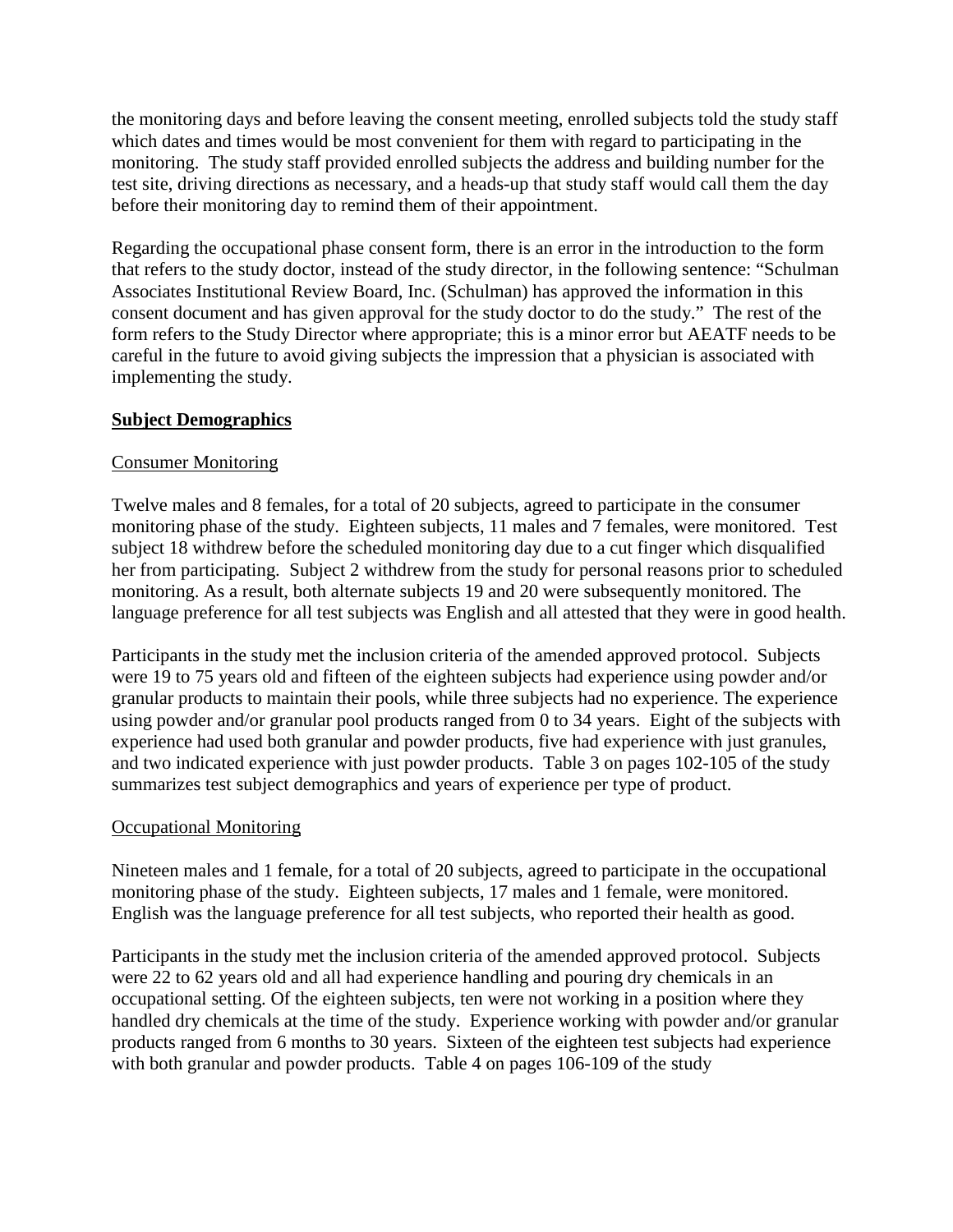the monitoring days and before leaving the consent meeting, enrolled subjects told the study staff which dates and times would be most convenient for them with regard to participating in the monitoring. The study staff provided enrolled subjects the address and building number for the test site, driving directions as necessary, and a heads-up that study staff would call them the day before their monitoring day to remind them of their appointment.

Regarding the occupational phase consent form, there is an error in the introduction to the form that refers to the study doctor, instead of the study director, in the following sentence: "Schulman Associates Institutional Review Board, Inc. (Schulman) has approved the information in this consent document and has given approval for the study doctor to do the study." The rest of the form refers to the Study Director where appropriate; this is a minor error but AEATF needs to be careful in the future to avoid giving subjects the impression that a physician is associated with implementing the study.

#### **Subject Demographics**

#### Consumer Monitoring

Twelve males and 8 females, for a total of 20 subjects, agreed to participate in the consumer monitoring phase of the study. Eighteen subjects, 11 males and 7 females, were monitored. Test subject 18 withdrew before the scheduled monitoring day due to a cut finger which disqualified her from participating. Subject 2 withdrew from the study for personal reasons prior to scheduled monitoring. As a result, both alternate subjects 19 and 20 were subsequently monitored. The language preference for all test subjects was English and all attested that they were in good health.

Participants in the study met the inclusion criteria of the amended approved protocol. Subjects were 19 to 75 years old and fifteen of the eighteen subjects had experience using powder and/or granular products to maintain their pools, while three subjects had no experience. The experience using powder and/or granular pool products ranged from 0 to 34 years. Eight of the subjects with experience had used both granular and powder products, five had experience with just granules, and two indicated experience with just powder products. Table 3 on pages 102-105 of the study summarizes test subject demographics and years of experience per type of product.

#### Occupational Monitoring

Nineteen males and 1 female, for a total of 20 subjects, agreed to participate in the occupational monitoring phase of the study. Eighteen subjects, 17 males and 1 female, were monitored. English was the language preference for all test subjects, who reported their health as good.

Participants in the study met the inclusion criteria of the amended approved protocol. Subjects were 22 to 62 years old and all had experience handling and pouring dry chemicals in an occupational setting. Of the eighteen subjects, ten were not working in a position where they handled dry chemicals at the time of the study. Experience working with powder and/or granular products ranged from 6 months to 30 years. Sixteen of the eighteen test subjects had experience with both granular and powder products. Table 4 on pages 106-109 of the study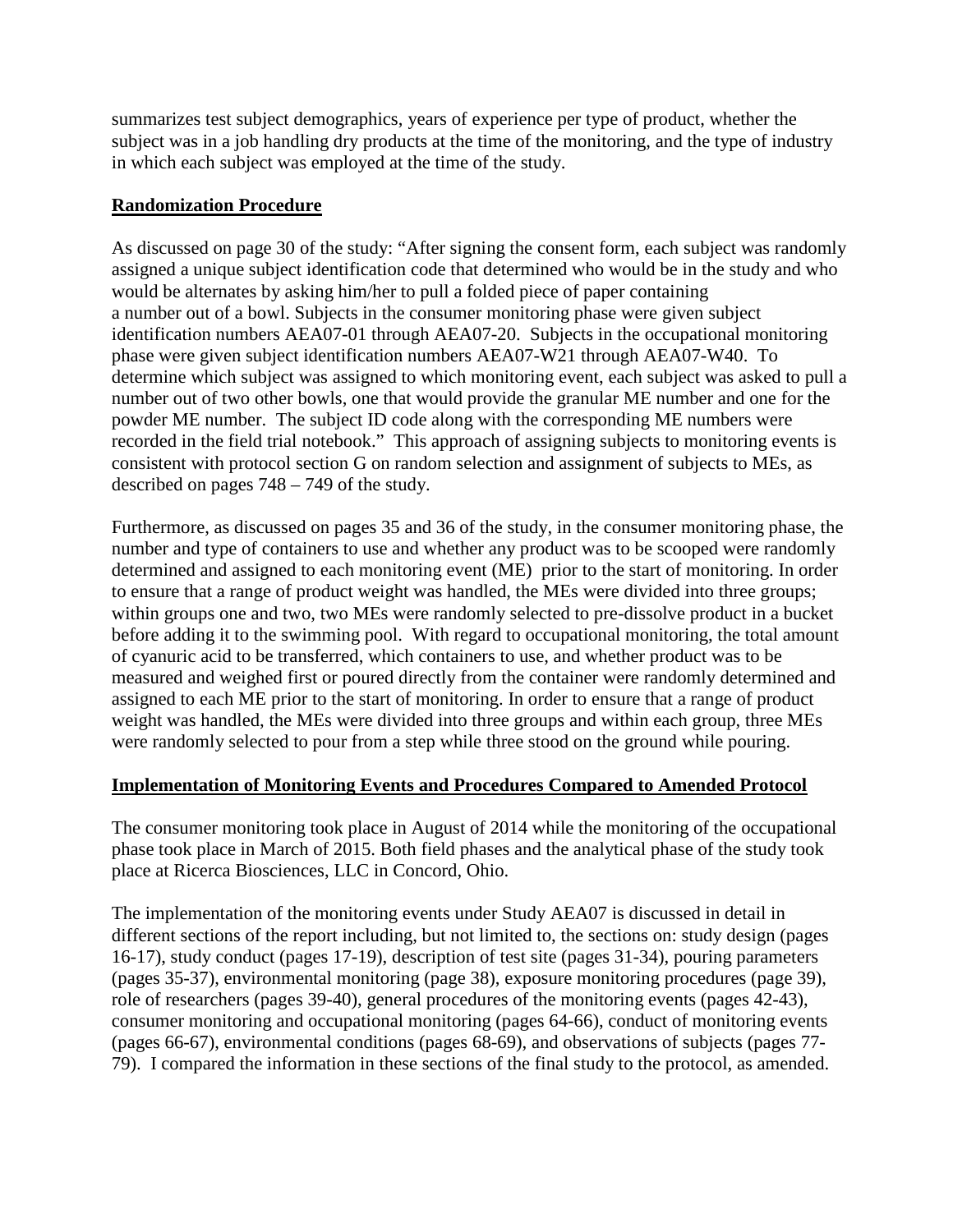summarizes test subject demographics, years of experience per type of product, whether the subject was in a job handling dry products at the time of the monitoring, and the type of industry in which each subject was employed at the time of the study.

#### **Randomization Procedure**

As discussed on page 30 of the study: "After signing the consent form, each subject was randomly assigned a unique subject identification code that determined who would be in the study and who would be alternates by asking him/her to pull a folded piece of paper containing a number out of a bowl. Subjects in the consumer monitoring phase were given subject identification numbers AEA07-01 through AEA07-20. Subjects in the occupational monitoring phase were given subject identification numbers AEA07-W21 through AEA07-W40. To determine which subject was assigned to which monitoring event, each subject was asked to pull a number out of two other bowls, one that would provide the granular ME number and one for the powder ME number. The subject ID code along with the corresponding ME numbers were recorded in the field trial notebook." This approach of assigning subjects to monitoring events is consistent with protocol section G on random selection and assignment of subjects to MEs, as described on pages 748 – 749 of the study.

Furthermore, as discussed on pages 35 and 36 of the study, in the consumer monitoring phase, the number and type of containers to use and whether any product was to be scooped were randomly determined and assigned to each monitoring event (ME) prior to the start of monitoring. In order to ensure that a range of product weight was handled, the MEs were divided into three groups; within groups one and two, two MEs were randomly selected to pre-dissolve product in a bucket before adding it to the swimming pool. With regard to occupational monitoring, the total amount of cyanuric acid to be transferred, which containers to use, and whether product was to be measured and weighed first or poured directly from the container were randomly determined and assigned to each ME prior to the start of monitoring. In order to ensure that a range of product weight was handled, the MEs were divided into three groups and within each group, three MEs were randomly selected to pour from a step while three stood on the ground while pouring.

#### **Implementation of Monitoring Events and Procedures Compared to Amended Protocol**

The consumer monitoring took place in August of 2014 while the monitoring of the occupational phase took place in March of 2015. Both field phases and the analytical phase of the study took place at Ricerca Biosciences, LLC in Concord, Ohio.

The implementation of the monitoring events under Study AEA07 is discussed in detail in different sections of the report including, but not limited to, the sections on: study design (pages 16-17), study conduct (pages 17-19), description of test site (pages 31-34), pouring parameters (pages 35-37), environmental monitoring (page 38), exposure monitoring procedures (page 39), role of researchers (pages 39-40), general procedures of the monitoring events (pages 42-43), consumer monitoring and occupational monitoring (pages 64-66), conduct of monitoring events (pages 66-67), environmental conditions (pages 68-69), and observations of subjects (pages 77- 79). I compared the information in these sections of the final study to the protocol, as amended.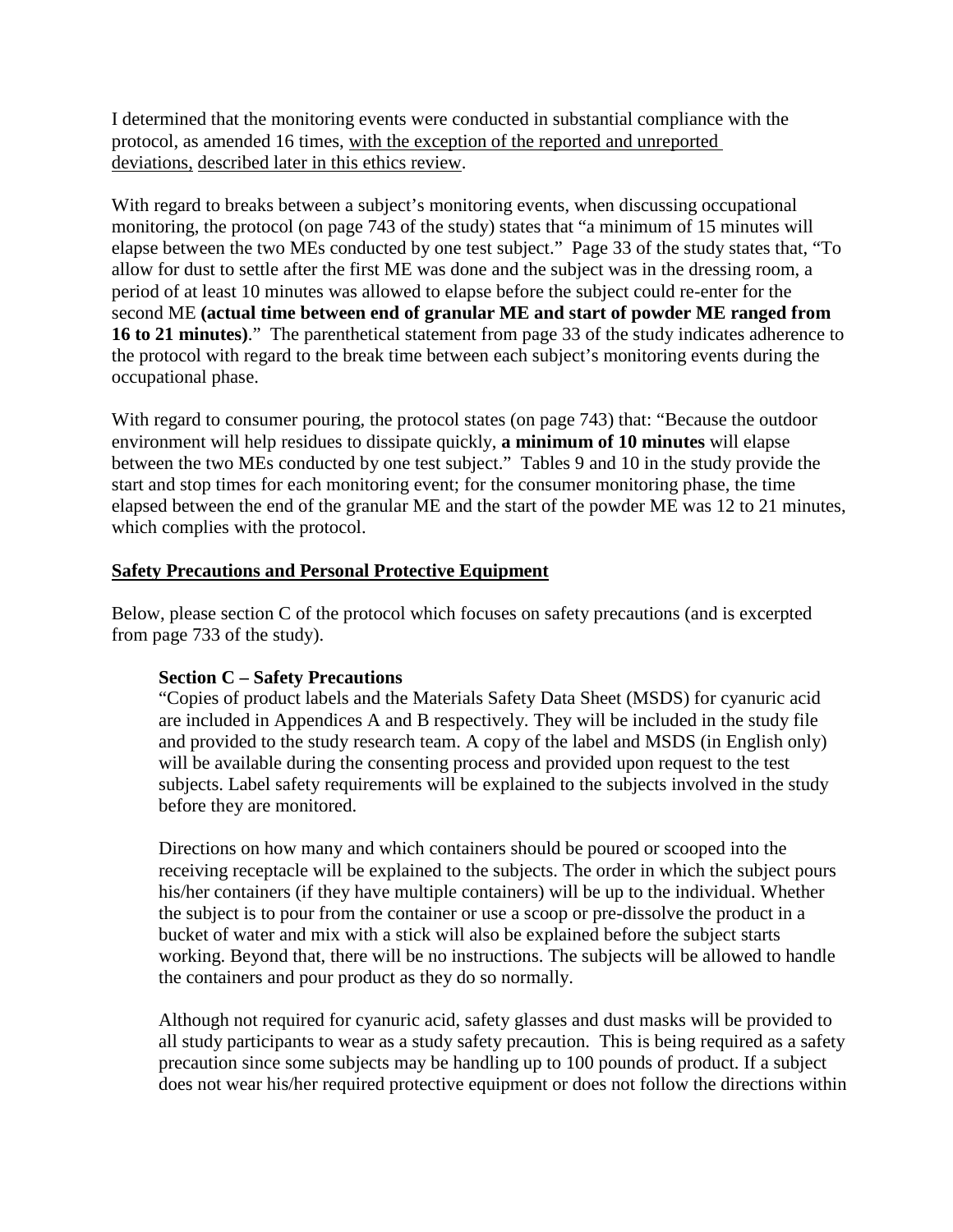I determined that the monitoring events were conducted in substantial compliance with the protocol, as amended 16 times, with the exception of the reported and unreported deviations, described later in this ethics review.

With regard to breaks between a subject's monitoring events, when discussing occupational monitoring, the protocol (on page 743 of the study) states that "a minimum of 15 minutes will elapse between the two MEs conducted by one test subject." Page 33 of the study states that, "To allow for dust to settle after the first ME was done and the subject was in the dressing room, a period of at least 10 minutes was allowed to elapse before the subject could re-enter for the second ME **(actual time between end of granular ME and start of powder ME ranged from 16 to 21 minutes)**." The parenthetical statement from page 33 of the study indicates adherence to the protocol with regard to the break time between each subject's monitoring events during the occupational phase.

With regard to consumer pouring, the protocol states (on page 743) that: "Because the outdoor environment will help residues to dissipate quickly, **a minimum of 10 minutes** will elapse between the two MEs conducted by one test subject." Tables 9 and 10 in the study provide the start and stop times for each monitoring event; for the consumer monitoring phase, the time elapsed between the end of the granular ME and the start of the powder ME was 12 to 21 minutes, which complies with the protocol.

#### **Safety Precautions and Personal Protective Equipment**

Below, please section C of the protocol which focuses on safety precautions (and is excerpted from page 733 of the study).

#### **Section C – Safety Precautions**

"Copies of product labels and the Materials Safety Data Sheet (MSDS) for cyanuric acid are included in Appendices A and B respectively. They will be included in the study file and provided to the study research team. A copy of the label and MSDS (in English only) will be available during the consenting process and provided upon request to the test subjects. Label safety requirements will be explained to the subjects involved in the study before they are monitored.

Directions on how many and which containers should be poured or scooped into the receiving receptacle will be explained to the subjects. The order in which the subject pours his/her containers (if they have multiple containers) will be up to the individual. Whether the subject is to pour from the container or use a scoop or pre-dissolve the product in a bucket of water and mix with a stick will also be explained before the subject starts working. Beyond that, there will be no instructions. The subjects will be allowed to handle the containers and pour product as they do so normally.

Although not required for cyanuric acid, safety glasses and dust masks will be provided to all study participants to wear as a study safety precaution. This is being required as a safety precaution since some subjects may be handling up to 100 pounds of product. If a subject does not wear his/her required protective equipment or does not follow the directions within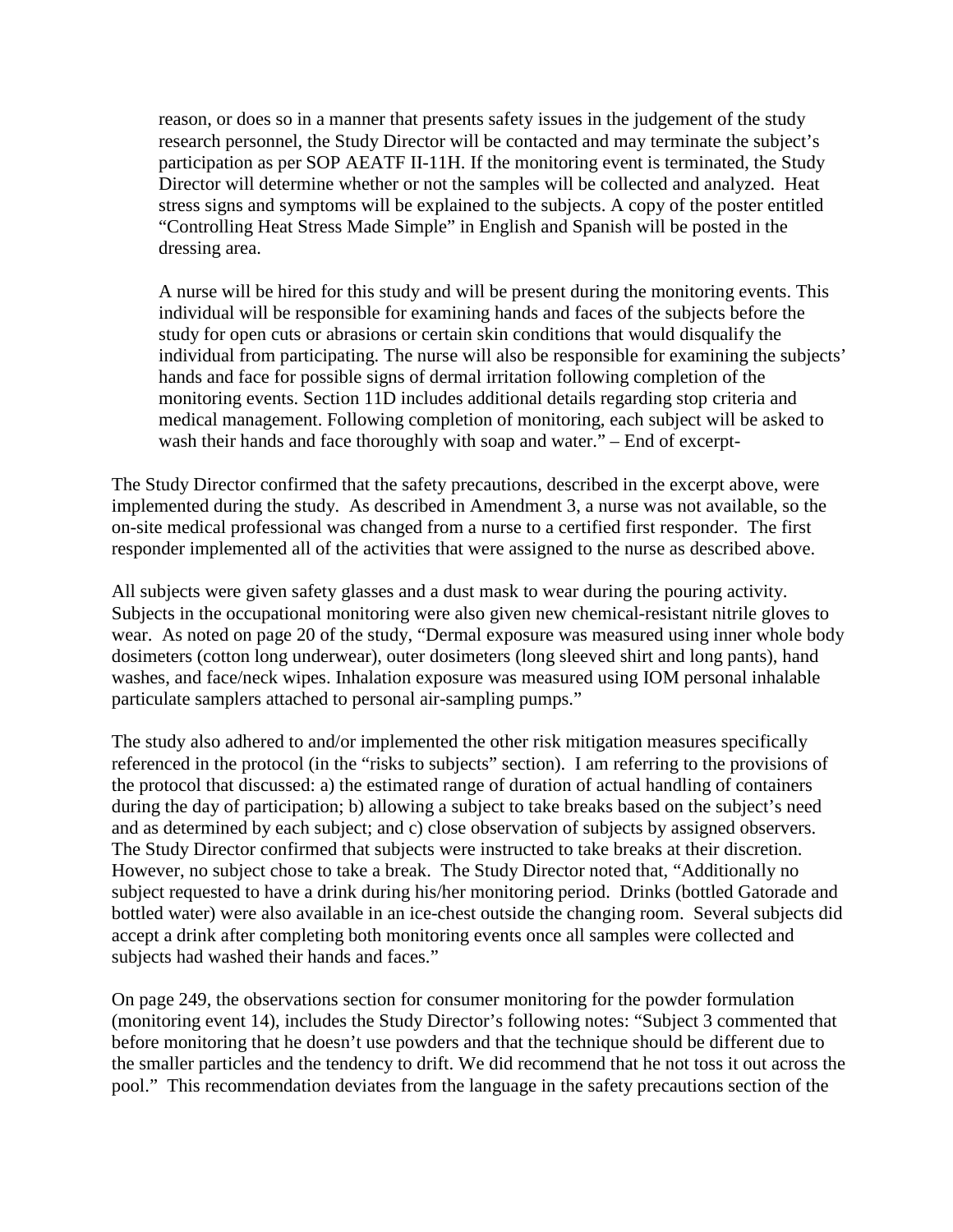reason, or does so in a manner that presents safety issues in the judgement of the study research personnel, the Study Director will be contacted and may terminate the subject's participation as per SOP AEATF II-11H. If the monitoring event is terminated, the Study Director will determine whether or not the samples will be collected and analyzed. Heat stress signs and symptoms will be explained to the subjects. A copy of the poster entitled "Controlling Heat Stress Made Simple" in English and Spanish will be posted in the dressing area.

A nurse will be hired for this study and will be present during the monitoring events. This individual will be responsible for examining hands and faces of the subjects before the study for open cuts or abrasions or certain skin conditions that would disqualify the individual from participating. The nurse will also be responsible for examining the subjects' hands and face for possible signs of dermal irritation following completion of the monitoring events. Section 11D includes additional details regarding stop criteria and medical management. Following completion of monitoring, each subject will be asked to wash their hands and face thoroughly with soap and water." – End of excerpt-

The Study Director confirmed that the safety precautions, described in the excerpt above, were implemented during the study. As described in Amendment 3, a nurse was not available, so the on-site medical professional was changed from a nurse to a certified first responder. The first responder implemented all of the activities that were assigned to the nurse as described above.

All subjects were given safety glasses and a dust mask to wear during the pouring activity. Subjects in the occupational monitoring were also given new chemical-resistant nitrile gloves to wear. As noted on page 20 of the study, "Dermal exposure was measured using inner whole body dosimeters (cotton long underwear), outer dosimeters (long sleeved shirt and long pants), hand washes, and face/neck wipes. Inhalation exposure was measured using IOM personal inhalable particulate samplers attached to personal air-sampling pumps."

The study also adhered to and/or implemented the other risk mitigation measures specifically referenced in the protocol (in the "risks to subjects" section). I am referring to the provisions of the protocol that discussed: a) the estimated range of duration of actual handling of containers during the day of participation; b) allowing a subject to take breaks based on the subject's need and as determined by each subject; and c) close observation of subjects by assigned observers. The Study Director confirmed that subjects were instructed to take breaks at their discretion. However, no subject chose to take a break. The Study Director noted that, "Additionally no subject requested to have a drink during his/her monitoring period. Drinks (bottled Gatorade and bottled water) were also available in an ice-chest outside the changing room. Several subjects did accept a drink after completing both monitoring events once all samples were collected and subjects had washed their hands and faces."

On page 249, the observations section for consumer monitoring for the powder formulation (monitoring event 14), includes the Study Director's following notes: "Subject 3 commented that before monitoring that he doesn't use powders and that the technique should be different due to the smaller particles and the tendency to drift. We did recommend that he not toss it out across the pool." This recommendation deviates from the language in the safety precautions section of the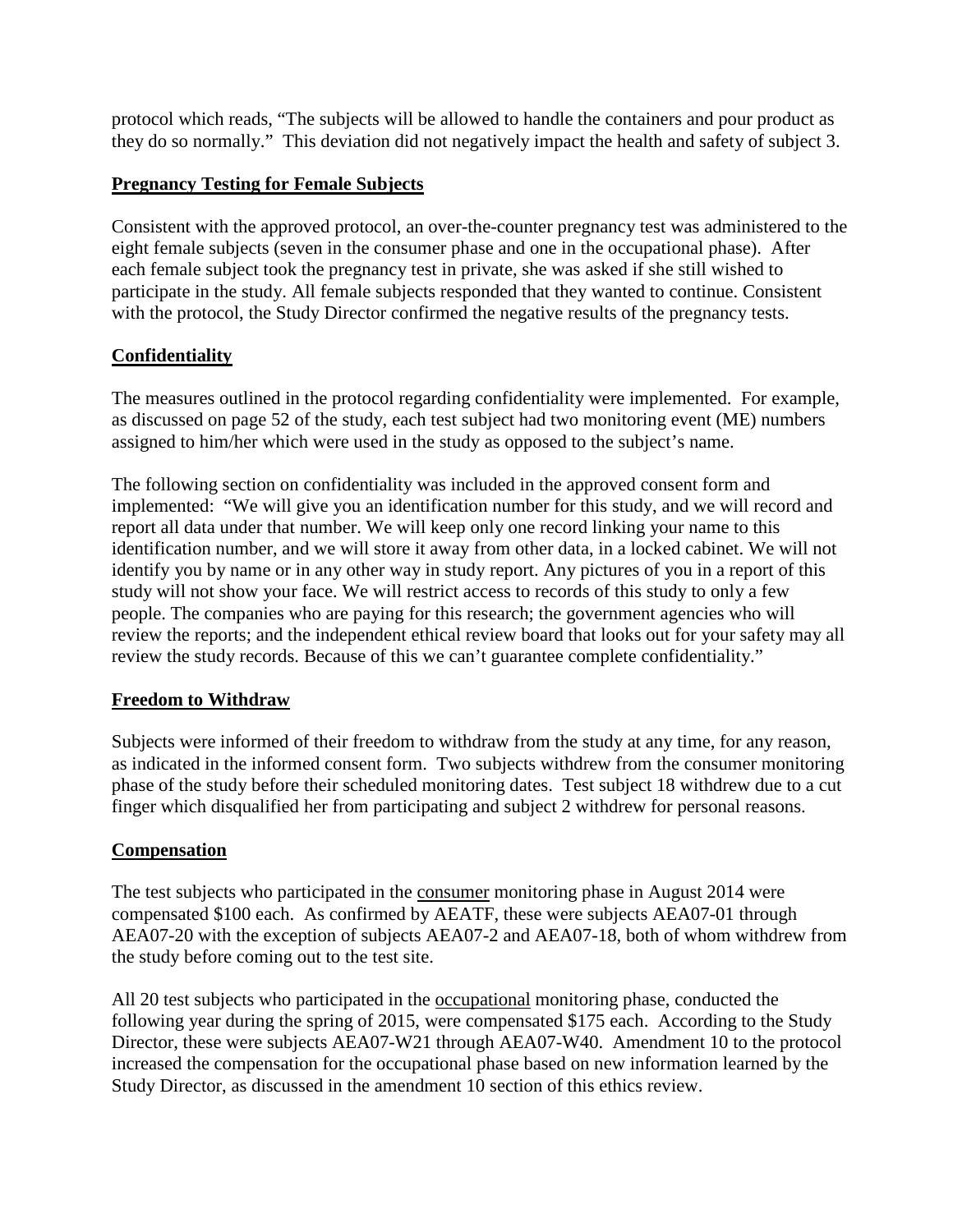protocol which reads, "The subjects will be allowed to handle the containers and pour product as they do so normally." This deviation did not negatively impact the health and safety of subject 3.

## **Pregnancy Testing for Female Subjects**

Consistent with the approved protocol, an over-the-counter pregnancy test was administered to the eight female subjects (seven in the consumer phase and one in the occupational phase). After each female subject took the pregnancy test in private, she was asked if she still wished to participate in the study. All female subjects responded that they wanted to continue. Consistent with the protocol, the Study Director confirmed the negative results of the pregnancy tests.

## **Confidentiality**

The measures outlined in the protocol regarding confidentiality were implemented. For example, as discussed on page 52 of the study, each test subject had two monitoring event (ME) numbers assigned to him/her which were used in the study as opposed to the subject's name.

The following section on confidentiality was included in the approved consent form and implemented: "We will give you an identification number for this study, and we will record and report all data under that number. We will keep only one record linking your name to this identification number, and we will store it away from other data, in a locked cabinet. We will not identify you by name or in any other way in study report. Any pictures of you in a report of this study will not show your face. We will restrict access to records of this study to only a few people. The companies who are paying for this research; the government agencies who will review the reports; and the independent ethical review board that looks out for your safety may all review the study records. Because of this we can't guarantee complete confidentiality."

### **Freedom to Withdraw**

Subjects were informed of their freedom to withdraw from the study at any time, for any reason, as indicated in the informed consent form. Two subjects withdrew from the consumer monitoring phase of the study before their scheduled monitoring dates. Test subject 18 withdrew due to a cut finger which disqualified her from participating and subject 2 withdrew for personal reasons.

### **Compensation**

The test subjects who participated in the consumer monitoring phase in August 2014 were compensated \$100 each. As confirmed by AEATF, these were subjects AEA07-01 through AEA07-20 with the exception of subjects AEA07-2 and AEA07-18, both of whom withdrew from the study before coming out to the test site.

All 20 test subjects who participated in the <u>occupational</u> monitoring phase, conducted the following year during the spring of 2015, were compensated \$175 each. According to the Study Director, these were subjects AEA07-W21 through AEA07-W40. Amendment 10 to the protocol increased the compensation for the occupational phase based on new information learned by the Study Director, as discussed in the amendment 10 section of this ethics review.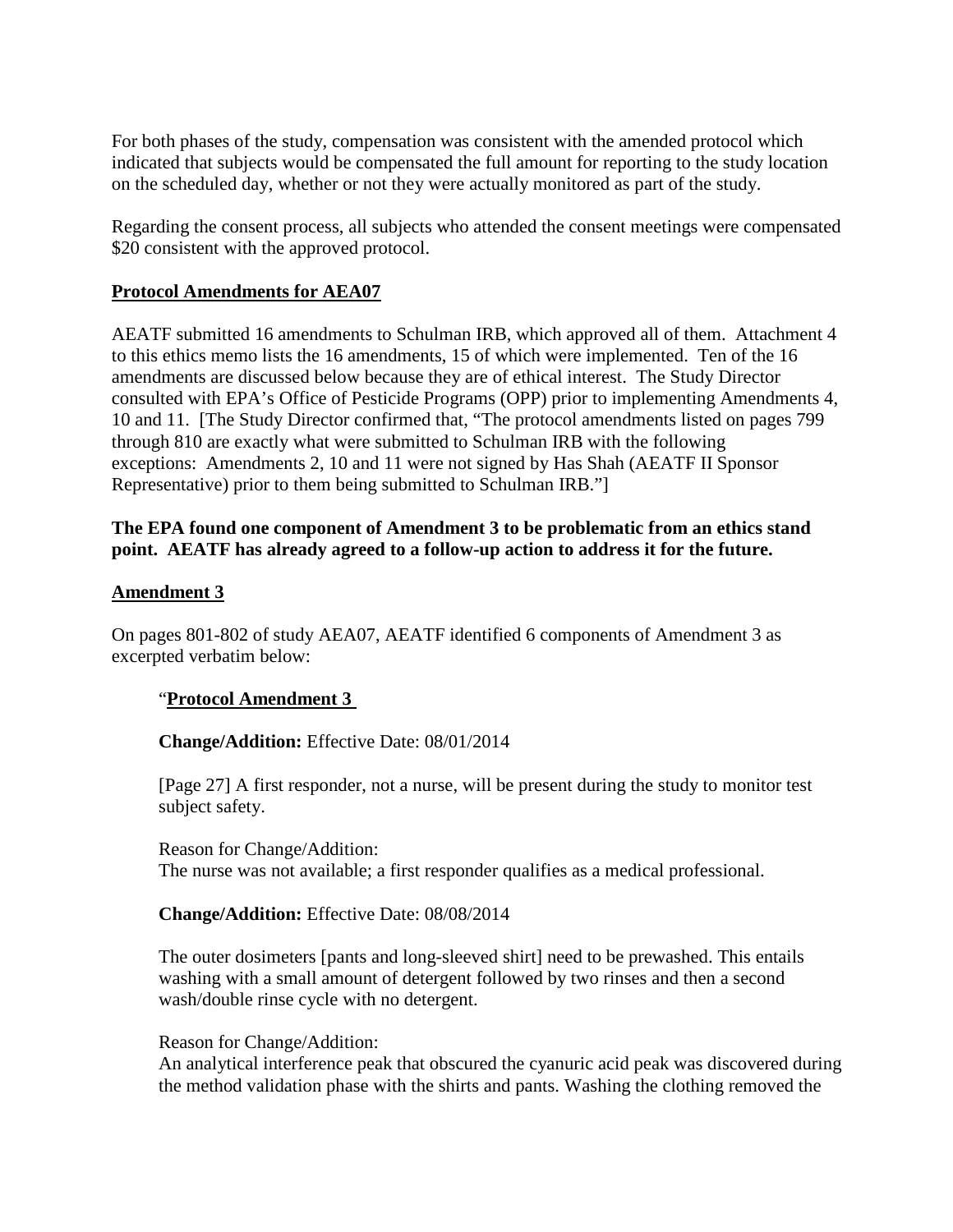For both phases of the study, compensation was consistent with the amended protocol which indicated that subjects would be compensated the full amount for reporting to the study location on the scheduled day, whether or not they were actually monitored as part of the study.

Regarding the consent process, all subjects who attended the consent meetings were compensated \$20 consistent with the approved protocol.

#### **Protocol Amendments for AEA07**

AEATF submitted 16 amendments to Schulman IRB, which approved all of them. Attachment 4 to this ethics memo lists the 16 amendments, 15 of which were implemented. Ten of the 16 amendments are discussed below because they are of ethical interest. The Study Director consulted with EPA's Office of Pesticide Programs (OPP) prior to implementing Amendments 4, 10 and 11. [The Study Director confirmed that, "The protocol amendments listed on pages 799 through 810 are exactly what were submitted to Schulman IRB with the following exceptions: Amendments 2, 10 and 11 were not signed by Has Shah (AEATF II Sponsor Representative) prior to them being submitted to Schulman IRB."]

#### **The EPA found one component of Amendment 3 to be problematic from an ethics stand point. AEATF has already agreed to a follow-up action to address it for the future.**

#### **Amendment 3**

On pages 801-802 of study AEA07, AEATF identified 6 components of Amendment 3 as excerpted verbatim below:

#### "**Protocol Amendment 3**

#### **Change/Addition:** Effective Date: 08/01/2014

[Page 27] A first responder, not a nurse, will be present during the study to monitor test subject safety.

Reason for Change/Addition: The nurse was not available; a first responder qualifies as a medical professional.

#### **Change/Addition:** Effective Date: 08/08/2014

The outer dosimeters [pants and long-sleeved shirt] need to be prewashed. This entails washing with a small amount of detergent followed by two rinses and then a second wash/double rinse cycle with no detergent.

#### Reason for Change/Addition:

An analytical interference peak that obscured the cyanuric acid peak was discovered during the method validation phase with the shirts and pants. Washing the clothing removed the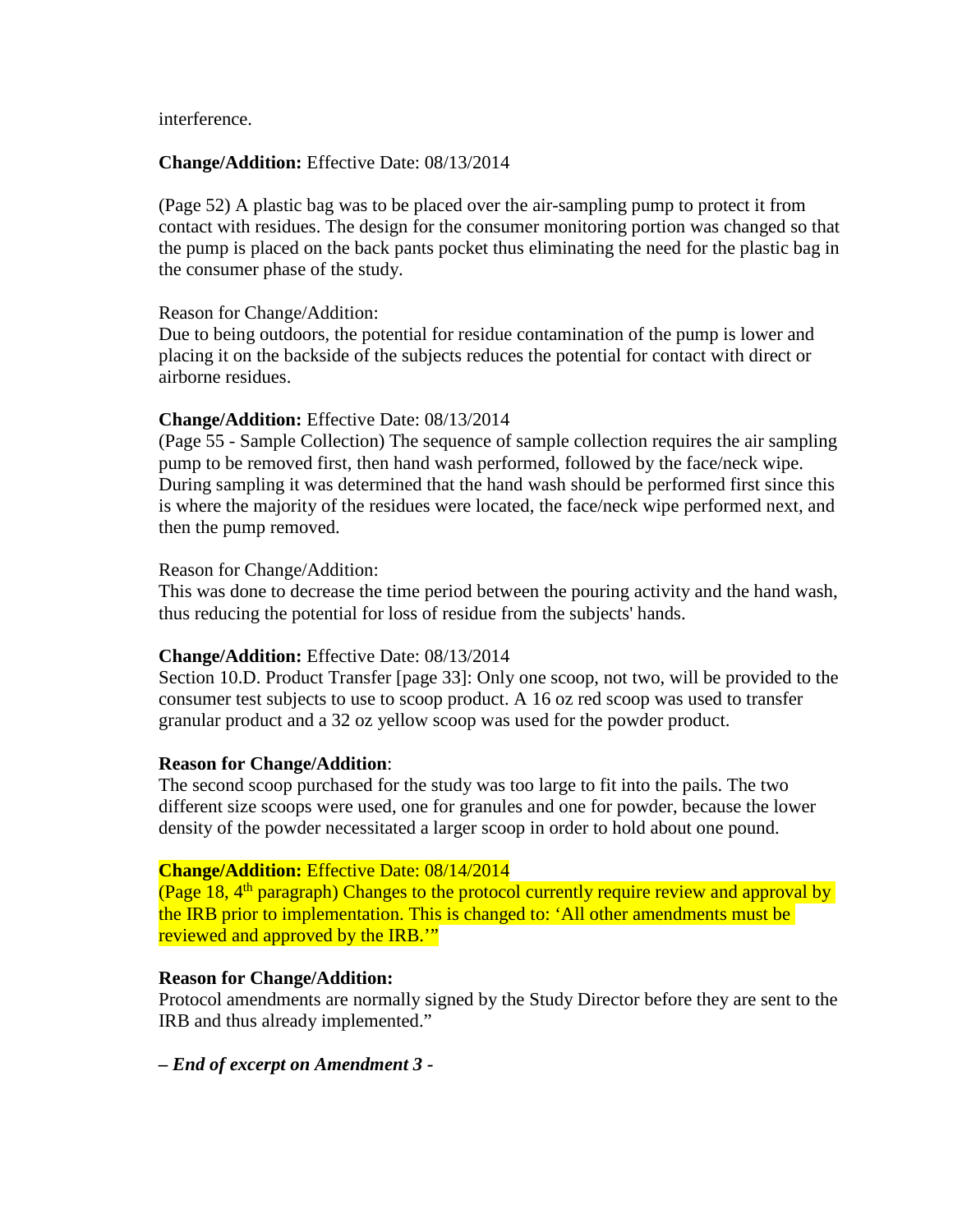interference.

#### **Change/Addition:** Effective Date: 08/13/2014

(Page 52) A plastic bag was to be placed over the air-sampling pump to protect it from contact with residues. The design for the consumer monitoring portion was changed so that the pump is placed on the back pants pocket thus eliminating the need for the plastic bag in the consumer phase of the study.

#### Reason for Change/Addition:

Due to being outdoors, the potential for residue contamination of the pump is lower and placing it on the backside of the subjects reduces the potential for contact with direct or airborne residues.

#### **Change/Addition:** Effective Date: 08/13/2014

(Page 55 - Sample Collection) The sequence of sample collection requires the air sampling pump to be removed first, then hand wash performed, followed by the face/neck wipe. During sampling it was determined that the hand wash should be performed first since this is where the majority of the residues were located, the face/neck wipe performed next, and then the pump removed.

#### Reason for Change/Addition:

This was done to decrease the time period between the pouring activity and the hand wash, thus reducing the potential for loss of residue from the subjects' hands.

#### **Change/Addition:** Effective Date: 08/13/2014

Section 10.D. Product Transfer [page 33]: Only one scoop, not two, will be provided to the consumer test subjects to use to scoop product. A 16 oz red scoop was used to transfer granular product and a 32 oz yellow scoop was used for the powder product.

#### **Reason for Change/Addition**:

The second scoop purchased for the study was too large to fit into the pails. The two different size scoops were used, one for granules and one for powder, because the lower density of the powder necessitated a larger scoop in order to hold about one pound.

#### **Change/Addition:** Effective Date: 08/14/2014

(Page 18,  $4<sup>th</sup>$  paragraph) Changes to the protocol currently require review and approval by the IRB prior to implementation. This is changed to: 'All other amendments must be reviewed and approved by the IRB."

#### **Reason for Change/Addition:**

Protocol amendments are normally signed by the Study Director before they are sent to the IRB and thus already implemented."

*– End of excerpt on Amendment 3 -*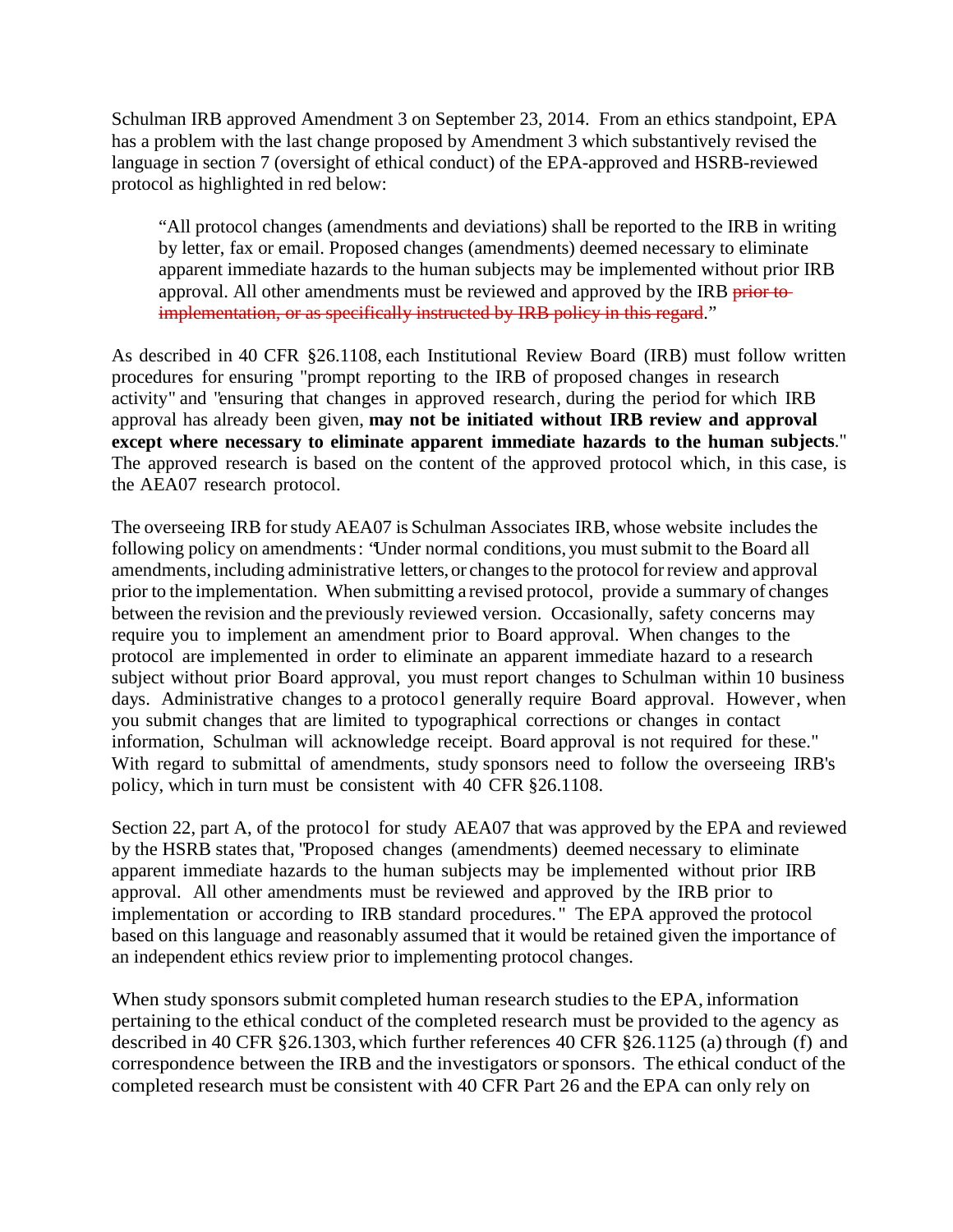Schulman IRB approved Amendment 3 on September 23, 2014. From an ethics standpoint, EPA has a problem with the last change proposed by Amendment 3 which substantively revised the language in section 7 (oversight of ethical conduct) of the EPA-approved and HSRB-reviewed protocol as highlighted in red below:

"All protocol changes (amendments and deviations) shall be reported to the IRB in writing by letter, fax or email. Proposed changes (amendments) deemed necessary to eliminate apparent immediate hazards to the human subjects may be implemented without prior IRB approval. All other amendments must be reviewed and approved by the IRB prior toimplementation, or as specifically instructed by IRB policy in this regard."

As described in 40 CFR §26.1108, each Institutional Review Board (IRB) must follow written procedures for ensuring "prompt reporting to the IRB of proposed changes in research activity" and "ensuring that changes in approved research, during the period for which IRB approval has already been given, **may not be initiated without IRB review and approval except where necessary to eliminate apparent immediate hazards to the human subjects**." The approved research is based on the content of the approved protocol which, in this case, is the AEA07 research protocol.

The overseeing IRB forstudy AEA07 is Schulman Associates IRB, whose website includes the following policy on amendments: "Under normal conditions, you must submit to the Board all amendments, including administrative letters, or changes to the protocol for review and approval prior to the implementation. When submitting a revised protocol, provide a summary of changes between the revision and the previously reviewed version. Occasionally, safety concerns may require you to implement an amendment prior to Board approval. When changes to the protocol are implemented in order to eliminate an apparent immediate hazard to a research subject without prior Board approval, you must report changes to Schulman within 10 business days. Administrative changes to a protocol generally require Board approval. However, when you submit changes that are limited to typographical corrections or changes in contact information, Schulman will acknowledge receipt. Board approval is not required for these." With regard to submittal of amendments, study sponsors need to follow the overseeing IRB's policy, which in turn must be consistent with 40 CFR §26.1108.

Section 22, part A, of the protocol for study AEA07 that was approved by the EPA and reviewed by the HSRB states that, "Proposed changes (amendments) deemed necessary to eliminate apparent immediate hazards to the human subjects may be implemented without prior IRB approval. All other amendments must be reviewed and approved by the IRB prior to implementation or according to IRB standard procedures. " The EPA approved the protocol based on this language and reasonably assumed that it would be retained given the importance of an independent ethics review prior to implementing protocol changes.

When study sponsors submit completed human research studies to the EPA, information pertaining to the ethical conduct of the completed research must be provided to the agency as described in 40 CFR §26.1303,which further references 40 CFR §26.1125 (a) through (f) and correspondence between the IRB and the investigators orsponsors. The ethical conduct of the completed research must be consistent with 40 CFR Part 26 and the EPA can only rely on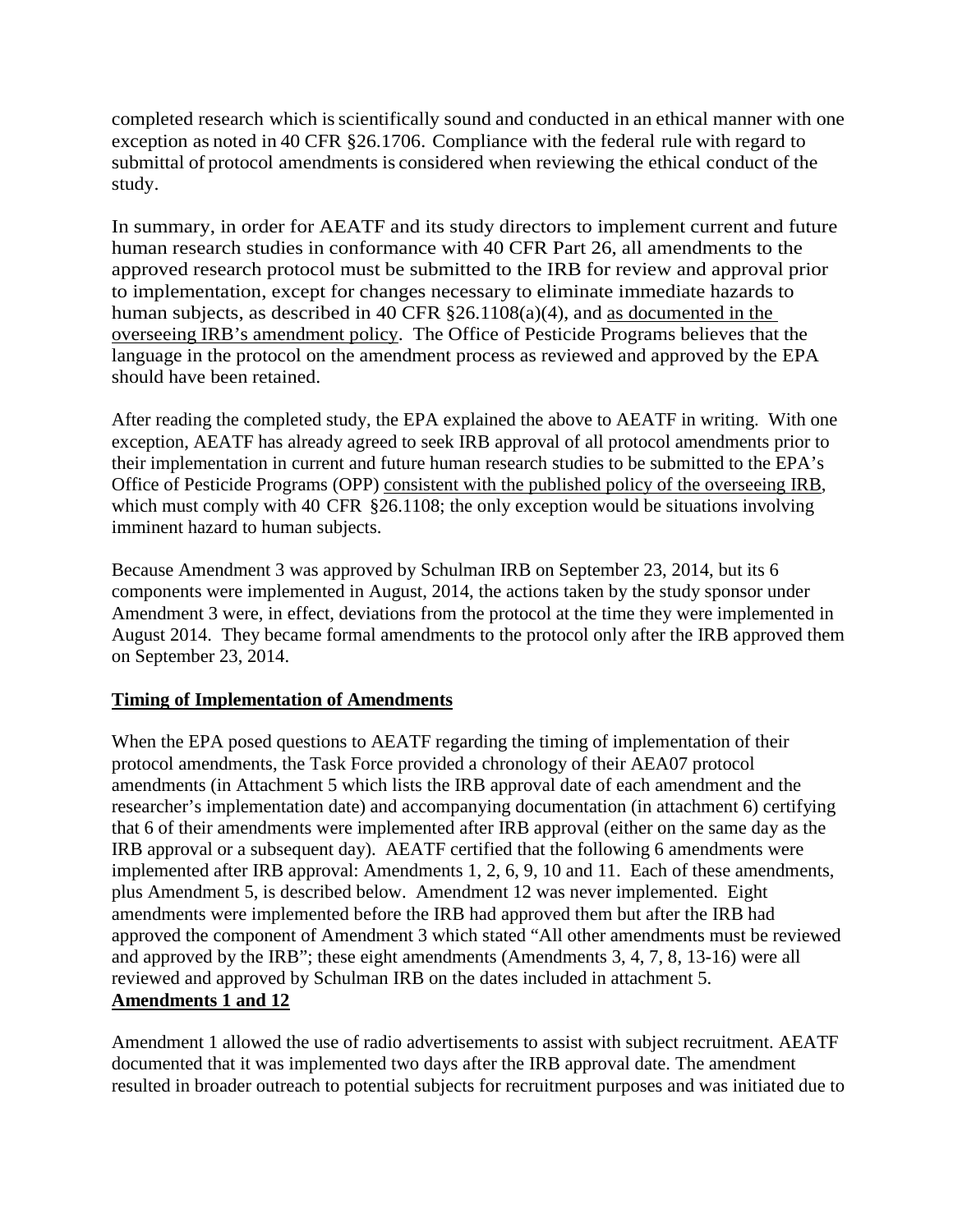completed research which is scientifically sound and conducted in an ethical manner with one exception as noted in 40 CFR §26.1706. Compliance with the federal rule with regard to submittal of protocol amendments is considered when reviewing the ethical conduct of the study.

In summary, in order for AEATF and its study directors to implement current and future human research studies in conformance with 40 CFR Part 26, all amendments to the approved research protocol must be submitted to the IRB for review and approval prior to implementation, except for changes necessary to eliminate immediate hazards to human subjects, as described in 40 CFR  $\S26.1108(a)(4)$ , and as documented in the overseeing IRB's amendment policy. The Office of Pesticide Programs believes that the language in the protocol on the amendment process as reviewed and approved by the EPA should have been retained.

After reading the completed study, the EPA explained the above to AEATF in writing. With one exception, AEATF has already agreed to seek IRB approval of all protocol amendments prior to their implementation in current and future human research studies to be submitted to the EPA's Office of Pesticide Programs (OPP) consistent with the published policy of the overseeing IRB, which must comply with 40 CFR §26.1108; the only exception would be situations involving imminent hazard to human subjects.

Because Amendment 3 was approved by Schulman IRB on September 23, 2014, but its 6 components were implemented in August, 2014, the actions taken by the study sponsor under Amendment 3 were, in effect, deviations from the protocol at the time they were implemented in August 2014. They became formal amendments to the protocol only after the IRB approved them on September 23, 2014.

### **Timing of Implementation of Amendments**

When the EPA posed questions to AEATF regarding the timing of implementation of their protocol amendments, the Task Force provided a chronology of their AEA07 protocol amendments (in Attachment 5 which lists the IRB approval date of each amendment and the researcher's implementation date) and accompanying documentation (in attachment 6) certifying that 6 of their amendments were implemented after IRB approval (either on the same day as the IRB approval or a subsequent day). AEATF certified that the following 6 amendments were implemented after IRB approval: Amendments 1, 2, 6, 9, 10 and 11. Each of these amendments, plus Amendment 5, is described below. Amendment 12 was never implemented. Eight amendments were implemented before the IRB had approved them but after the IRB had approved the component of Amendment 3 which stated "All other amendments must be reviewed and approved by the IRB"; these eight amendments (Amendments 3, 4, 7, 8, 13-16) were all reviewed and approved by Schulman IRB on the dates included in attachment 5. **Amendments 1 and 12**

Amendment 1 allowed the use of radio advertisements to assist with subject recruitment. AEATF documented that it was implemented two days after the IRB approval date. The amendment resulted in broader outreach to potential subjects for recruitment purposes and was initiated due to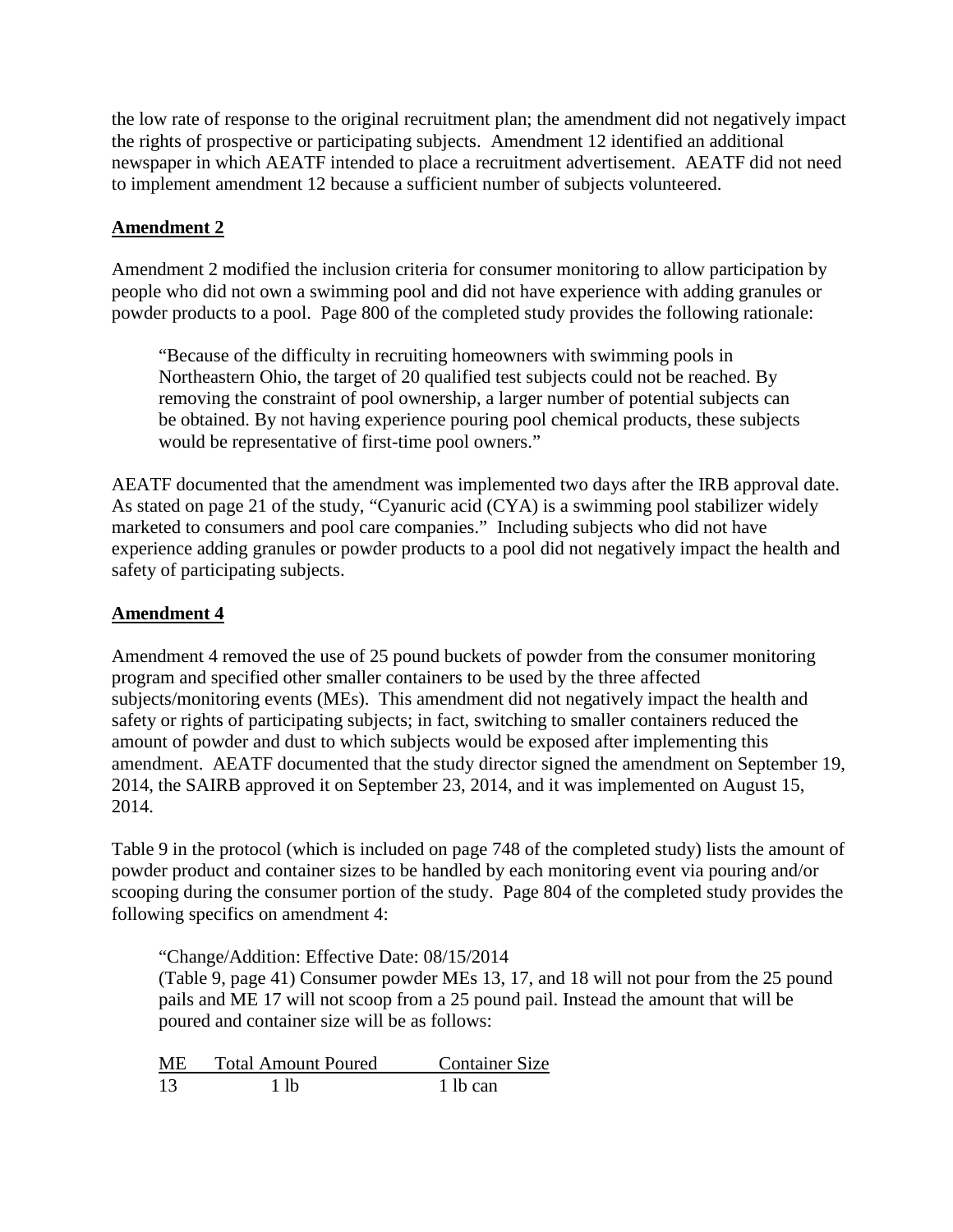the low rate of response to the original recruitment plan; the amendment did not negatively impact the rights of prospective or participating subjects. Amendment 12 identified an additional newspaper in which AEATF intended to place a recruitment advertisement. AEATF did not need to implement amendment 12 because a sufficient number of subjects volunteered.

## **Amendment 2**

Amendment 2 modified the inclusion criteria for consumer monitoring to allow participation by people who did not own a swimming pool and did not have experience with adding granules or powder products to a pool. Page 800 of the completed study provides the following rationale:

"Because of the difficulty in recruiting homeowners with swimming pools in Northeastern Ohio, the target of 20 qualified test subjects could not be reached. By removing the constraint of pool ownership, a larger number of potential subjects can be obtained. By not having experience pouring pool chemical products, these subjects would be representative of first-time pool owners."

AEATF documented that the amendment was implemented two days after the IRB approval date. As stated on page 21 of the study, "Cyanuric acid (CYA) is a swimming pool stabilizer widely marketed to consumers and pool care companies." Including subjects who did not have experience adding granules or powder products to a pool did not negatively impact the health and safety of participating subjects.

### **Amendment 4**

Amendment 4 removed the use of 25 pound buckets of powder from the consumer monitoring program and specified other smaller containers to be used by the three affected subjects/monitoring events (MEs). This amendment did not negatively impact the health and safety or rights of participating subjects; in fact, switching to smaller containers reduced the amount of powder and dust to which subjects would be exposed after implementing this amendment. AEATF documented that the study director signed the amendment on September 19, 2014, the SAIRB approved it on September 23, 2014, and it was implemented on August 15, 2014.

Table 9 in the protocol (which is included on page 748 of the completed study) lists the amount of powder product and container sizes to be handled by each monitoring event via pouring and/or scooping during the consumer portion of the study. Page 804 of the completed study provides the following specifics on amendment 4:

"Change/Addition: Effective Date: 08/15/2014 (Table 9, page 41) Consumer powder MEs 13, 17, and 18 will not pour from the 25 pound pails and ME 17 will not scoop from a 25 pound pail. Instead the amount that will be poured and container size will be as follows:

| ME | <b>Total Amount Poured</b> | <b>Container Size</b> |
|----|----------------------------|-----------------------|
| 13 | 1 lb                       | 1 lb can              |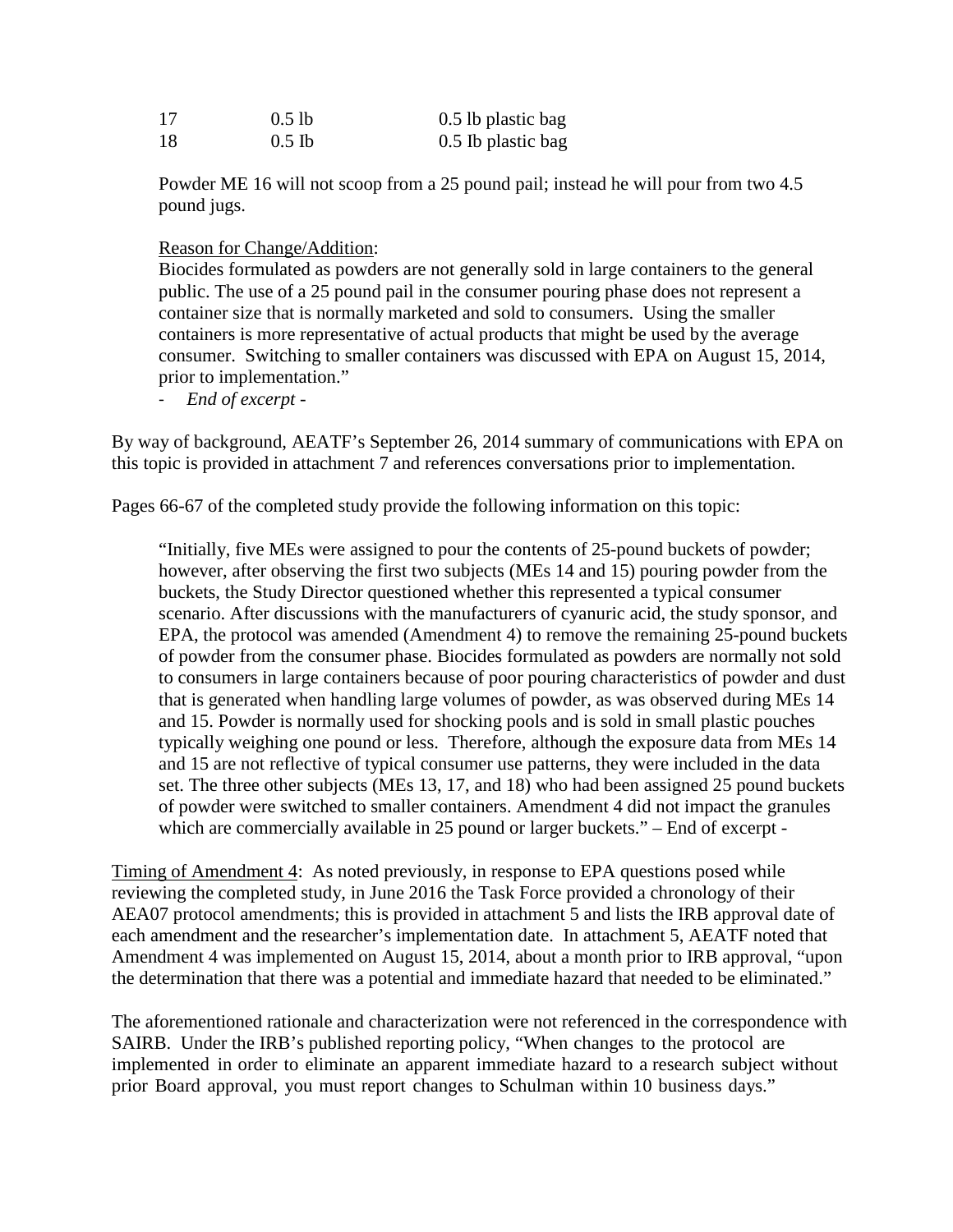| 17 | $0.5$ lb | $0.5$ lb plastic bag |
|----|----------|----------------------|
| 18 | $0.5$ Ib | 0.5 Ib plastic bag   |

Powder ME 16 will not scoop from a 25 pound pail; instead he will pour from two 4.5 pound jugs.

#### Reason for Change/Addition:

Biocides formulated as powders are not generally sold in large containers to the general public. The use of a 25 pound pail in the consumer pouring phase does not represent a container size that is normally marketed and sold to consumers. Using the smaller containers is more representative of actual products that might be used by the average consumer. Switching to smaller containers was discussed with EPA on August 15, 2014, prior to implementation."

- *End of excerpt -*

By way of background, AEATF's September 26, 2014 summary of communications with EPA on this topic is provided in attachment 7 and references conversations prior to implementation.

Pages 66-67 of the completed study provide the following information on this topic:

"Initially, five MEs were assigned to pour the contents of 25-pound buckets of powder; however, after observing the first two subjects (MEs 14 and 15) pouring powder from the buckets, the Study Director questioned whether this represented a typical consumer scenario. After discussions with the manufacturers of cyanuric acid, the study sponsor, and EPA, the protocol was amended (Amendment 4) to remove the remaining 25-pound buckets of powder from the consumer phase. Biocides formulated as powders are normally not sold to consumers in large containers because of poor pouring characteristics of powder and dust that is generated when handling large volumes of powder, as was observed during MEs 14 and 15. Powder is normally used for shocking pools and is sold in small plastic pouches typically weighing one pound or less. Therefore, although the exposure data from MEs 14 and 15 are not reflective of typical consumer use patterns, they were included in the data set. The three other subjects (MEs 13, 17, and 18) who had been assigned 25 pound buckets of powder were switched to smaller containers. Amendment 4 did not impact the granules which are commercially available in 25 pound or larger buckets." – End of excerpt -

Timing of Amendment 4: As noted previously, in response to EPA questions posed while reviewing the completed study, in June 2016 the Task Force provided a chronology of their AEA07 protocol amendments; this is provided in attachment 5 and lists the IRB approval date of each amendment and the researcher's implementation date. In attachment 5, AEATF noted that Amendment 4 was implemented on August 15, 2014, about a month prior to IRB approval, "upon the determination that there was a potential and immediate hazard that needed to be eliminated."

The aforementioned rationale and characterization were not referenced in the correspondence with SAIRB. Under the IRB's published reporting policy, "When changes to the protocol are implemented in order to eliminate an apparent immediate hazard to a research subject without prior Board approval, you must report changes to Schulman within 10 business days."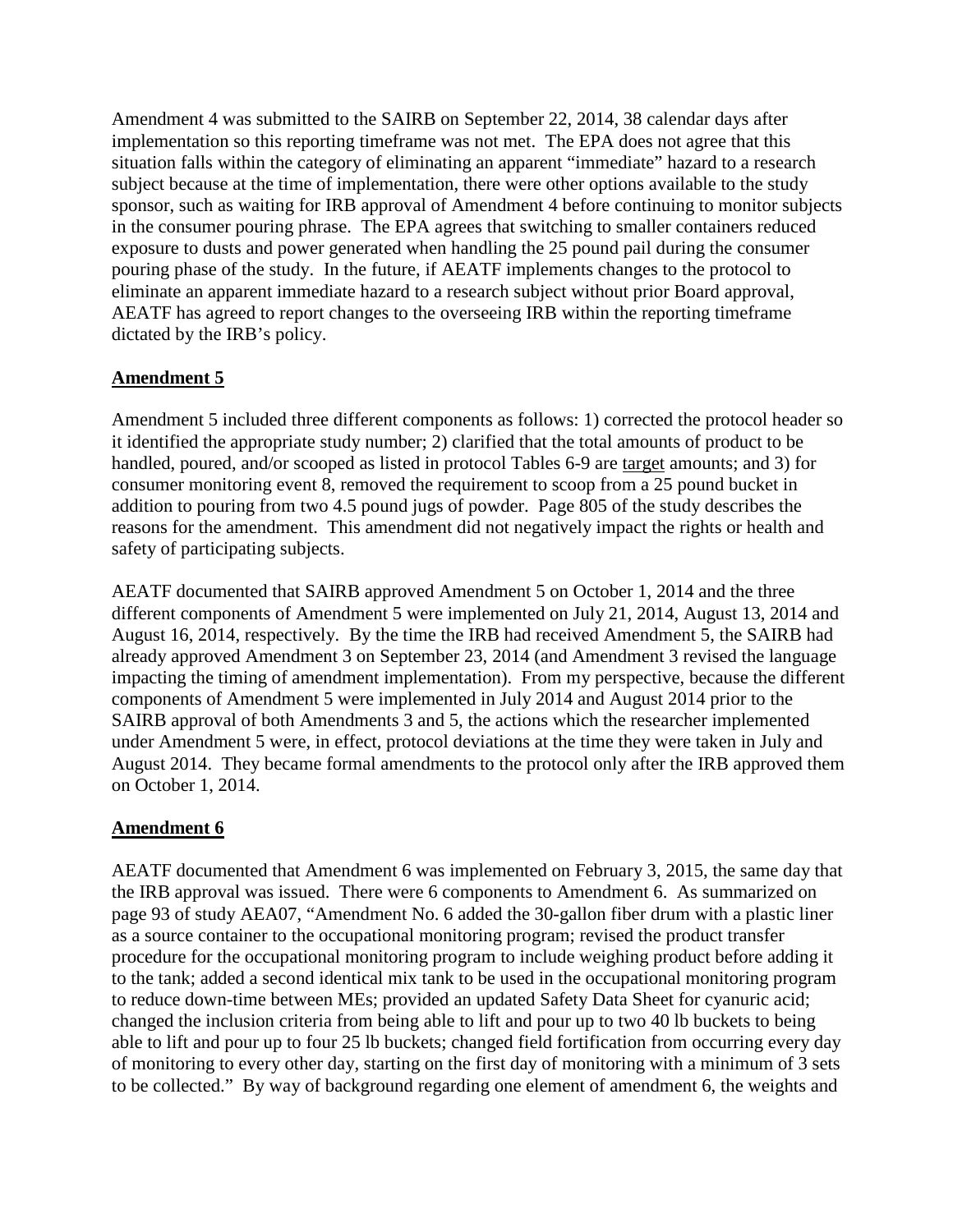Amendment 4 was submitted to the SAIRB on September 22, 2014, 38 calendar days after implementation so this reporting timeframe was not met. The EPA does not agree that this situation falls within the category of eliminating an apparent "immediate" hazard to a research subject because at the time of implementation, there were other options available to the study sponsor, such as waiting for IRB approval of Amendment 4 before continuing to monitor subjects in the consumer pouring phrase. The EPA agrees that switching to smaller containers reduced exposure to dusts and power generated when handling the 25 pound pail during the consumer pouring phase of the study. In the future, if AEATF implements changes to the protocol to eliminate an apparent immediate hazard to a research subject without prior Board approval, AEATF has agreed to report changes to the overseeing IRB within the reporting timeframe dictated by the IRB's policy.

### **Amendment 5**

Amendment 5 included three different components as follows: 1) corrected the protocol header so it identified the appropriate study number; 2) clarified that the total amounts of product to be handled, poured, and/or scooped as listed in protocol Tables 6-9 are target amounts; and 3) for consumer monitoring event 8, removed the requirement to scoop from a 25 pound bucket in addition to pouring from two 4.5 pound jugs of powder. Page 805 of the study describes the reasons for the amendment. This amendment did not negatively impact the rights or health and safety of participating subjects.

AEATF documented that SAIRB approved Amendment 5 on October 1, 2014 and the three different components of Amendment 5 were implemented on July 21, 2014, August 13, 2014 and August 16, 2014, respectively. By the time the IRB had received Amendment 5, the SAIRB had already approved Amendment 3 on September 23, 2014 (and Amendment 3 revised the language impacting the timing of amendment implementation). From my perspective, because the different components of Amendment 5 were implemented in July 2014 and August 2014 prior to the SAIRB approval of both Amendments 3 and 5, the actions which the researcher implemented under Amendment 5 were, in effect, protocol deviations at the time they were taken in July and August 2014. They became formal amendments to the protocol only after the IRB approved them on October 1, 2014.

### **Amendment 6**

AEATF documented that Amendment 6 was implemented on February 3, 2015, the same day that the IRB approval was issued. There were 6 components to Amendment 6. As summarized on page 93 of study AEA07, "Amendment No. 6 added the 30-gallon fiber drum with a plastic liner as a source container to the occupational monitoring program; revised the product transfer procedure for the occupational monitoring program to include weighing product before adding it to the tank; added a second identical mix tank to be used in the occupational monitoring program to reduce down-time between MEs; provided an updated Safety Data Sheet for cyanuric acid; changed the inclusion criteria from being able to lift and pour up to two 40 lb buckets to being able to lift and pour up to four 25 lb buckets; changed field fortification from occurring every day of monitoring to every other day, starting on the first day of monitoring with a minimum of 3 sets to be collected." By way of background regarding one element of amendment 6, the weights and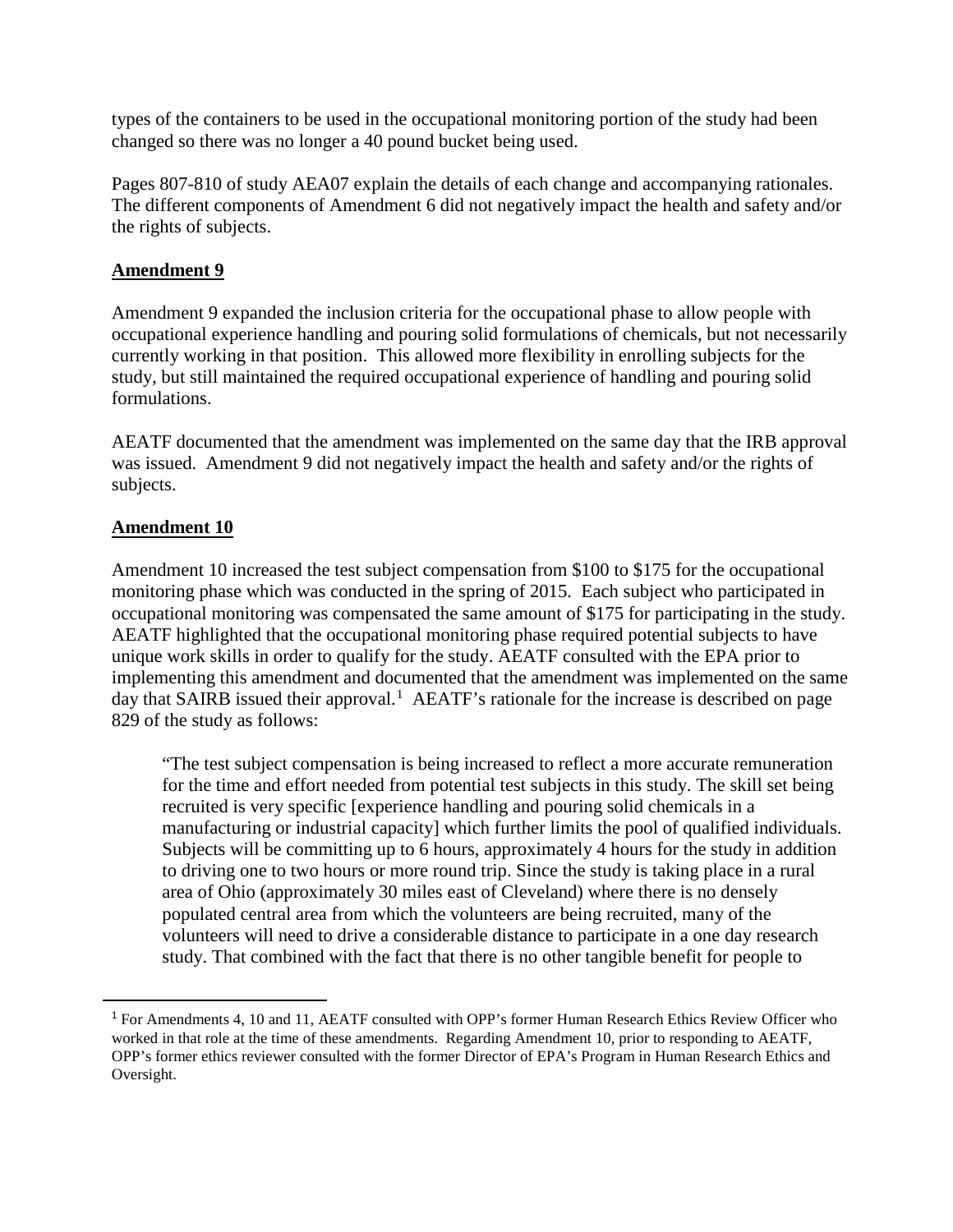types of the containers to be used in the occupational monitoring portion of the study had been changed so there was no longer a 40 pound bucket being used.

Pages 807-810 of study AEA07 explain the details of each change and accompanying rationales. The different components of Amendment 6 did not negatively impact the health and safety and/or the rights of subjects.

#### **Amendment 9**

Amendment 9 expanded the inclusion criteria for the occupational phase to allow people with occupational experience handling and pouring solid formulations of chemicals, but not necessarily currently working in that position. This allowed more flexibility in enrolling subjects for the study, but still maintained the required occupational experience of handling and pouring solid formulations.

AEATF documented that the amendment was implemented on the same day that the IRB approval was issued. Amendment 9 did not negatively impact the health and safety and/or the rights of subjects.

#### **Amendment 10**

Amendment 10 increased the test subject compensation from \$100 to \$175 for the occupational monitoring phase which was conducted in the spring of 2015. Each subject who participated in occupational monitoring was compensated the same amount of \$175 for participating in the study. AEATF highlighted that the occupational monitoring phase required potential subjects to have unique work skills in order to qualify for the study. AEATF consulted with the EPA prior to implementing this amendment and documented that the amendment was implemented on the same day that SAIRB issued their approval.<sup>[1](#page-17-0)</sup> AEATF's rationale for the increase is described on page 829 of the study as follows:

"The test subject compensation is being increased to reflect a more accurate remuneration for the time and effort needed from potential test subjects in this study. The skill set being recruited is very specific [experience handling and pouring solid chemicals in a manufacturing or industrial capacity] which further limits the pool of qualified individuals. Subjects will be committing up to 6 hours, approximately 4 hours for the study in addition to driving one to two hours or more round trip. Since the study is taking place in a rural area of Ohio (approximately 30 miles east of Cleveland) where there is no densely populated central area from which the volunteers are being recruited, many of the volunteers will need to drive a considerable distance to participate in a one day research study. That combined with the fact that there is no other tangible benefit for people to

<span id="page-17-0"></span> <sup>1</sup> For Amendments 4, 10 and 11, AEATF consulted with OPP's former Human Research Ethics Review Officer who worked in that role at the time of these amendments. Regarding Amendment 10, prior to responding to AEATF, OPP's former ethics reviewer consulted with the former Director of EPA's Program in Human Research Ethics and Oversight.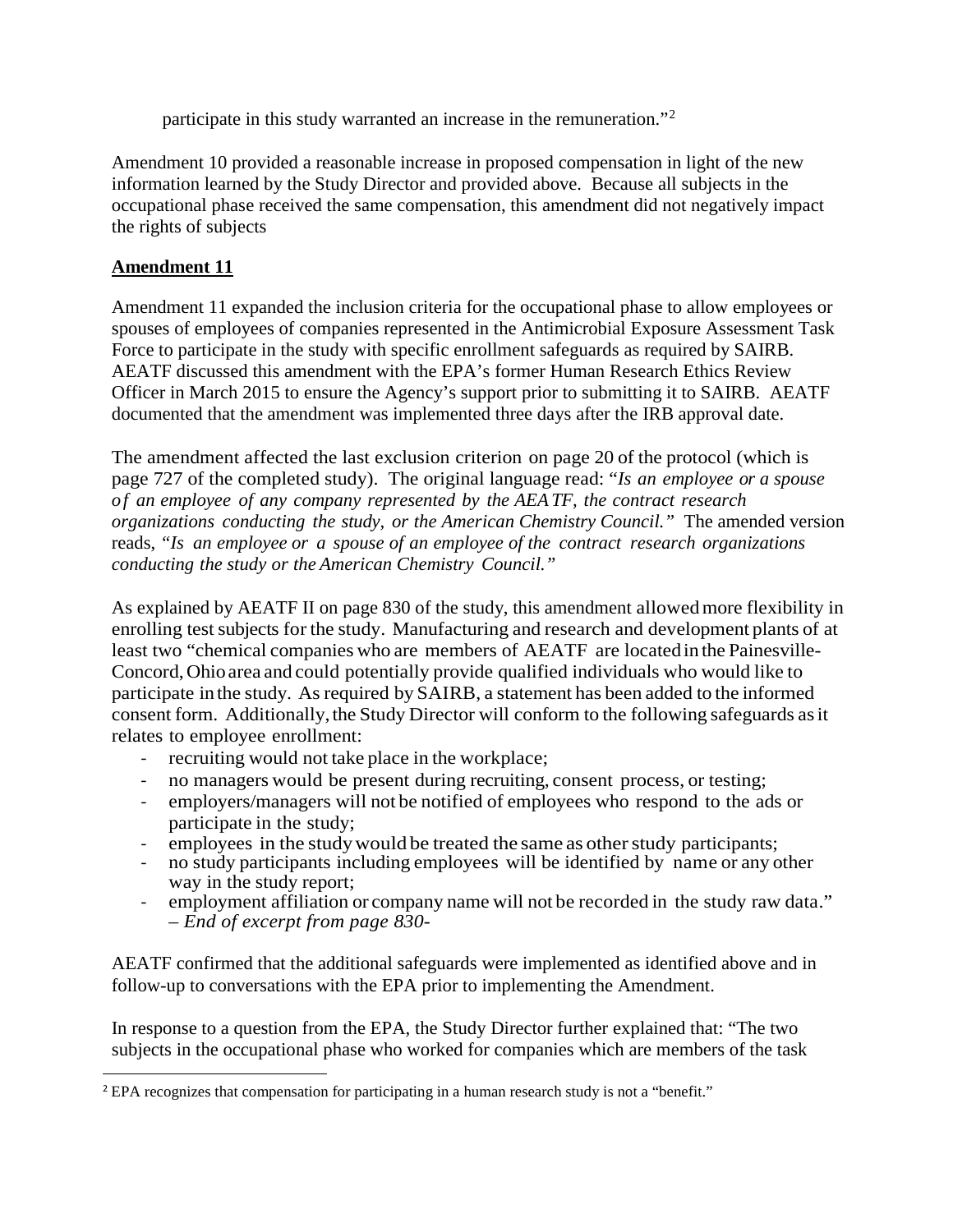participate in this study warranted an increase in the remuneration."[2](#page-18-0)

Amendment 10 provided a reasonable increase in proposed compensation in light of the new information learned by the Study Director and provided above. Because all subjects in the occupational phase received the same compensation, this amendment did not negatively impact the rights of subjects

### **Amendment 11**

Amendment 11 expanded the inclusion criteria for the occupational phase to allow employees or spouses of employees of companies represented in the Antimicrobial Exposure Assessment Task Force to participate in the study with specific enrollment safeguards as required by SAIRB. AEATF discussed this amendment with the EPA's former Human Research Ethics Review Officer in March 2015 to ensure the Agency's support prior to submitting it to SAIRB. AEATF documented that the amendment was implemented three days after the IRB approval date.

The amendment affected the last exclusion criterion on page 20 of the protocol (which is page 727 of the completed study). The original language read: "*Is an employee or a spouse of an employee of any company represented by the AEATF, the contract research organizations conducting the study, or the American Chemistry Council."* The amended version reads, *"Is an employee or a spouse of an employee of the contract research organizations conducting the study or the American Chemistry Council."* 

As explained by AEATF II on page 830 of the study, this amendment allowedmore flexibility in enrolling test subjects for the study. Manufacturing and research and development plants of at least two "chemical companies who are members of AEATF are located in the Painesville-Concord,Ohioarea and could potentially provide qualified individuals who would like to participate in the study. As required by SAIRB, a statement has been added to the informed consent form. Additionally, the Study Director will conform to the following safeguards as it relates to employee enrollment:

- recruiting would not take place in the workplace;
- no managers would be present during recruiting, consent process, or testing;
- employers/managers will not be notified of employees who respond to the ads or participate in the study;
- employees in the study would be treated the same as other study participants;
- no study participants including employees will be identified by name or any other way in the study report;
- employment affiliation or company name will not be recorded in the study raw data." *– End of excerpt from page 830-*

AEATF confirmed that the additional safeguards were implemented as identified above and in follow-up to conversations with the EPA prior to implementing the Amendment.

In response to a question from the EPA, the Study Director further explained that: "The two subjects in the occupational phase who worked for companies which are members of the task

<span id="page-18-0"></span><sup>&</sup>lt;sup>2</sup> EPA recognizes that compensation for participating in a human research study is not a "benefit."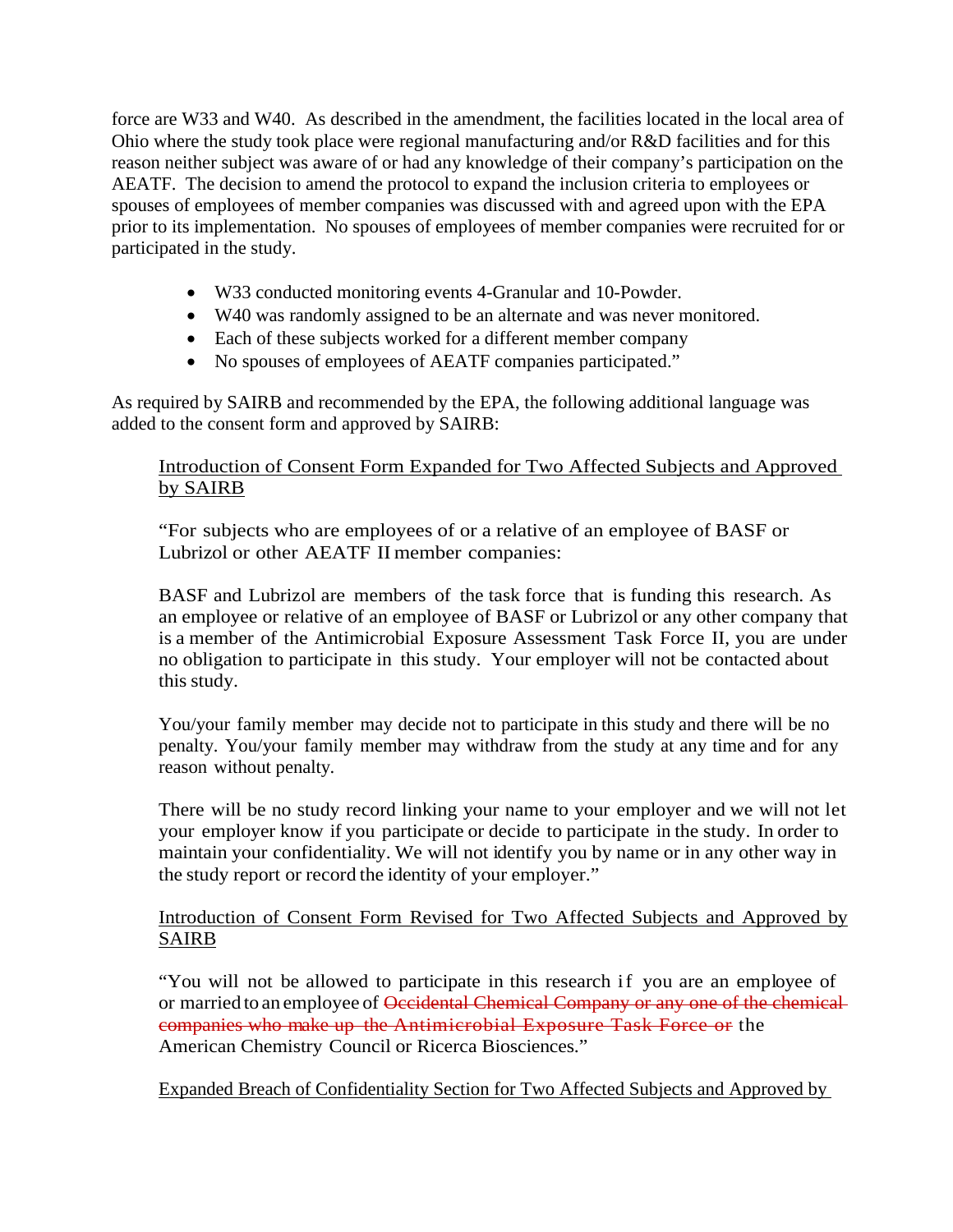force are W33 and W40. As described in the amendment, the facilities located in the local area of Ohio where the study took place were regional manufacturing and/or R&D facilities and for this reason neither subject was aware of or had any knowledge of their company's participation on the AEATF. The decision to amend the protocol to expand the inclusion criteria to employees or spouses of employees of member companies was discussed with and agreed upon with the EPA prior to its implementation. No spouses of employees of member companies were recruited for or participated in the study.

- W33 conducted monitoring events 4-Granular and 10-Powder.
- W40 was randomly assigned to be an alternate and was never monitored.
- Each of these subjects worked for a different member company
- No spouses of employees of AEATF companies participated."

As required by SAIRB and recommended by the EPA, the following additional language was added to the consent form and approved by SAIRB:

## Introduction of Consent Form Expanded for Two Affected Subjects and Approved by SAIRB

"For subjects who are employees of or a relative of an employee of BASF or Lubrizol or other AEATF II member companies:

BASF and Lubrizol are members of the task force that is funding this research. As an employee or relative of an employee of BASF or Lubrizol or any other company that is a member of the Antimicrobial Exposure Assessment Task Force II, you are under no obligation to participate in this study. Your employer will not be contacted about this study.

You/your family member may decide not to participate in this study and there will be no penalty. You/your family member may withdraw from the study at any time and for any reason without penalty.

There will be no study record linking your name to your employer and we will not let your employer know if you participate or decide to participate in the study. In order to maintain your confidentiality. We will not identify you by name or in any other way in the study report or record the identity of your employer."

#### Introduction of Consent Form Revised for Two Affected Subjects and Approved by SAIRB

"You will not be allowed to participate in this research if you are an employee of or married to an employee of Occidental Chemical Company or any one of the chemicalcompanies who make up the Antimicrobial Exposure Task Force or the American Chemistry Council or Ricerca Biosciences."

Expanded Breach of Confidentiality Section for Two Affected Subjects and Approved by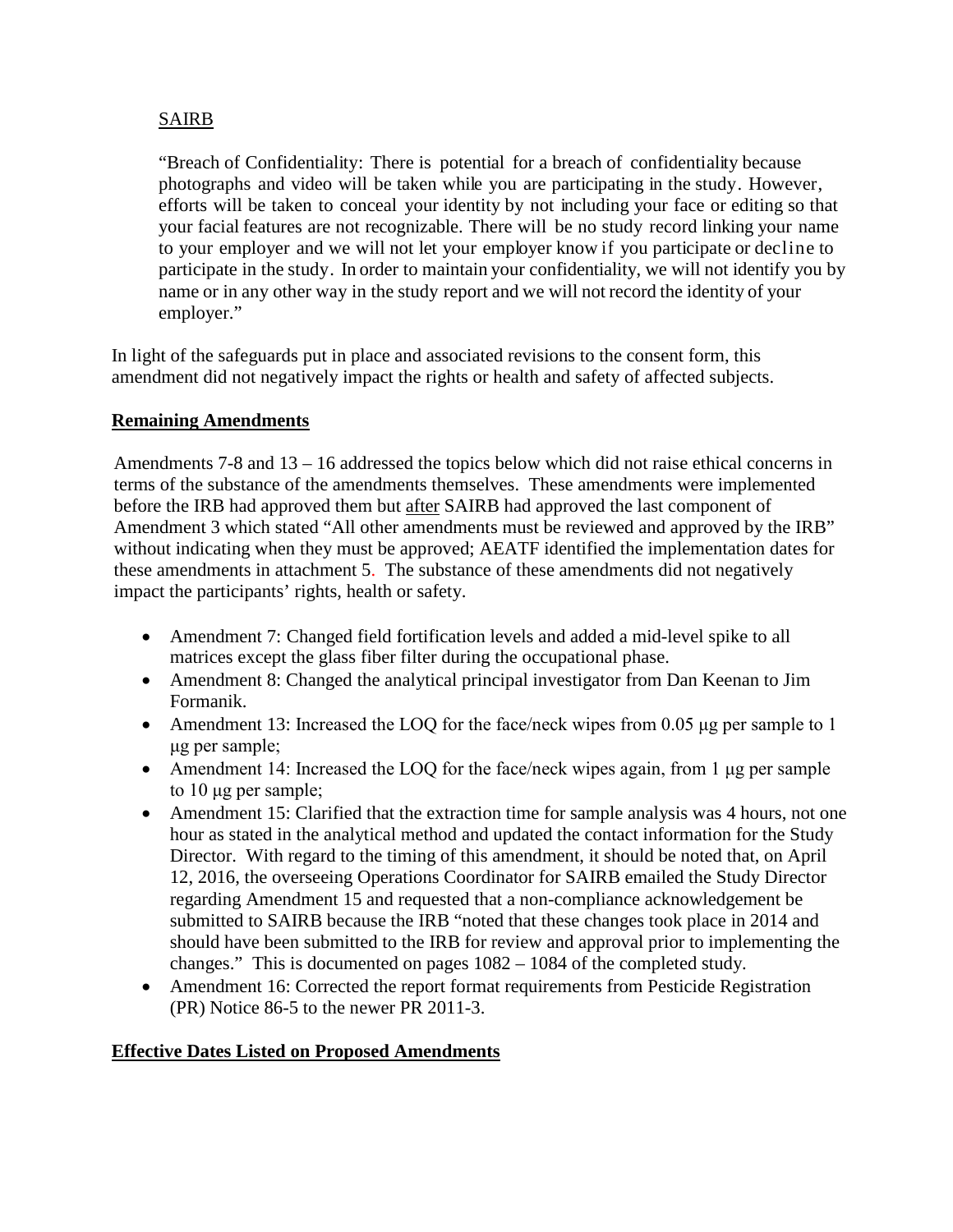## SAIRB

"Breach of Confidentiality: There is potential for a breach of confidentiality because photographs and video will be taken while you are participating in the study. However, efforts will be taken to conceal your identity by not including your face or editing so that your facial features are not recognizable. There will be no study record linking your name to your employer and we will not let your employer know if you participate or decline to participate in the study. In order to maintain your confidentiality, we will not identify you by name or in any other way in the study report and we will not record the identity of your employer."

In light of the safeguards put in place and associated revisions to the consent form, this amendment did not negatively impact the rights or health and safety of affected subjects.

#### **Remaining Amendments**

Amendments 7-8 and 13 – 16 addressed the topics below which did not raise ethical concerns in terms of the substance of the amendments themselves. These amendments were implemented before the IRB had approved them but after SAIRB had approved the last component of Amendment 3 which stated "All other amendments must be reviewed and approved by the IRB" without indicating when they must be approved; AEATF identified the implementation dates for these amendments in attachment 5. The substance of these amendments did not negatively impact the participants' rights, health or safety.

- Amendment 7: Changed field fortification levels and added a mid-level spike to all matrices except the glass fiber filter during the occupational phase.
- Amendment 8: Changed the analytical principal investigator from Dan Keenan to Jim Formanik.
- Amendment 13: Increased the LOQ for the face/neck wipes from 0.05 μg per sample to 1 μg per sample;
- Amendment 14: Increased the LOQ for the face/neck wipes again, from 1 μg per sample to 10 μg per sample;
- Amendment 15: Clarified that the extraction time for sample analysis was 4 hours, not one hour as stated in the analytical method and updated the contact information for the Study Director. With regard to the timing of this amendment, it should be noted that, on April 12, 2016, the overseeing Operations Coordinator for SAIRB emailed the Study Director regarding Amendment 15 and requested that a non-compliance acknowledgement be submitted to SAIRB because the IRB "noted that these changes took place in 2014 and should have been submitted to the IRB for review and approval prior to implementing the changes." This is documented on pages 1082 – 1084 of the completed study.
- Amendment 16: Corrected the report format requirements from Pesticide Registration (PR) Notice 86-5 to the newer PR 2011-3.

### **Effective Dates Listed on Proposed Amendments**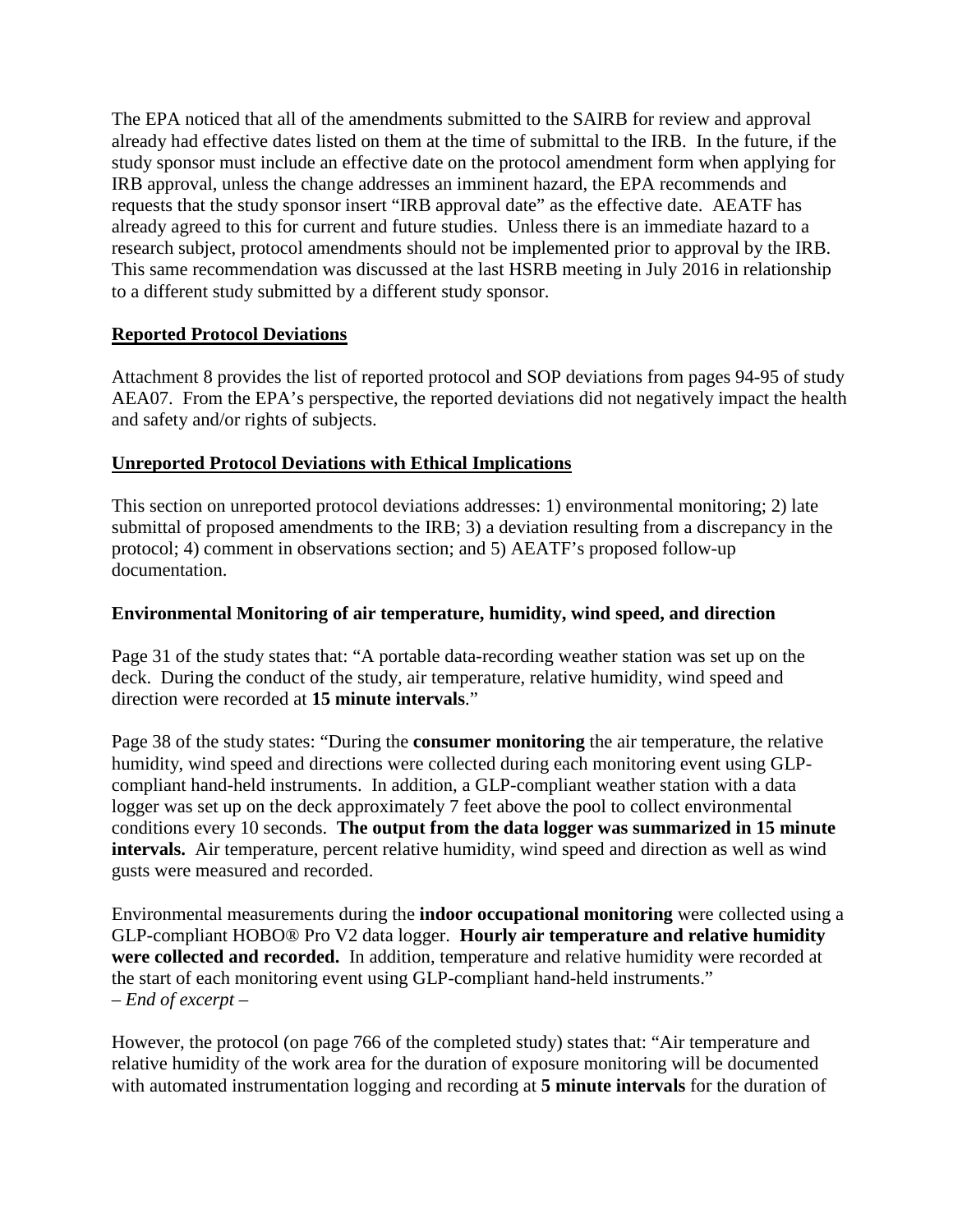The EPA noticed that all of the amendments submitted to the SAIRB for review and approval already had effective dates listed on them at the time of submittal to the IRB. In the future, if the study sponsor must include an effective date on the protocol amendment form when applying for IRB approval, unless the change addresses an imminent hazard, the EPA recommends and requests that the study sponsor insert "IRB approval date" as the effective date. AEATF has already agreed to this for current and future studies. Unless there is an immediate hazard to a research subject, protocol amendments should not be implemented prior to approval by the IRB. This same recommendation was discussed at the last HSRB meeting in July 2016 in relationship to a different study submitted by a different study sponsor.

### **Reported Protocol Deviations**

Attachment 8 provides the list of reported protocol and SOP deviations from pages 94-95 of study AEA07. From the EPA's perspective, the reported deviations did not negatively impact the health and safety and/or rights of subjects.

#### **Unreported Protocol Deviations with Ethical Implications**

This section on unreported protocol deviations addresses: 1) environmental monitoring; 2) late submittal of proposed amendments to the IRB; 3) a deviation resulting from a discrepancy in the protocol; 4) comment in observations section; and 5) AEATF's proposed follow-up documentation.

#### **Environmental Monitoring of air temperature, humidity, wind speed, and direction**

Page 31 of the study states that: "A portable data-recording weather station was set up on the deck. During the conduct of the study, air temperature, relative humidity, wind speed and direction were recorded at **15 minute intervals**."

Page 38 of the study states: "During the **consumer monitoring** the air temperature, the relative humidity, wind speed and directions were collected during each monitoring event using GLPcompliant hand-held instruments. In addition, a GLP-compliant weather station with a data logger was set up on the deck approximately 7 feet above the pool to collect environmental conditions every 10 seconds. **The output from the data logger was summarized in 15 minute intervals.** Air temperature, percent relative humidity, wind speed and direction as well as wind gusts were measured and recorded.

Environmental measurements during the **indoor occupational monitoring** were collected using a GLP-compliant HOBO® Pro V2 data logger. **Hourly air temperature and relative humidity were collected and recorded.** In addition, temperature and relative humidity were recorded at the start of each monitoring event using GLP-compliant hand-held instruments." – *End of excerpt* –

However, the protocol (on page 766 of the completed study) states that: "Air temperature and relative humidity of the work area for the duration of exposure monitoring will be documented with automated instrumentation logging and recording at **5 minute intervals** for the duration of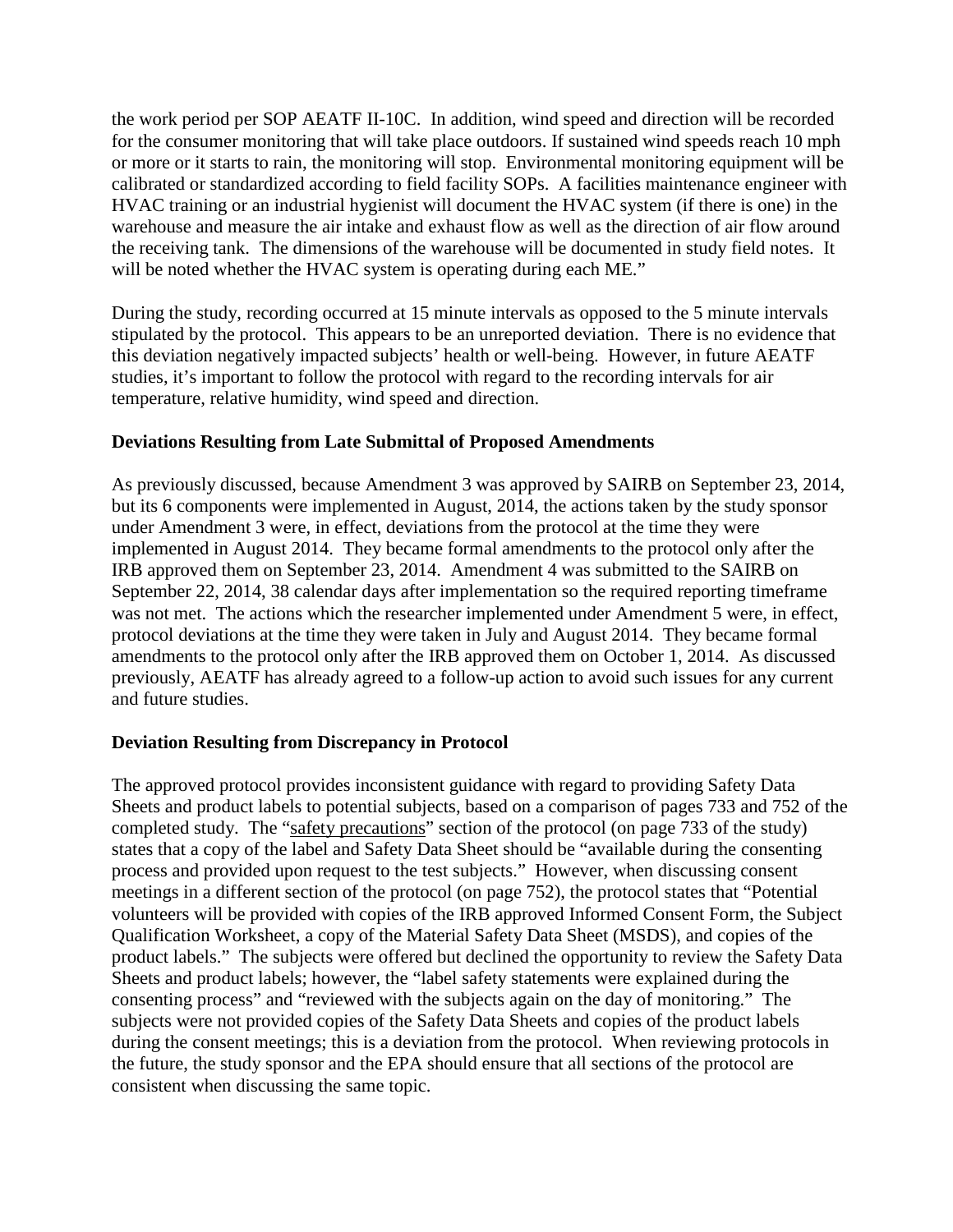the work period per SOP AEATF II-10C. In addition, wind speed and direction will be recorded for the consumer monitoring that will take place outdoors. If sustained wind speeds reach 10 mph or more or it starts to rain, the monitoring will stop. Environmental monitoring equipment will be calibrated or standardized according to field facility SOPs. A facilities maintenance engineer with HVAC training or an industrial hygienist will document the HVAC system (if there is one) in the warehouse and measure the air intake and exhaust flow as well as the direction of air flow around the receiving tank. The dimensions of the warehouse will be documented in study field notes. It will be noted whether the HVAC system is operating during each ME."

During the study, recording occurred at 15 minute intervals as opposed to the 5 minute intervals stipulated by the protocol. This appears to be an unreported deviation. There is no evidence that this deviation negatively impacted subjects' health or well-being. However, in future AEATF studies, it's important to follow the protocol with regard to the recording intervals for air temperature, relative humidity, wind speed and direction.

#### **Deviations Resulting from Late Submittal of Proposed Amendments**

As previously discussed, because Amendment 3 was approved by SAIRB on September 23, 2014, but its 6 components were implemented in August, 2014, the actions taken by the study sponsor under Amendment 3 were, in effect, deviations from the protocol at the time they were implemented in August 2014. They became formal amendments to the protocol only after the IRB approved them on September 23, 2014. Amendment 4 was submitted to the SAIRB on September 22, 2014, 38 calendar days after implementation so the required reporting timeframe was not met. The actions which the researcher implemented under Amendment 5 were, in effect, protocol deviations at the time they were taken in July and August 2014. They became formal amendments to the protocol only after the IRB approved them on October 1, 2014. As discussed previously, AEATF has already agreed to a follow-up action to avoid such issues for any current and future studies.

#### **Deviation Resulting from Discrepancy in Protocol**

The approved protocol provides inconsistent guidance with regard to providing Safety Data Sheets and product labels to potential subjects, based on a comparison of pages 733 and 752 of the completed study. The "safety precautions" section of the protocol (on page 733 of the study) states that a copy of the label and Safety Data Sheet should be "available during the consenting process and provided upon request to the test subjects." However, when discussing consent meetings in a different section of the protocol (on page 752), the protocol states that "Potential volunteers will be provided with copies of the IRB approved Informed Consent Form, the Subject Qualification Worksheet, a copy of the Material Safety Data Sheet (MSDS), and copies of the product labels." The subjects were offered but declined the opportunity to review the Safety Data Sheets and product labels; however, the "label safety statements were explained during the consenting process" and "reviewed with the subjects again on the day of monitoring." The subjects were not provided copies of the Safety Data Sheets and copies of the product labels during the consent meetings; this is a deviation from the protocol. When reviewing protocols in the future, the study sponsor and the EPA should ensure that all sections of the protocol are consistent when discussing the same topic.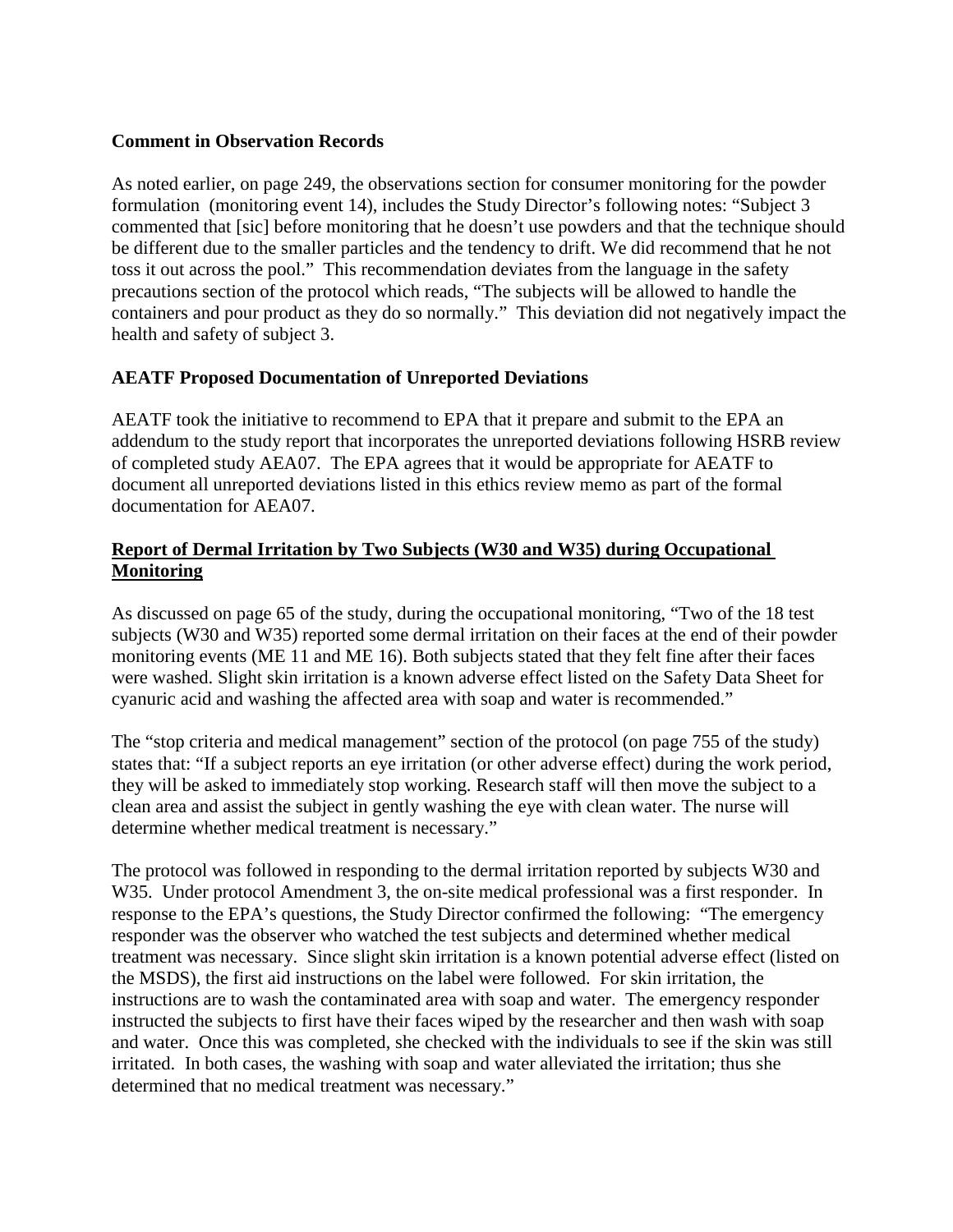### **Comment in Observation Records**

As noted earlier, on page 249, the observations section for consumer monitoring for the powder formulation (monitoring event 14), includes the Study Director's following notes: "Subject 3 commented that [sic] before monitoring that he doesn't use powders and that the technique should be different due to the smaller particles and the tendency to drift. We did recommend that he not toss it out across the pool." This recommendation deviates from the language in the safety precautions section of the protocol which reads, "The subjects will be allowed to handle the containers and pour product as they do so normally." This deviation did not negatively impact the health and safety of subject 3.

### **AEATF Proposed Documentation of Unreported Deviations**

AEATF took the initiative to recommend to EPA that it prepare and submit to the EPA an addendum to the study report that incorporates the unreported deviations following HSRB review of completed study AEA07. The EPA agrees that it would be appropriate for AEATF to document all unreported deviations listed in this ethics review memo as part of the formal documentation for AEA07.

### **Report of Dermal Irritation by Two Subjects (W30 and W35) during Occupational Monitoring**

As discussed on page 65 of the study, during the occupational monitoring, "Two of the 18 test subjects (W30 and W35) reported some dermal irritation on their faces at the end of their powder monitoring events (ME 11 and ME 16). Both subjects stated that they felt fine after their faces were washed. Slight skin irritation is a known adverse effect listed on the Safety Data Sheet for cyanuric acid and washing the affected area with soap and water is recommended."

The "stop criteria and medical management" section of the protocol (on page 755 of the study) states that: "If a subject reports an eye irritation (or other adverse effect) during the work period, they will be asked to immediately stop working. Research staff will then move the subject to a clean area and assist the subject in gently washing the eye with clean water. The nurse will determine whether medical treatment is necessary."

The protocol was followed in responding to the dermal irritation reported by subjects W30 and W35. Under protocol Amendment 3, the on-site medical professional was a first responder. In response to the EPA's questions, the Study Director confirmed the following: "The emergency responder was the observer who watched the test subjects and determined whether medical treatment was necessary. Since slight skin irritation is a known potential adverse effect (listed on the MSDS), the first aid instructions on the label were followed. For skin irritation, the instructions are to wash the contaminated area with soap and water. The emergency responder instructed the subjects to first have their faces wiped by the researcher and then wash with soap and water. Once this was completed, she checked with the individuals to see if the skin was still irritated. In both cases, the washing with soap and water alleviated the irritation; thus she determined that no medical treatment was necessary."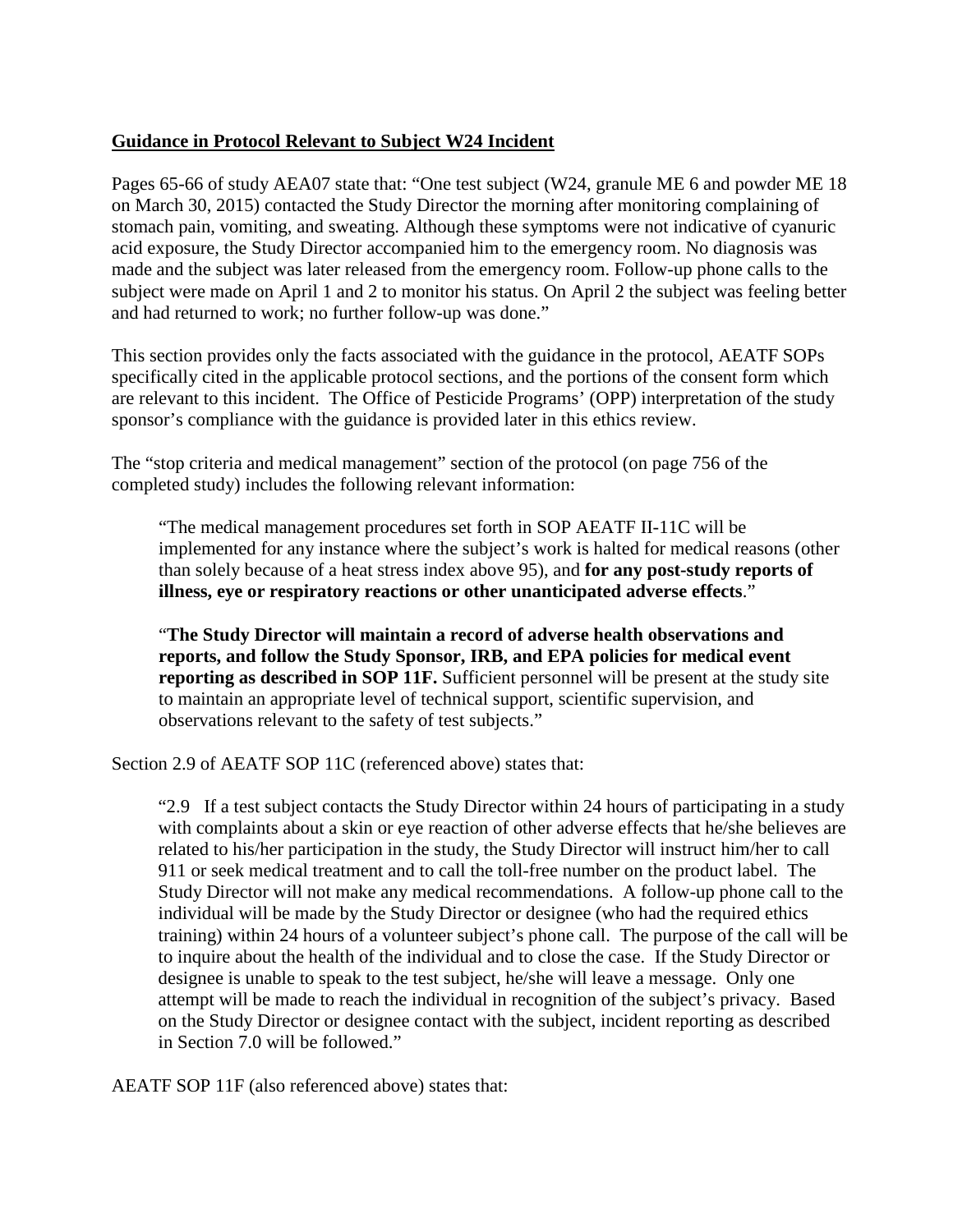#### **Guidance in Protocol Relevant to Subject W24 Incident**

Pages 65-66 of study AEA07 state that: "One test subject (W24, granule ME 6 and powder ME 18 on March 30, 2015) contacted the Study Director the morning after monitoring complaining of stomach pain, vomiting, and sweating. Although these symptoms were not indicative of cyanuric acid exposure, the Study Director accompanied him to the emergency room. No diagnosis was made and the subject was later released from the emergency room. Follow-up phone calls to the subject were made on April 1 and 2 to monitor his status. On April 2 the subject was feeling better and had returned to work; no further follow-up was done."

This section provides only the facts associated with the guidance in the protocol, AEATF SOPs specifically cited in the applicable protocol sections, and the portions of the consent form which are relevant to this incident. The Office of Pesticide Programs' (OPP) interpretation of the study sponsor's compliance with the guidance is provided later in this ethics review.

The "stop criteria and medical management" section of the protocol (on page 756 of the completed study) includes the following relevant information:

"The medical management procedures set forth in SOP AEATF II-11C will be implemented for any instance where the subject's work is halted for medical reasons (other than solely because of a heat stress index above 95), and **for any post-study reports of illness, eye or respiratory reactions or other unanticipated adverse effects**."

"**The Study Director will maintain a record of adverse health observations and reports, and follow the Study Sponsor, IRB, and EPA policies for medical event reporting as described in SOP 11F.** Sufficient personnel will be present at the study site to maintain an appropriate level of technical support, scientific supervision, and observations relevant to the safety of test subjects."

Section 2.9 of AEATF SOP 11C (referenced above) states that:

"2.9 If a test subject contacts the Study Director within 24 hours of participating in a study with complaints about a skin or eye reaction of other adverse effects that he/she believes are related to his/her participation in the study, the Study Director will instruct him/her to call 911 or seek medical treatment and to call the toll-free number on the product label. The Study Director will not make any medical recommendations. A follow-up phone call to the individual will be made by the Study Director or designee (who had the required ethics training) within 24 hours of a volunteer subject's phone call. The purpose of the call will be to inquire about the health of the individual and to close the case. If the Study Director or designee is unable to speak to the test subject, he/she will leave a message. Only one attempt will be made to reach the individual in recognition of the subject's privacy. Based on the Study Director or designee contact with the subject, incident reporting as described in Section 7.0 will be followed."

AEATF SOP 11F (also referenced above) states that: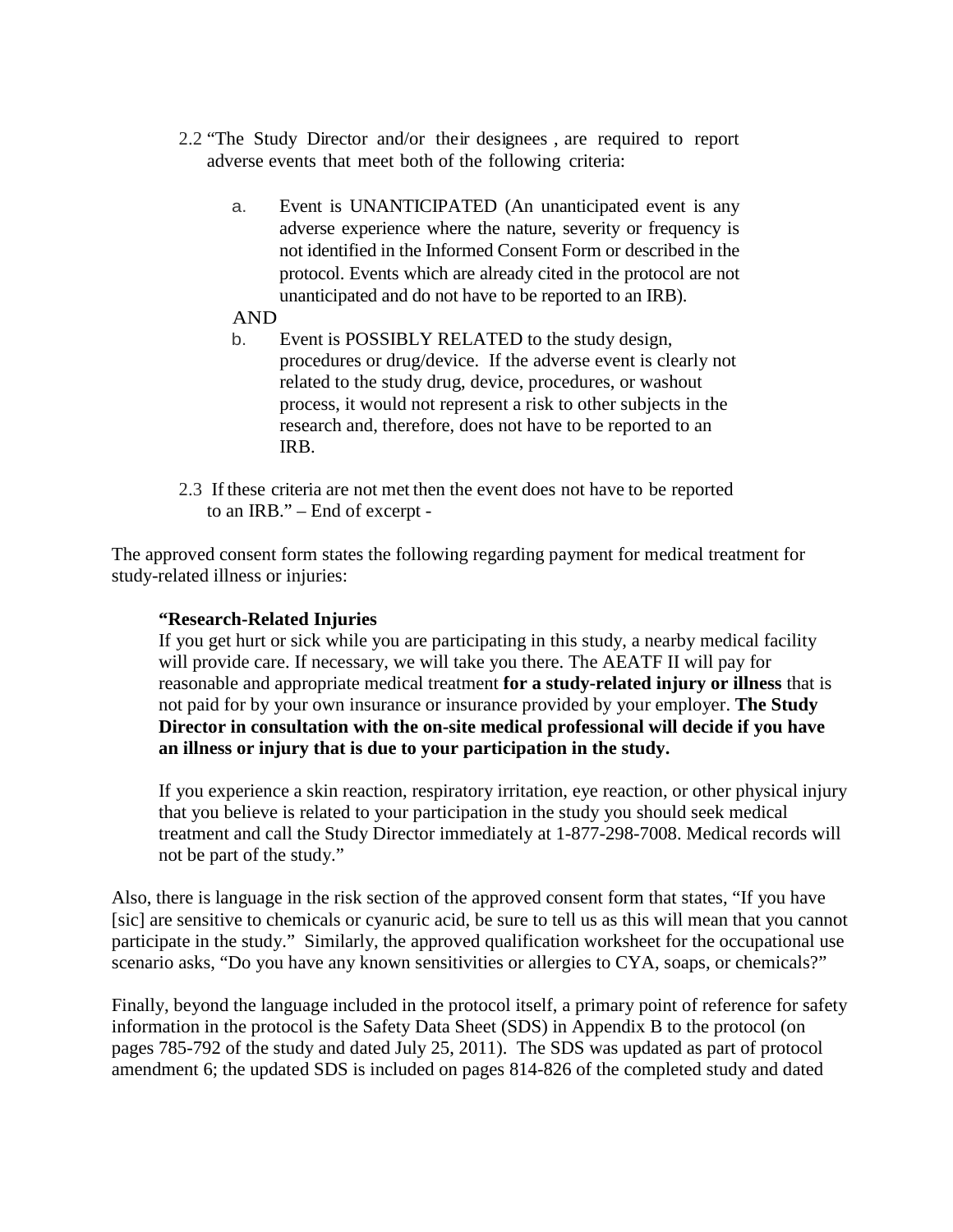- 2.2 "The Study Director and/or their designees , are required to report adverse events that meet both of the following criteria:
	- a. Event is UNANTICIPATED (An unanticipated event is any adverse experience where the nature, severity or frequency is not identified in the Informed Consent Form or described in the protocol. Events which are already cited in the protocol are not unanticipated and do not have to be reported to an IRB).

#### AND

- b. Event is POSSIBLY RELATED to the study design, procedures or drug/device. If the adverse event is clearly not related to the study drug, device, procedures, or washout process, it would not represent a risk to other subjects in the research and, therefore, does not have to be reported to an IRB.
- 2.3 If these criteria are not met then the event does not have to be reported to an IRB." – End of excerpt -

The approved consent form states the following regarding payment for medical treatment for study-related illness or injuries:

#### **"Research-Related Injuries**

If you get hurt or sick while you are participating in this study, a nearby medical facility will provide care. If necessary, we will take you there. The AEATF II will pay for reasonable and appropriate medical treatment **for a study-related injury or illness** that is not paid for by your own insurance or insurance provided by your employer. **The Study Director in consultation with the on-site medical professional will decide if you have an illness or injury that is due to your participation in the study.**

If you experience a skin reaction, respiratory irritation, eye reaction, or other physical injury that you believe is related to your participation in the study you should seek medical treatment and call the Study Director immediately at 1-877-298-7008. Medical records will not be part of the study."

Also, there is language in the risk section of the approved consent form that states, "If you have [sic] are sensitive to chemicals or cyanuric acid, be sure to tell us as this will mean that you cannot participate in the study." Similarly, the approved qualification worksheet for the occupational use scenario asks, "Do you have any known sensitivities or allergies to CYA, soaps, or chemicals?"

Finally, beyond the language included in the protocol itself, a primary point of reference for safety information in the protocol is the Safety Data Sheet (SDS) in Appendix B to the protocol (on pages 785-792 of the study and dated July 25, 2011). The SDS was updated as part of protocol amendment 6; the updated SDS is included on pages 814-826 of the completed study and dated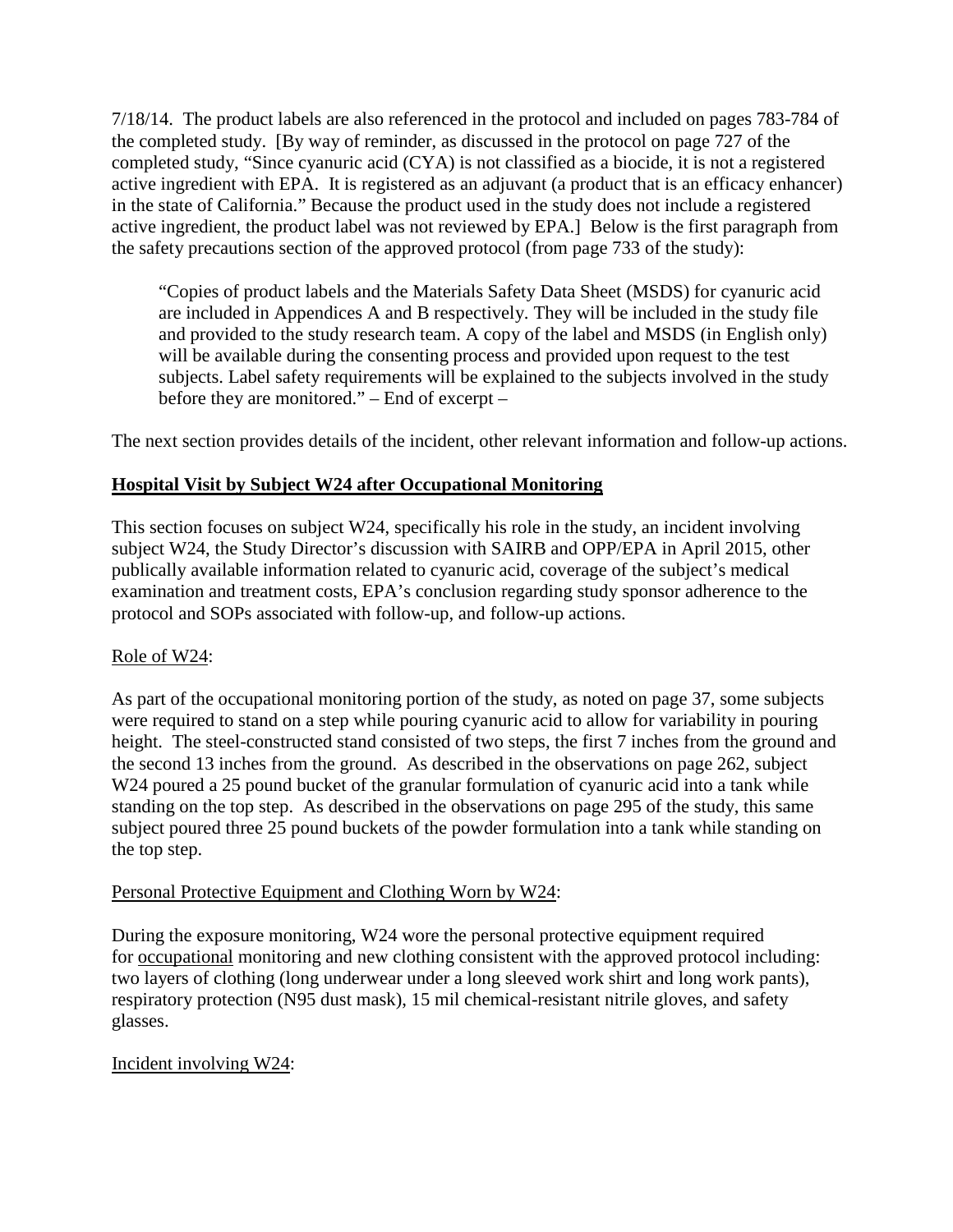7/18/14. The product labels are also referenced in the protocol and included on pages 783-784 of the completed study. [By way of reminder, as discussed in the protocol on page 727 of the completed study, "Since cyanuric acid (CYA) is not classified as a biocide, it is not a registered active ingredient with EPA. It is registered as an adjuvant (a product that is an efficacy enhancer) in the state of California." Because the product used in the study does not include a registered active ingredient, the product label was not reviewed by EPA.] Below is the first paragraph from the safety precautions section of the approved protocol (from page 733 of the study):

"Copies of product labels and the Materials Safety Data Sheet (MSDS) for cyanuric acid are included in Appendices A and B respectively. They will be included in the study file and provided to the study research team. A copy of the label and MSDS (in English only) will be available during the consenting process and provided upon request to the test subjects. Label safety requirements will be explained to the subjects involved in the study before they are monitored." – End of excerpt –

The next section provides details of the incident, other relevant information and follow-up actions.

### **Hospital Visit by Subject W24 after Occupational Monitoring**

This section focuses on subject W24, specifically his role in the study, an incident involving subject W24, the Study Director's discussion with SAIRB and OPP/EPA in April 2015, other publically available information related to cyanuric acid, coverage of the subject's medical examination and treatment costs, EPA's conclusion regarding study sponsor adherence to the protocol and SOPs associated with follow-up, and follow-up actions.

### Role of W24:

As part of the occupational monitoring portion of the study, as noted on page 37, some subjects were required to stand on a step while pouring cyanuric acid to allow for variability in pouring height. The steel-constructed stand consisted of two steps, the first 7 inches from the ground and the second 13 inches from the ground. As described in the observations on page 262, subject W24 poured a 25 pound bucket of the granular formulation of cyanuric acid into a tank while standing on the top step. As described in the observations on page 295 of the study, this same subject poured three 25 pound buckets of the powder formulation into a tank while standing on the top step.

#### Personal Protective Equipment and Clothing Worn by W24:

During the exposure monitoring, W24 wore the personal protective equipment required for occupational monitoring and new clothing consistent with the approved protocol including: two layers of clothing (long underwear under a long sleeved work shirt and long work pants), respiratory protection (N95 dust mask), 15 mil chemical-resistant nitrile gloves, and safety glasses.

### Incident involving W24: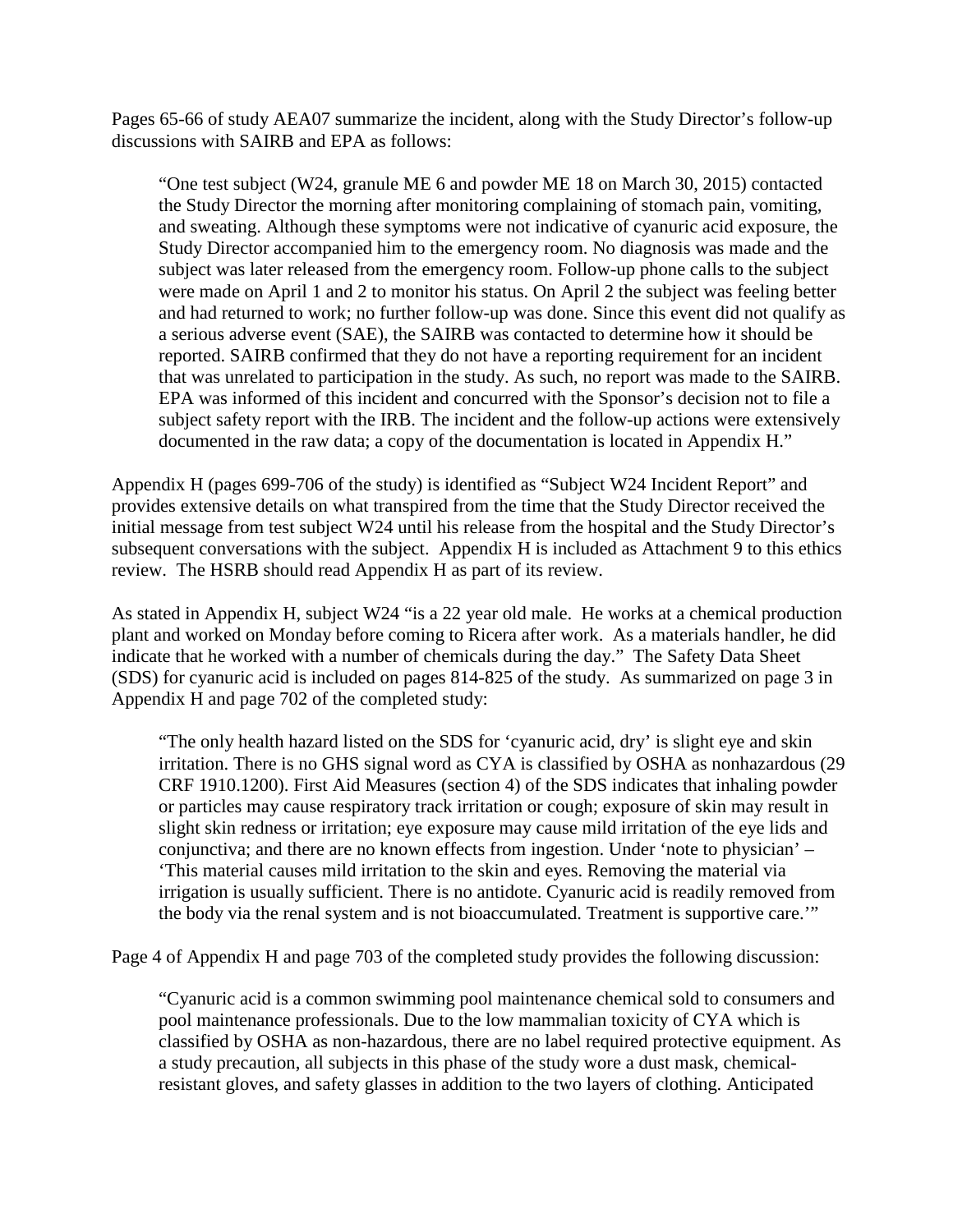Pages 65-66 of study AEA07 summarize the incident, along with the Study Director's follow-up discussions with SAIRB and EPA as follows:

"One test subject (W24, granule ME 6 and powder ME 18 on March 30, 2015) contacted the Study Director the morning after monitoring complaining of stomach pain, vomiting, and sweating. Although these symptoms were not indicative of cyanuric acid exposure, the Study Director accompanied him to the emergency room. No diagnosis was made and the subject was later released from the emergency room. Follow-up phone calls to the subject were made on April 1 and 2 to monitor his status. On April 2 the subject was feeling better and had returned to work; no further follow-up was done. Since this event did not qualify as a serious adverse event (SAE), the SAIRB was contacted to determine how it should be reported. SAIRB confirmed that they do not have a reporting requirement for an incident that was unrelated to participation in the study. As such, no report was made to the SAIRB. EPA was informed of this incident and concurred with the Sponsor's decision not to file a subject safety report with the IRB. The incident and the follow-up actions were extensively documented in the raw data; a copy of the documentation is located in Appendix H."

Appendix H (pages 699-706 of the study) is identified as "Subject W24 Incident Report" and provides extensive details on what transpired from the time that the Study Director received the initial message from test subject W24 until his release from the hospital and the Study Director's subsequent conversations with the subject. Appendix H is included as Attachment 9 to this ethics review. The HSRB should read Appendix H as part of its review.

As stated in Appendix H, subject W24 "is a 22 year old male. He works at a chemical production plant and worked on Monday before coming to Ricera after work. As a materials handler, he did indicate that he worked with a number of chemicals during the day." The Safety Data Sheet (SDS) for cyanuric acid is included on pages 814-825 of the study. As summarized on page 3 in Appendix H and page 702 of the completed study:

"The only health hazard listed on the SDS for 'cyanuric acid, dry' is slight eye and skin irritation. There is no GHS signal word as CYA is classified by OSHA as nonhazardous (29 CRF 1910.1200). First Aid Measures (section 4) of the SDS indicates that inhaling powder or particles may cause respiratory track irritation or cough; exposure of skin may result in slight skin redness or irritation; eye exposure may cause mild irritation of the eye lids and conjunctiva; and there are no known effects from ingestion. Under 'note to physician' – 'This material causes mild irritation to the skin and eyes. Removing the material via irrigation is usually sufficient. There is no antidote. Cyanuric acid is readily removed from the body via the renal system and is not bioaccumulated. Treatment is supportive care.'"

Page 4 of Appendix H and page 703 of the completed study provides the following discussion:

"Cyanuric acid is a common swimming pool maintenance chemical sold to consumers and pool maintenance professionals. Due to the low mammalian toxicity of CYA which is classified by OSHA as non-hazardous, there are no label required protective equipment. As a study precaution, all subjects in this phase of the study wore a dust mask, chemicalresistant gloves, and safety glasses in addition to the two layers of clothing. Anticipated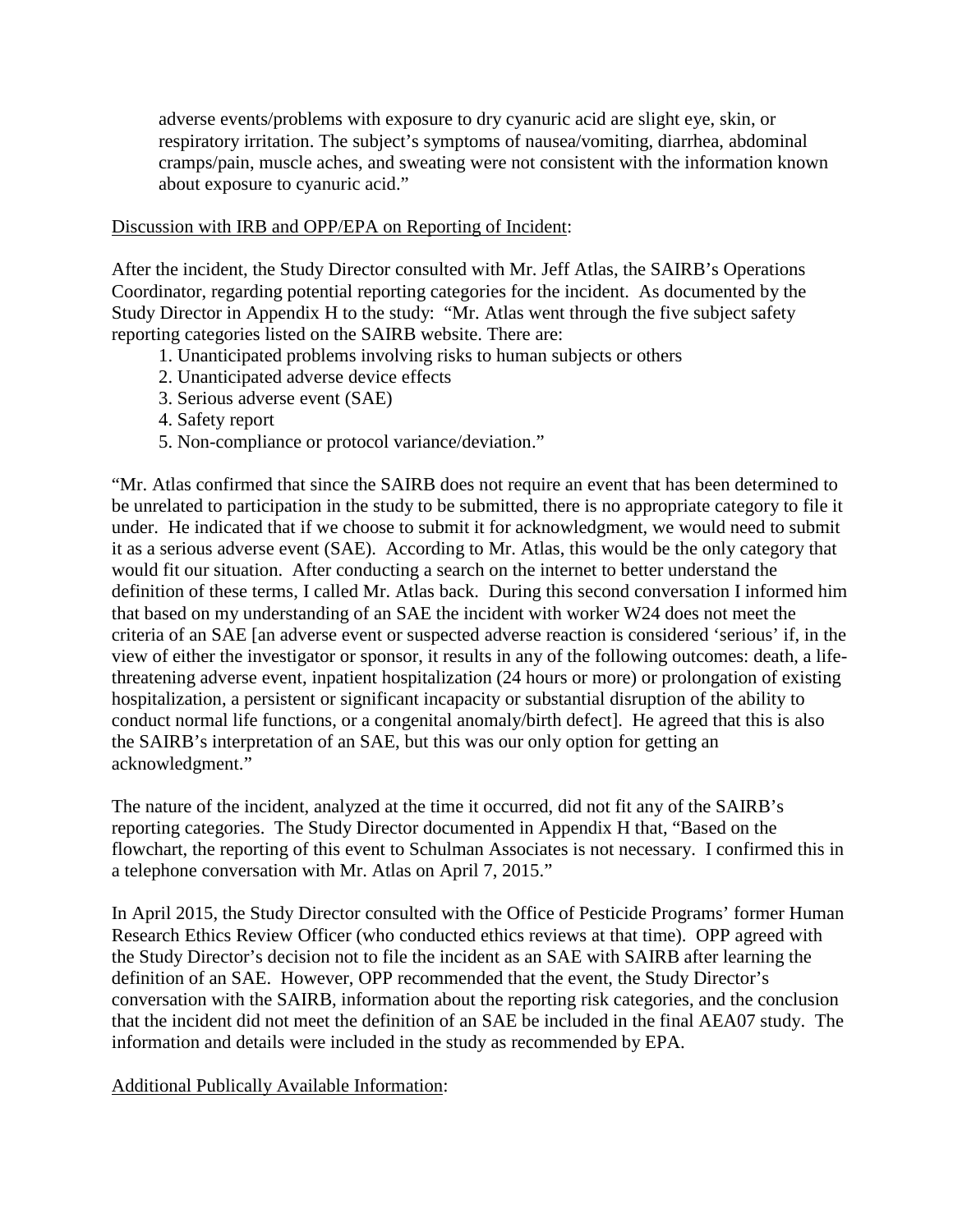adverse events/problems with exposure to dry cyanuric acid are slight eye, skin, or respiratory irritation. The subject's symptoms of nausea/vomiting, diarrhea, abdominal cramps/pain, muscle aches, and sweating were not consistent with the information known about exposure to cyanuric acid."

#### Discussion with IRB and OPP/EPA on Reporting of Incident:

After the incident, the Study Director consulted with Mr. Jeff Atlas, the SAIRB's Operations Coordinator, regarding potential reporting categories for the incident. As documented by the Study Director in Appendix H to the study: "Mr. Atlas went through the five subject safety reporting categories listed on the SAIRB website. There are:

- 1. Unanticipated problems involving risks to human subjects or others
- 2. Unanticipated adverse device effects
- 3. Serious adverse event (SAE)
- 4. Safety report
- 5. Non-compliance or protocol variance/deviation."

"Mr. Atlas confirmed that since the SAIRB does not require an event that has been determined to be unrelated to participation in the study to be submitted, there is no appropriate category to file it under. He indicated that if we choose to submit it for acknowledgment, we would need to submit it as a serious adverse event (SAE). According to Mr. Atlas, this would be the only category that would fit our situation. After conducting a search on the internet to better understand the definition of these terms, I called Mr. Atlas back. During this second conversation I informed him that based on my understanding of an SAE the incident with worker W24 does not meet the criteria of an SAE [an adverse event or suspected adverse reaction is considered 'serious' if, in the view of either the investigator or sponsor, it results in any of the following outcomes: death, a lifethreatening adverse event, inpatient hospitalization (24 hours or more) or prolongation of existing hospitalization, a persistent or significant incapacity or substantial disruption of the ability to conduct normal life functions, or a congenital anomaly/birth defect]. He agreed that this is also the SAIRB's interpretation of an SAE, but this was our only option for getting an acknowledgment."

The nature of the incident, analyzed at the time it occurred, did not fit any of the SAIRB's reporting categories. The Study Director documented in Appendix H that, "Based on the flowchart, the reporting of this event to Schulman Associates is not necessary. I confirmed this in a telephone conversation with Mr. Atlas on April 7, 2015."

In April 2015, the Study Director consulted with the Office of Pesticide Programs' former Human Research Ethics Review Officer (who conducted ethics reviews at that time). OPP agreed with the Study Director's decision not to file the incident as an SAE with SAIRB after learning the definition of an SAE. However, OPP recommended that the event, the Study Director's conversation with the SAIRB, information about the reporting risk categories, and the conclusion that the incident did not meet the definition of an SAE be included in the final AEA07 study. The information and details were included in the study as recommended by EPA.

Additional Publically Available Information: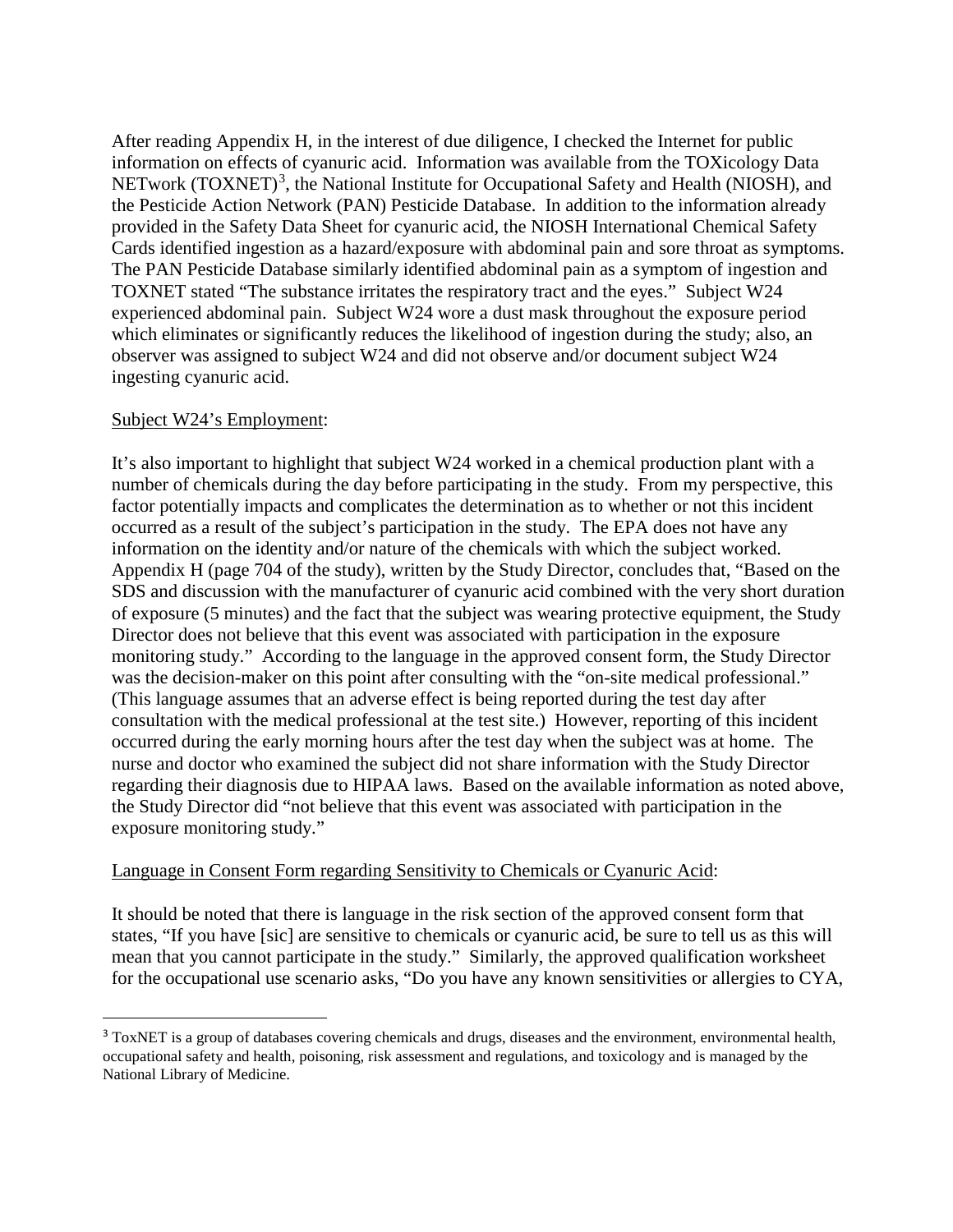After reading Appendix H, in the interest of due diligence, I checked the Internet for public information on effects of cyanuric acid. Information was available from the TOXicology Data NETwork (TOXNET)<sup>[3](#page-29-0)</sup>, the National Institute for Occupational Safety and Health (NIOSH), and the Pesticide Action Network (PAN) Pesticide Database. In addition to the information already provided in the Safety Data Sheet for cyanuric acid, the NIOSH International Chemical Safety Cards identified ingestion as a hazard/exposure with abdominal pain and sore throat as symptoms. The PAN Pesticide Database similarly identified abdominal pain as a symptom of ingestion and TOXNET stated "The substance irritates the respiratory tract and the eyes." Subject W24 experienced abdominal pain. Subject W24 wore a dust mask throughout the exposure period which eliminates or significantly reduces the likelihood of ingestion during the study; also, an observer was assigned to subject W24 and did not observe and/or document subject W24 ingesting cyanuric acid.

#### Subject W24's Employment:

It's also important to highlight that subject W24 worked in a chemical production plant with a number of chemicals during the day before participating in the study. From my perspective, this factor potentially impacts and complicates the determination as to whether or not this incident occurred as a result of the subject's participation in the study. The EPA does not have any information on the identity and/or nature of the chemicals with which the subject worked. Appendix H (page 704 of the study), written by the Study Director, concludes that, "Based on the SDS and discussion with the manufacturer of cyanuric acid combined with the very short duration of exposure (5 minutes) and the fact that the subject was wearing protective equipment, the Study Director does not believe that this event was associated with participation in the exposure monitoring study." According to the language in the approved consent form, the Study Director was the decision-maker on this point after consulting with the "on-site medical professional." (This language assumes that an adverse effect is being reported during the test day after consultation with the medical professional at the test site.) However, reporting of this incident occurred during the early morning hours after the test day when the subject was at home. The nurse and doctor who examined the subject did not share information with the Study Director regarding their diagnosis due to HIPAA laws. Based on the available information as noted above, the Study Director did "not believe that this event was associated with participation in the exposure monitoring study."

#### Language in Consent Form regarding Sensitivity to Chemicals or Cyanuric Acid:

It should be noted that there is language in the risk section of the approved consent form that states, "If you have [sic] are sensitive to chemicals or cyanuric acid, be sure to tell us as this will mean that you cannot participate in the study." Similarly, the approved qualification worksheet for the occupational use scenario asks, "Do you have any known sensitivities or allergies to CYA,

<span id="page-29-0"></span><sup>&</sup>lt;sup>3</sup> ToxNET is a group of databases covering chemicals and drugs, diseases and the environment, environmental health, occupational safety and health, poisoning, risk assessment and regulations, and toxicology and is managed by the National Library of Medicine.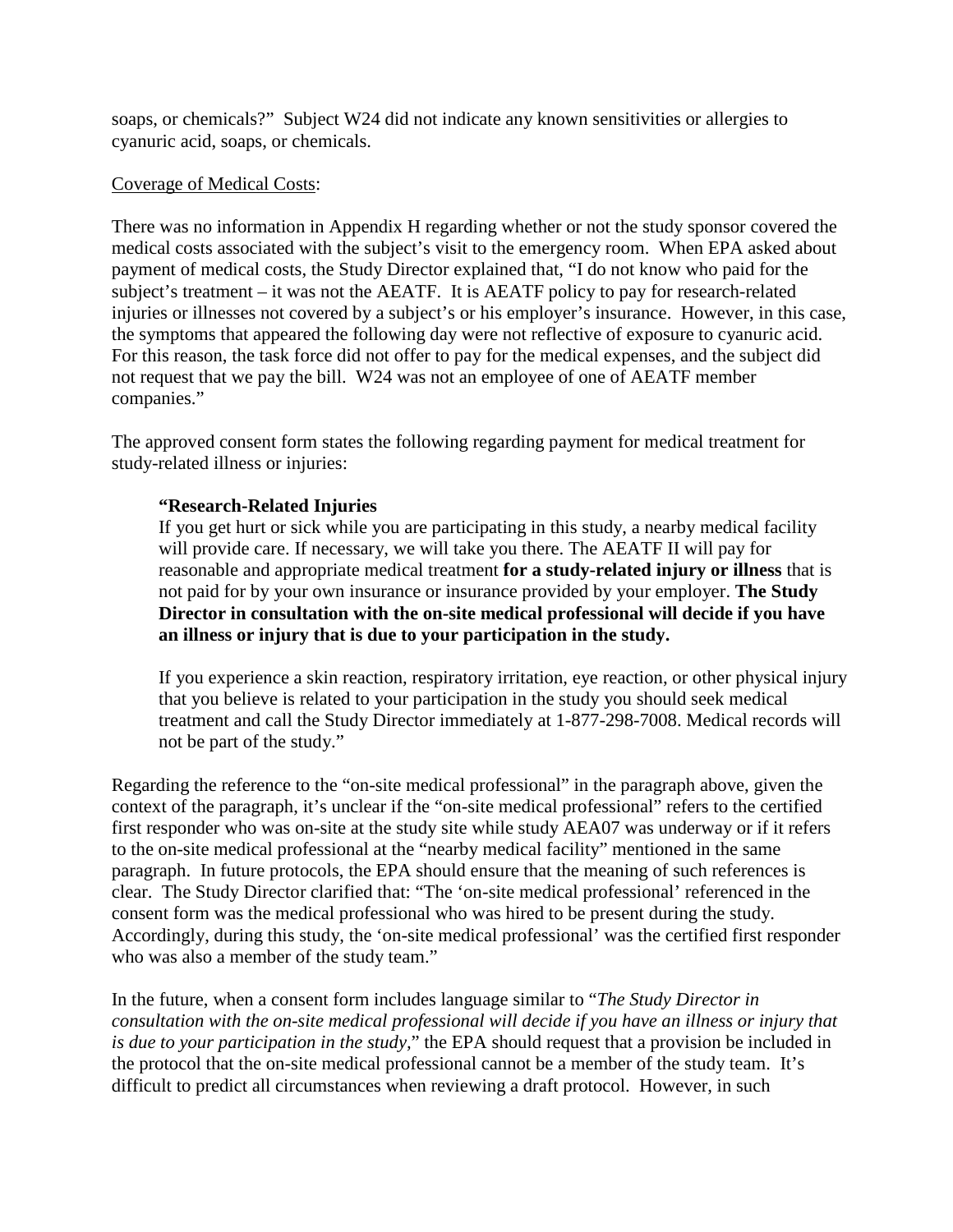soaps, or chemicals?" Subject W24 did not indicate any known sensitivities or allergies to cyanuric acid, soaps, or chemicals.

#### Coverage of Medical Costs:

There was no information in Appendix H regarding whether or not the study sponsor covered the medical costs associated with the subject's visit to the emergency room. When EPA asked about payment of medical costs, the Study Director explained that, "I do not know who paid for the subject's treatment – it was not the AEATF. It is AEATF policy to pay for research-related injuries or illnesses not covered by a subject's or his employer's insurance. However, in this case, the symptoms that appeared the following day were not reflective of exposure to cyanuric acid. For this reason, the task force did not offer to pay for the medical expenses, and the subject did not request that we pay the bill. W24 was not an employee of one of AEATF member companies."

The approved consent form states the following regarding payment for medical treatment for study-related illness or injuries:

#### **"Research-Related Injuries**

If you get hurt or sick while you are participating in this study, a nearby medical facility will provide care. If necessary, we will take you there. The AEATF II will pay for reasonable and appropriate medical treatment **for a study-related injury or illness** that is not paid for by your own insurance or insurance provided by your employer. **The Study Director in consultation with the on-site medical professional will decide if you have an illness or injury that is due to your participation in the study.**

If you experience a skin reaction, respiratory irritation, eye reaction, or other physical injury that you believe is related to your participation in the study you should seek medical treatment and call the Study Director immediately at 1-877-298-7008. Medical records will not be part of the study."

Regarding the reference to the "on-site medical professional" in the paragraph above, given the context of the paragraph, it's unclear if the "on-site medical professional" refers to the certified first responder who was on-site at the study site while study AEA07 was underway or if it refers to the on-site medical professional at the "nearby medical facility" mentioned in the same paragraph. In future protocols, the EPA should ensure that the meaning of such references is clear. The Study Director clarified that: "The 'on-site medical professional' referenced in the consent form was the medical professional who was hired to be present during the study. Accordingly, during this study, the 'on-site medical professional' was the certified first responder who was also a member of the study team."

In the future, when a consent form includes language similar to "*The Study Director in consultation with the on-site medical professional will decide if you have an illness or injury that is due to your participation in the study,*" the EPA should request that a provision be included in the protocol that the on-site medical professional cannot be a member of the study team. It's difficult to predict all circumstances when reviewing a draft protocol. However, in such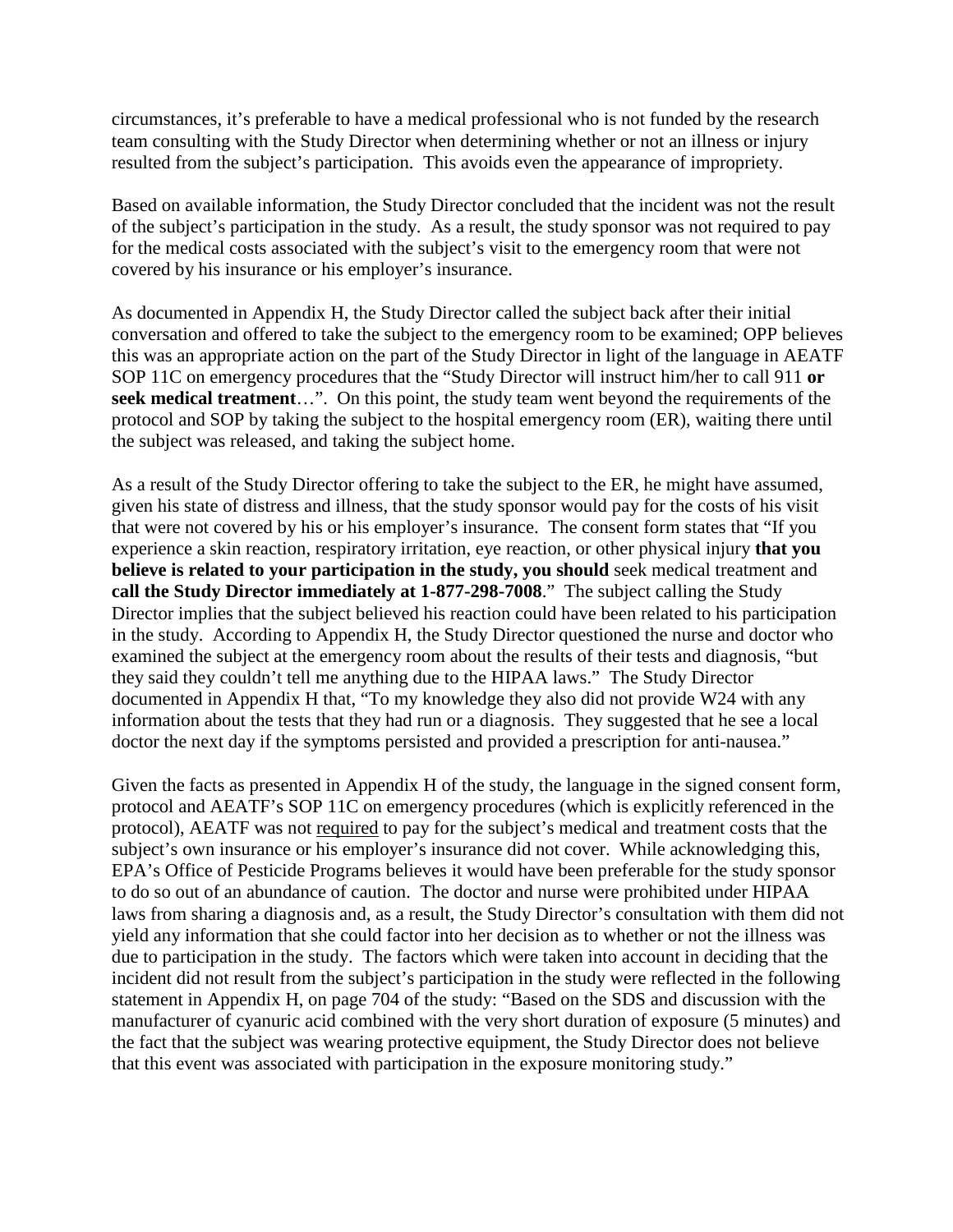circumstances, it's preferable to have a medical professional who is not funded by the research team consulting with the Study Director when determining whether or not an illness or injury resulted from the subject's participation. This avoids even the appearance of impropriety.

Based on available information, the Study Director concluded that the incident was not the result of the subject's participation in the study. As a result, the study sponsor was not required to pay for the medical costs associated with the subject's visit to the emergency room that were not covered by his insurance or his employer's insurance.

As documented in Appendix H, the Study Director called the subject back after their initial conversation and offered to take the subject to the emergency room to be examined; OPP believes this was an appropriate action on the part of the Study Director in light of the language in AEATF SOP 11C on emergency procedures that the "Study Director will instruct him/her to call 911 **or seek medical treatment**…". On this point, the study team went beyond the requirements of the protocol and SOP by taking the subject to the hospital emergency room (ER), waiting there until the subject was released, and taking the subject home.

As a result of the Study Director offering to take the subject to the ER, he might have assumed, given his state of distress and illness, that the study sponsor would pay for the costs of his visit that were not covered by his or his employer's insurance. The consent form states that "If you experience a skin reaction, respiratory irritation, eye reaction, or other physical injury **that you believe is related to your participation in the study, you should** seek medical treatment and **call the Study Director immediately at 1-877-298-7008**." The subject calling the Study Director implies that the subject believed his reaction could have been related to his participation in the study. According to Appendix H, the Study Director questioned the nurse and doctor who examined the subject at the emergency room about the results of their tests and diagnosis, "but they said they couldn't tell me anything due to the HIPAA laws." The Study Director documented in Appendix H that, "To my knowledge they also did not provide W24 with any information about the tests that they had run or a diagnosis. They suggested that he see a local doctor the next day if the symptoms persisted and provided a prescription for anti-nausea."

Given the facts as presented in Appendix H of the study, the language in the signed consent form, protocol and AEATF's SOP 11C on emergency procedures (which is explicitly referenced in the protocol), AEATF was not required to pay for the subject's medical and treatment costs that the subject's own insurance or his employer's insurance did not cover. While acknowledging this, EPA's Office of Pesticide Programs believes it would have been preferable for the study sponsor to do so out of an abundance of caution. The doctor and nurse were prohibited under HIPAA laws from sharing a diagnosis and, as a result, the Study Director's consultation with them did not yield any information that she could factor into her decision as to whether or not the illness was due to participation in the study. The factors which were taken into account in deciding that the incident did not result from the subject's participation in the study were reflected in the following statement in Appendix H, on page 704 of the study: "Based on the SDS and discussion with the manufacturer of cyanuric acid combined with the very short duration of exposure (5 minutes) and the fact that the subject was wearing protective equipment, the Study Director does not believe that this event was associated with participation in the exposure monitoring study."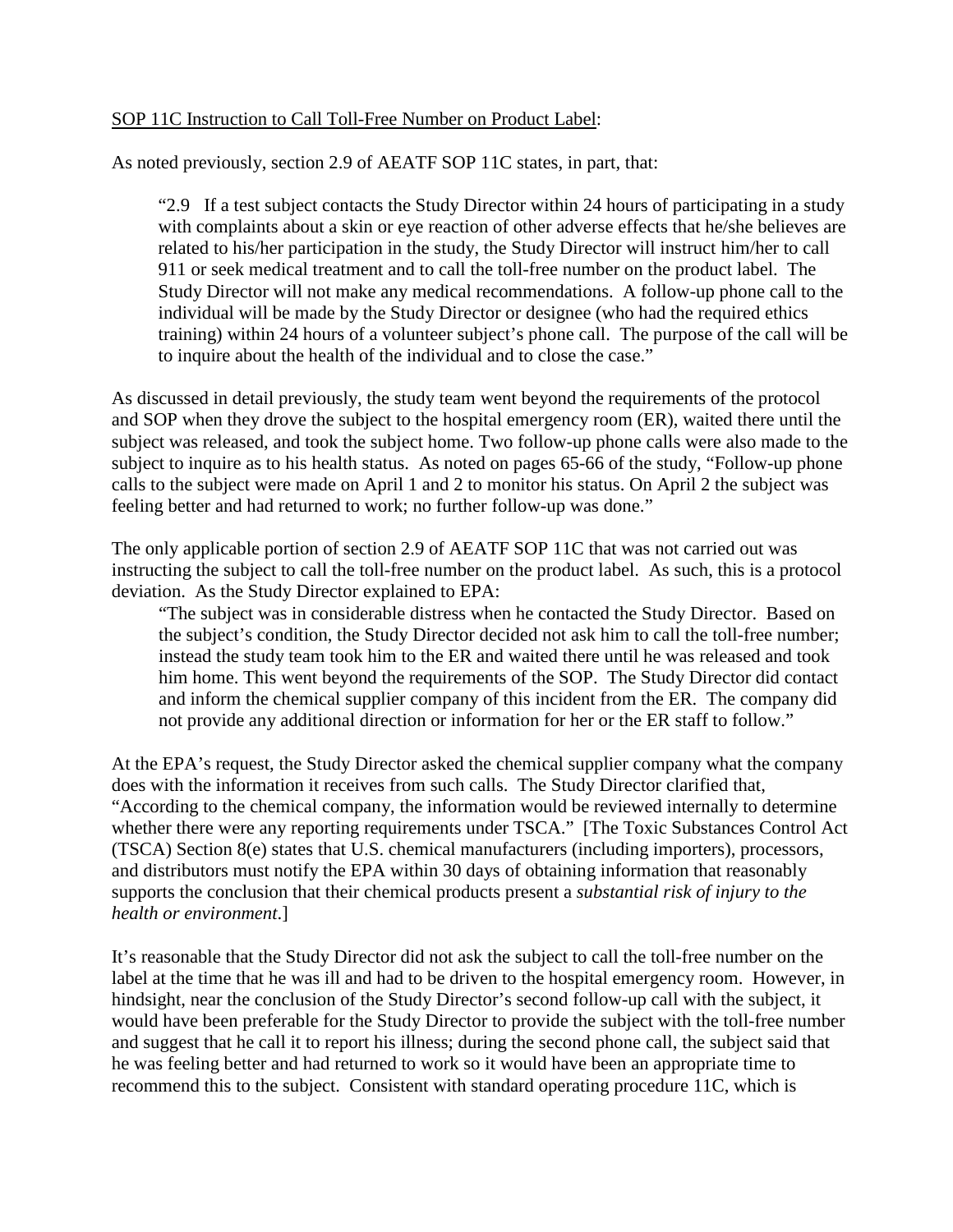#### SOP 11C Instruction to Call Toll-Free Number on Product Label:

As noted previously, section 2.9 of AEATF SOP 11C states, in part, that:

"2.9 If a test subject contacts the Study Director within 24 hours of participating in a study with complaints about a skin or eye reaction of other adverse effects that he/she believes are related to his/her participation in the study, the Study Director will instruct him/her to call 911 or seek medical treatment and to call the toll-free number on the product label. The Study Director will not make any medical recommendations. A follow-up phone call to the individual will be made by the Study Director or designee (who had the required ethics training) within 24 hours of a volunteer subject's phone call. The purpose of the call will be to inquire about the health of the individual and to close the case."

As discussed in detail previously, the study team went beyond the requirements of the protocol and SOP when they drove the subject to the hospital emergency room (ER), waited there until the subject was released, and took the subject home. Two follow-up phone calls were also made to the subject to inquire as to his health status. As noted on pages 65-66 of the study, "Follow-up phone calls to the subject were made on April 1 and 2 to monitor his status. On April 2 the subject was feeling better and had returned to work; no further follow-up was done."

The only applicable portion of section 2.9 of AEATF SOP 11C that was not carried out was instructing the subject to call the toll-free number on the product label. As such, this is a protocol deviation. As the Study Director explained to EPA:

"The subject was in considerable distress when he contacted the Study Director. Based on the subject's condition, the Study Director decided not ask him to call the toll-free number; instead the study team took him to the ER and waited there until he was released and took him home. This went beyond the requirements of the SOP. The Study Director did contact and inform the chemical supplier company of this incident from the ER. The company did not provide any additional direction or information for her or the ER staff to follow."

At the EPA's request, the Study Director asked the chemical supplier company what the company does with the information it receives from such calls. The Study Director clarified that, "According to the chemical company, the information would be reviewed internally to determine whether there were any reporting requirements under TSCA." [The Toxic Substances Control Act (TSCA) Section 8(e) states that U.S. chemical manufacturers (including importers), processors, and distributors must notify the EPA within 30 days of obtaining information that reasonably supports the conclusion that their chemical products present a *substantial risk of injury to the health or environment*.]

It's reasonable that the Study Director did not ask the subject to call the toll-free number on the label at the time that he was ill and had to be driven to the hospital emergency room. However, in hindsight, near the conclusion of the Study Director's second follow-up call with the subject, it would have been preferable for the Study Director to provide the subject with the toll-free number and suggest that he call it to report his illness; during the second phone call, the subject said that he was feeling better and had returned to work so it would have been an appropriate time to recommend this to the subject. Consistent with standard operating procedure 11C, which is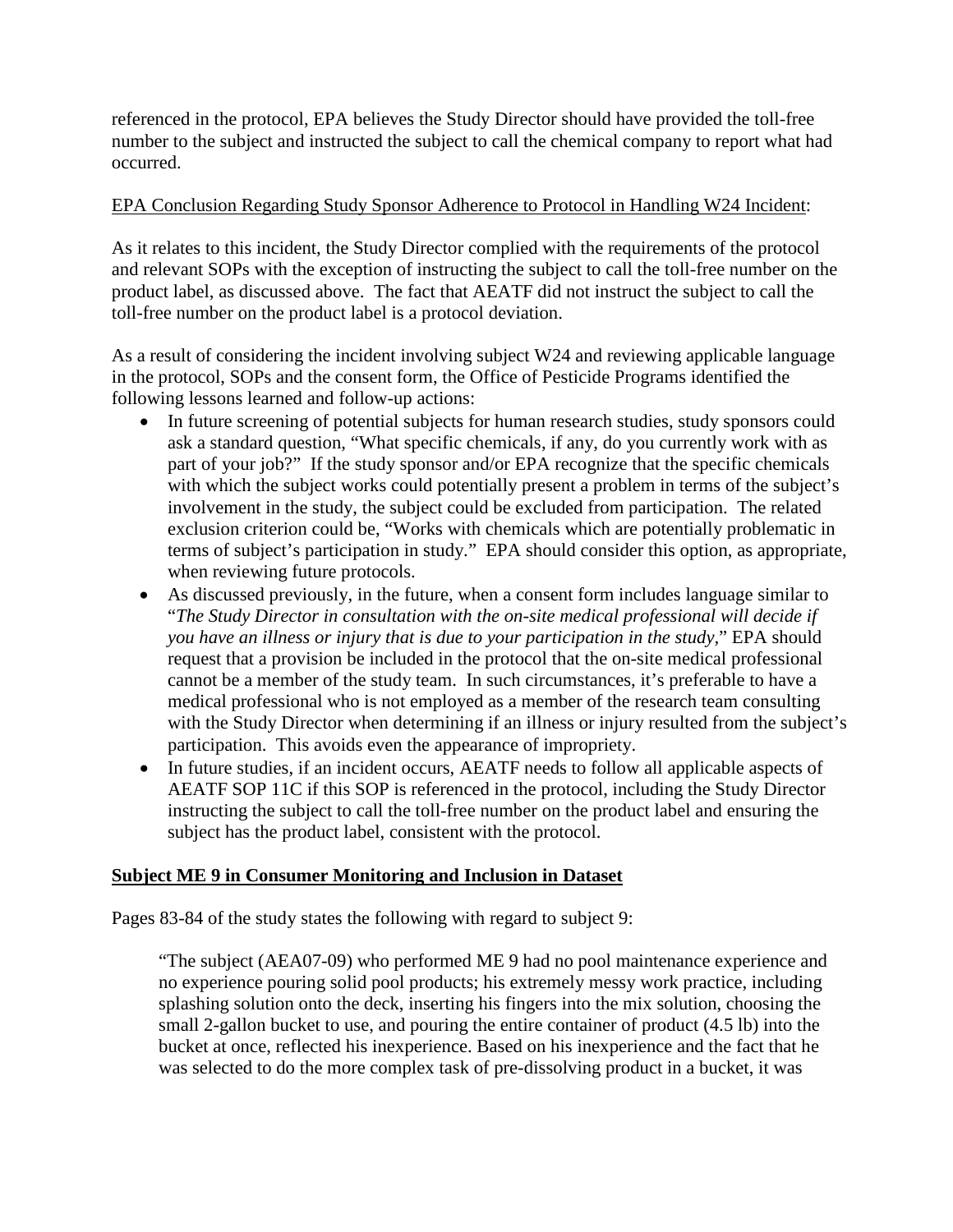referenced in the protocol, EPA believes the Study Director should have provided the toll-free number to the subject and instructed the subject to call the chemical company to report what had occurred.

#### EPA Conclusion Regarding Study Sponsor Adherence to Protocol in Handling W24 Incident:

As it relates to this incident, the Study Director complied with the requirements of the protocol and relevant SOPs with the exception of instructing the subject to call the toll-free number on the product label, as discussed above. The fact that AEATF did not instruct the subject to call the toll-free number on the product label is a protocol deviation.

As a result of considering the incident involving subject W24 and reviewing applicable language in the protocol, SOPs and the consent form, the Office of Pesticide Programs identified the following lessons learned and follow-up actions:

- In future screening of potential subjects for human research studies, study sponsors could ask a standard question, "What specific chemicals, if any, do you currently work with as part of your job?" If the study sponsor and/or EPA recognize that the specific chemicals with which the subject works could potentially present a problem in terms of the subject's involvement in the study, the subject could be excluded from participation. The related exclusion criterion could be, "Works with chemicals which are potentially problematic in terms of subject's participation in study." EPA should consider this option, as appropriate, when reviewing future protocols.
- As discussed previously, in the future, when a consent form includes language similar to "*The Study Director in consultation with the on-site medical professional will decide if you have an illness or injury that is due to your participation in the study,*" EPA should request that a provision be included in the protocol that the on-site medical professional cannot be a member of the study team. In such circumstances, it's preferable to have a medical professional who is not employed as a member of the research team consulting with the Study Director when determining if an illness or injury resulted from the subject's participation. This avoids even the appearance of impropriety.
- In future studies, if an incident occurs, AEATF needs to follow all applicable aspects of AEATF SOP 11C if this SOP is referenced in the protocol, including the Study Director instructing the subject to call the toll-free number on the product label and ensuring the subject has the product label, consistent with the protocol.

#### **Subject ME 9 in Consumer Monitoring and Inclusion in Dataset**

Pages 83-84 of the study states the following with regard to subject 9:

"The subject (AEA07-09) who performed ME 9 had no pool maintenance experience and no experience pouring solid pool products; his extremely messy work practice, including splashing solution onto the deck, inserting his fingers into the mix solution, choosing the small 2-gallon bucket to use, and pouring the entire container of product (4.5 lb) into the bucket at once, reflected his inexperience. Based on his inexperience and the fact that he was selected to do the more complex task of pre-dissolving product in a bucket, it was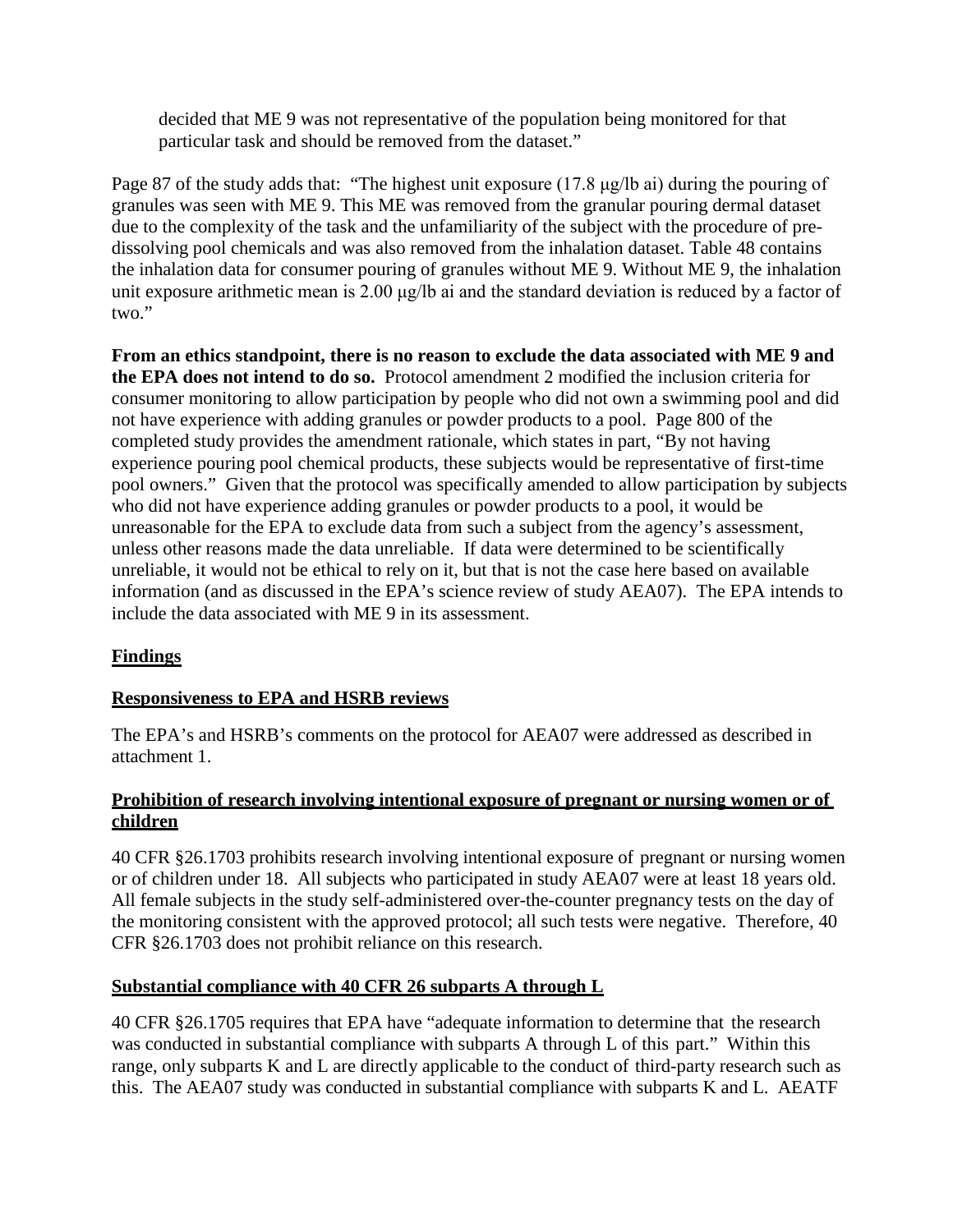decided that ME 9 was not representative of the population being monitored for that particular task and should be removed from the dataset."

Page 87 of the study adds that: "The highest unit exposure (17.8 μg/lb ai) during the pouring of granules was seen with ME 9. This ME was removed from the granular pouring dermal dataset due to the complexity of the task and the unfamiliarity of the subject with the procedure of predissolving pool chemicals and was also removed from the inhalation dataset. Table 48 contains the inhalation data for consumer pouring of granules without ME 9. Without ME 9, the inhalation unit exposure arithmetic mean is 2.00 μg/lb ai and the standard deviation is reduced by a factor of two."

**From an ethics standpoint, there is no reason to exclude the data associated with ME 9 and the EPA does not intend to do so.** Protocol amendment 2 modified the inclusion criteria for consumer monitoring to allow participation by people who did not own a swimming pool and did not have experience with adding granules or powder products to a pool. Page 800 of the completed study provides the amendment rationale, which states in part, "By not having experience pouring pool chemical products, these subjects would be representative of first-time pool owners." Given that the protocol was specifically amended to allow participation by subjects who did not have experience adding granules or powder products to a pool, it would be unreasonable for the EPA to exclude data from such a subject from the agency's assessment, unless other reasons made the data unreliable. If data were determined to be scientifically unreliable, it would not be ethical to rely on it, but that is not the case here based on available information (and as discussed in the EPA's science review of study AEA07). The EPA intends to include the data associated with ME 9 in its assessment.

## **Findings**

### **Responsiveness to EPA and HSRB reviews**

The EPA's and HSRB's comments on the protocol for AEA07 were addressed as described in attachment 1.

### **Prohibition of research involving intentional exposure of pregnant or nursing women or of children**

40 CFR §26.1703 prohibits research involving intentional exposure of pregnant or nursing women or of children under 18. All subjects who participated in study AEA07 were at least 18 years old. All female subjects in the study self-administered over-the-counter pregnancy tests on the day of the monitoring consistent with the approved protocol; all such tests were negative. Therefore, 40 CFR §26.1703 does not prohibit reliance on this research.

### **Substantial compliance with 40 CFR 26 subparts A through L**

40 CFR §26.1705 requires that EPA have "adequate information to determine that the research was conducted in substantial compliance with subparts A through L of this part." Within this range, only subparts K and L are directly applicable to the conduct of third-party research such as this. The AEA07 study was conducted in substantial compliance with subparts K and L. AEATF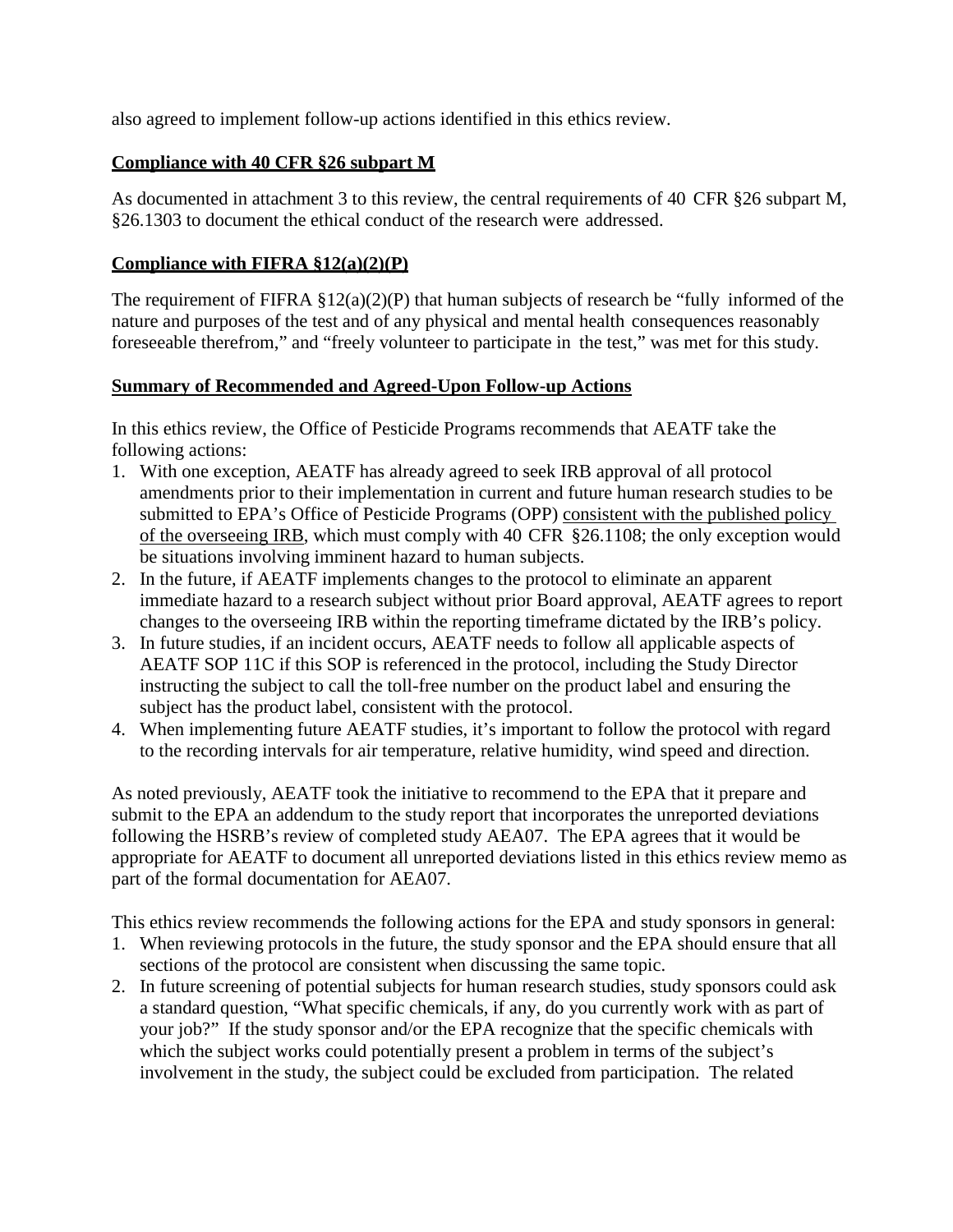also agreed to implement follow-up actions identified in this ethics review.

## **Compliance with 40 CFR §26 subpart M**

As documented in attachment 3 to this review, the central requirements of 40 CFR §26 subpart M, §26.1303 to document the ethical conduct of the research were addressed.

## **Compliance with FIFRA §12(a)(2)(P)**

The requirement of FIFRA  $\S 12(a)(2)(P)$  that human subjects of research be "fully informed of the nature and purposes of the test and of any physical and mental health consequences reasonably foreseeable therefrom," and "freely volunteer to participate in the test," was met for this study.

### **Summary of Recommended and Agreed-Upon Follow-up Actions**

In this ethics review, the Office of Pesticide Programs recommends that AEATF take the following actions:

- 1. With one exception, AEATF has already agreed to seek IRB approval of all protocol amendments prior to their implementation in current and future human research studies to be submitted to EPA's Office of Pesticide Programs (OPP) consistent with the published policy of the overseeing IRB, which must comply with 40 CFR §26.1108; the only exception would be situations involving imminent hazard to human subjects.
- 2. In the future, if AEATF implements changes to the protocol to eliminate an apparent immediate hazard to a research subject without prior Board approval, AEATF agrees to report changes to the overseeing IRB within the reporting timeframe dictated by the IRB's policy.
- 3. In future studies, if an incident occurs, AEATF needs to follow all applicable aspects of AEATF SOP 11C if this SOP is referenced in the protocol, including the Study Director instructing the subject to call the toll-free number on the product label and ensuring the subject has the product label, consistent with the protocol.
- 4. When implementing future AEATF studies, it's important to follow the protocol with regard to the recording intervals for air temperature, relative humidity, wind speed and direction.

As noted previously, AEATF took the initiative to recommend to the EPA that it prepare and submit to the EPA an addendum to the study report that incorporates the unreported deviations following the HSRB's review of completed study AEA07. The EPA agrees that it would be appropriate for AEATF to document all unreported deviations listed in this ethics review memo as part of the formal documentation for AEA07.

This ethics review recommends the following actions for the EPA and study sponsors in general:

- 1. When reviewing protocols in the future, the study sponsor and the EPA should ensure that all sections of the protocol are consistent when discussing the same topic.
- 2. In future screening of potential subjects for human research studies, study sponsors could ask a standard question, "What specific chemicals, if any, do you currently work with as part of your job?" If the study sponsor and/or the EPA recognize that the specific chemicals with which the subject works could potentially present a problem in terms of the subject's involvement in the study, the subject could be excluded from participation. The related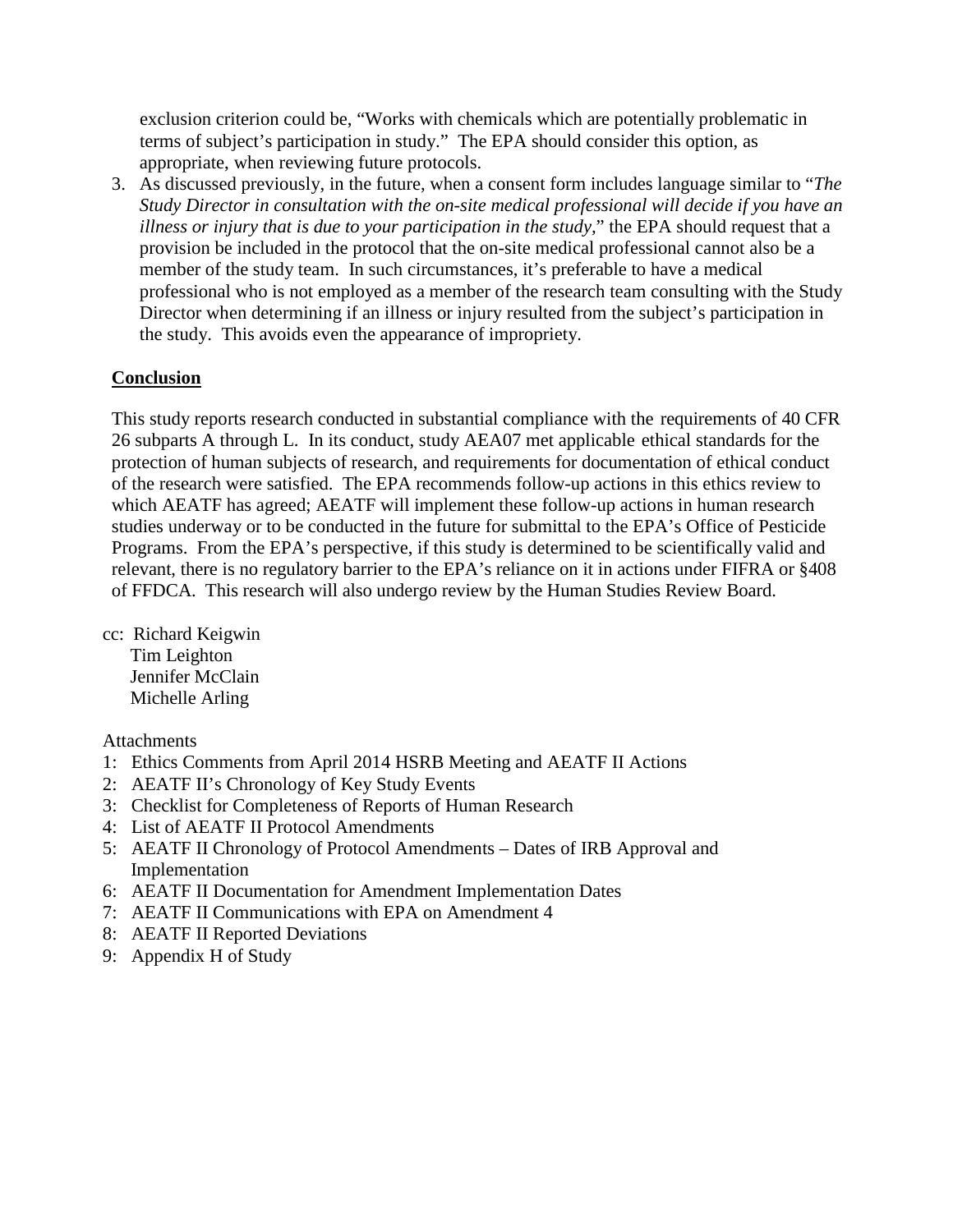exclusion criterion could be, "Works with chemicals which are potentially problematic in terms of subject's participation in study." The EPA should consider this option, as appropriate, when reviewing future protocols.

3. As discussed previously, in the future, when a consent form includes language similar to "*The Study Director in consultation with the on-site medical professional will decide if you have an illness or injury that is due to your participation in the study,*" the EPA should request that a provision be included in the protocol that the on-site medical professional cannot also be a member of the study team. In such circumstances, it's preferable to have a medical professional who is not employed as a member of the research team consulting with the Study Director when determining if an illness or injury resulted from the subject's participation in the study. This avoids even the appearance of impropriety.

### **Conclusion**

This study reports research conducted in substantial compliance with the requirements of 40 CFR 26 subparts A through L. In its conduct, study AEA07 met applicable ethical standards for the protection of human subjects of research, and requirements for documentation of ethical conduct of the research were satisfied. The EPA recommends follow-up actions in this ethics review to which AEATF has agreed; AEATF will implement these follow-up actions in human research studies underway or to be conducted in the future for submittal to the EPA's Office of Pesticide Programs. From the EPA's perspective, if this study is determined to be scientifically valid and relevant, there is no regulatory barrier to the EPA's reliance on it in actions under FIFRA or §408 of FFDCA. This research will also undergo review by the Human Studies Review Board.

cc: Richard Keigwin Tim Leighton Jennifer McClain Michelle Arling

Attachments

- 1: Ethics Comments from April 2014 HSRB Meeting and AEATF II Actions
- 2: AEATF II's Chronology of Key Study Events
- 3: Checklist for Completeness of Reports of Human Research
- 4: List of AEATF II Protocol Amendments
- 5: AEATF II Chronology of Protocol Amendments Dates of IRB Approval and Implementation
- 6: AEATF II Documentation for Amendment Implementation Dates
- 7: AEATF II Communications with EPA on Amendment 4
- 8: AEATF II Reported Deviations
- 9: Appendix H of Study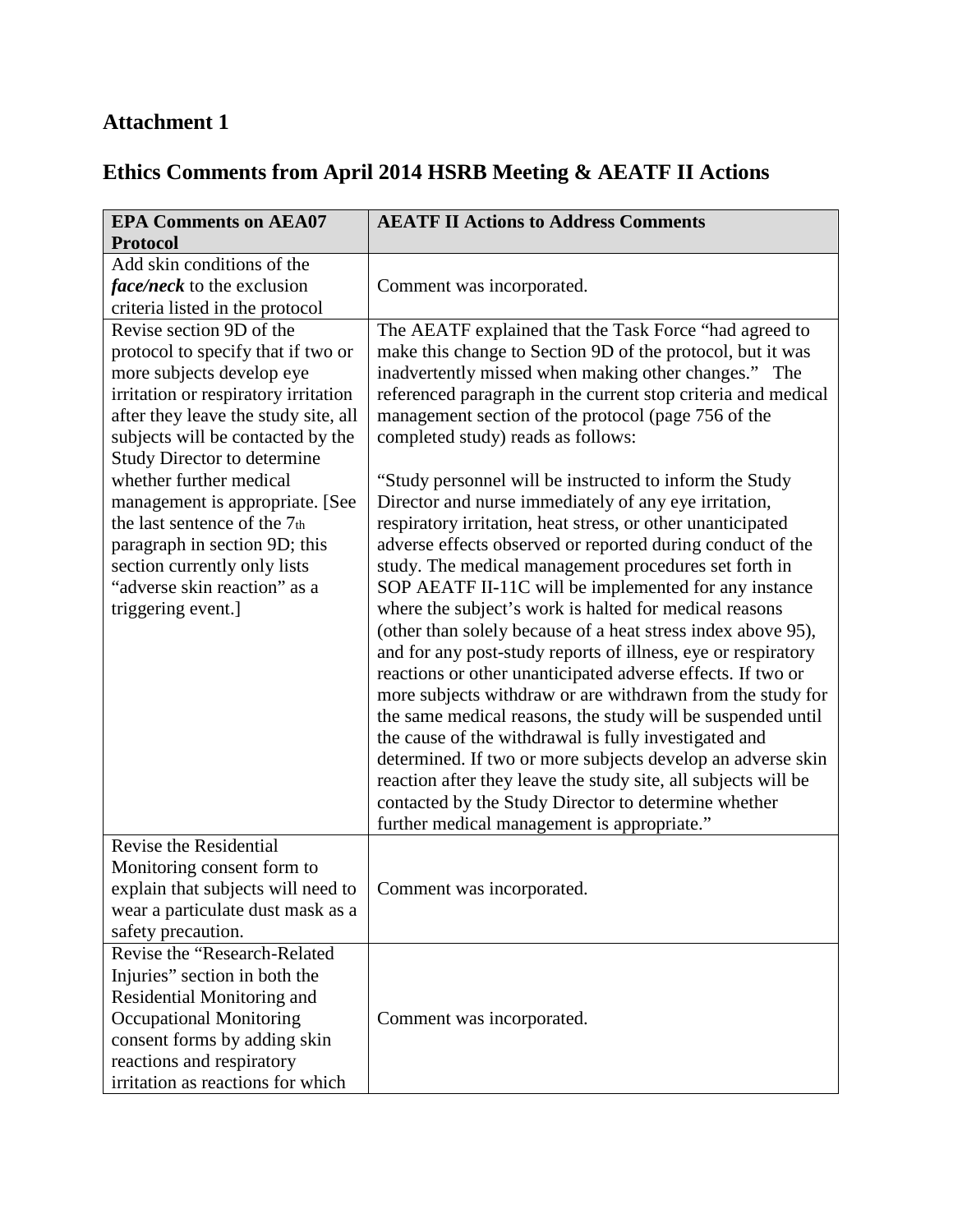# **Attachment 1**

# **Ethics Comments from April 2014 HSRB Meeting & AEATF II Actions**

| <b>EPA Comments on AEA07</b>                                                                                                                                                                                                                           | <b>AEATF II Actions to Address Comments</b>                                                                                                                                                                                                                                                                                                                                                                                                                                                                                                                                                                                                                                                                                                                                                                                                                                                                                                                                                                                                             |  |  |
|--------------------------------------------------------------------------------------------------------------------------------------------------------------------------------------------------------------------------------------------------------|---------------------------------------------------------------------------------------------------------------------------------------------------------------------------------------------------------------------------------------------------------------------------------------------------------------------------------------------------------------------------------------------------------------------------------------------------------------------------------------------------------------------------------------------------------------------------------------------------------------------------------------------------------------------------------------------------------------------------------------------------------------------------------------------------------------------------------------------------------------------------------------------------------------------------------------------------------------------------------------------------------------------------------------------------------|--|--|
| <b>Protocol</b>                                                                                                                                                                                                                                        |                                                                                                                                                                                                                                                                                                                                                                                                                                                                                                                                                                                                                                                                                                                                                                                                                                                                                                                                                                                                                                                         |  |  |
| Add skin conditions of the<br><i>face/neck</i> to the exclusion<br>criteria listed in the protocol                                                                                                                                                     | Comment was incorporated.                                                                                                                                                                                                                                                                                                                                                                                                                                                                                                                                                                                                                                                                                                                                                                                                                                                                                                                                                                                                                               |  |  |
| Revise section 9D of the<br>protocol to specify that if two or<br>more subjects develop eye<br>irritation or respiratory irritation<br>after they leave the study site, all<br>subjects will be contacted by the<br><b>Study Director to determine</b> | The AEATF explained that the Task Force "had agreed to<br>make this change to Section 9D of the protocol, but it was<br>inadvertently missed when making other changes." The<br>referenced paragraph in the current stop criteria and medical<br>management section of the protocol (page 756 of the<br>completed study) reads as follows:                                                                                                                                                                                                                                                                                                                                                                                                                                                                                                                                                                                                                                                                                                              |  |  |
| whether further medical<br>management is appropriate. [See<br>the last sentence of the 7th<br>paragraph in section 9D; this<br>section currently only lists<br>"adverse skin reaction" as a<br>triggering event.]                                      | "Study personnel will be instructed to inform the Study<br>Director and nurse immediately of any eye irritation,<br>respiratory irritation, heat stress, or other unanticipated<br>adverse effects observed or reported during conduct of the<br>study. The medical management procedures set forth in<br>SOP AEATF II-11C will be implemented for any instance<br>where the subject's work is halted for medical reasons<br>(other than solely because of a heat stress index above 95),<br>and for any post-study reports of illness, eye or respiratory<br>reactions or other unanticipated adverse effects. If two or<br>more subjects withdraw or are withdrawn from the study for<br>the same medical reasons, the study will be suspended until<br>the cause of the withdrawal is fully investigated and<br>determined. If two or more subjects develop an adverse skin<br>reaction after they leave the study site, all subjects will be<br>contacted by the Study Director to determine whether<br>further medical management is appropriate." |  |  |
| Revise the Residential<br>Monitoring consent form to<br>explain that subjects will need to<br>wear a particulate dust mask as a<br>safety precaution.                                                                                                  | Comment was incorporated.                                                                                                                                                                                                                                                                                                                                                                                                                                                                                                                                                                                                                                                                                                                                                                                                                                                                                                                                                                                                                               |  |  |
| Revise the "Research-Related<br>Injuries" section in both the<br>Residential Monitoring and<br><b>Occupational Monitoring</b><br>consent forms by adding skin<br>reactions and respiratory<br>irritation as reactions for which                        | Comment was incorporated.                                                                                                                                                                                                                                                                                                                                                                                                                                                                                                                                                                                                                                                                                                                                                                                                                                                                                                                                                                                                                               |  |  |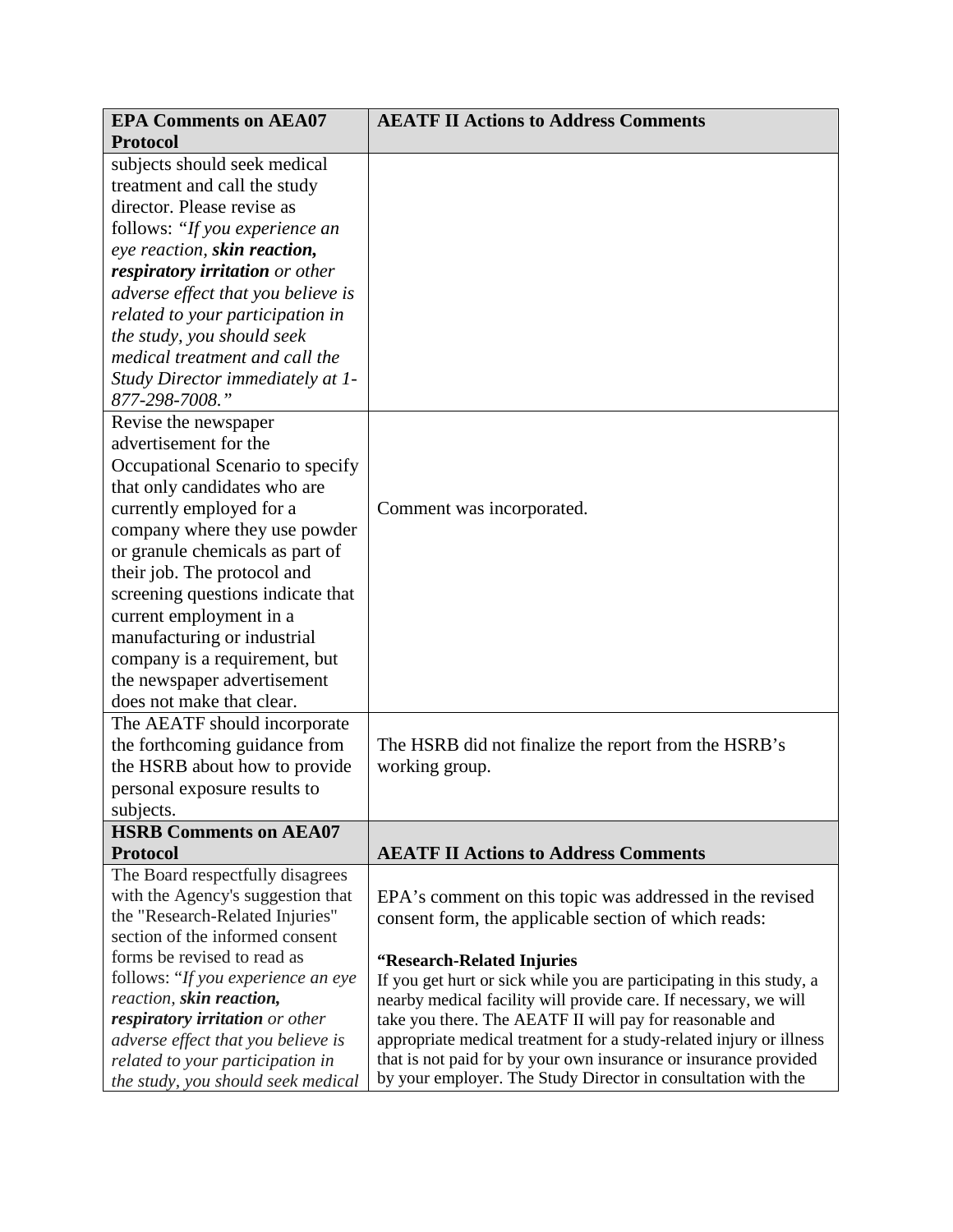| <b>EPA Comments on AEA07</b>       | <b>AEATF II Actions to Address Comments</b>                          |  |  |
|------------------------------------|----------------------------------------------------------------------|--|--|
| <b>Protocol</b>                    |                                                                      |  |  |
| subjects should seek medical       |                                                                      |  |  |
| treatment and call the study       |                                                                      |  |  |
| director. Please revise as         |                                                                      |  |  |
| follows: "If you experience an     |                                                                      |  |  |
| eye reaction, skin reaction,       |                                                                      |  |  |
| respiratory irritation or other    |                                                                      |  |  |
| adverse effect that you believe is |                                                                      |  |  |
| related to your participation in   |                                                                      |  |  |
| the study, you should seek         |                                                                      |  |  |
| medical treatment and call the     |                                                                      |  |  |
| Study Director immediately at 1-   |                                                                      |  |  |
| 877-298-7008."                     |                                                                      |  |  |
| Revise the newspaper               |                                                                      |  |  |
| advertisement for the              |                                                                      |  |  |
| Occupational Scenario to specify   |                                                                      |  |  |
| that only candidates who are       |                                                                      |  |  |
| currently employed for a           | Comment was incorporated.                                            |  |  |
| company where they use powder      |                                                                      |  |  |
| or granule chemicals as part of    |                                                                      |  |  |
| their job. The protocol and        |                                                                      |  |  |
| screening questions indicate that  |                                                                      |  |  |
| current employment in a            |                                                                      |  |  |
| manufacturing or industrial        |                                                                      |  |  |
| company is a requirement, but      |                                                                      |  |  |
| the newspaper advertisement        |                                                                      |  |  |
| does not make that clear.          |                                                                      |  |  |
| The AEATF should incorporate       |                                                                      |  |  |
| the forthcoming guidance from      | The HSRB did not finalize the report from the HSRB's                 |  |  |
| the HSRB about how to provide      | working group.                                                       |  |  |
| personal exposure results to       |                                                                      |  |  |
| subjects.                          |                                                                      |  |  |
| <b>HSRB Comments on AEA07</b>      |                                                                      |  |  |
| <b>Protocol</b>                    | <b>AEATF II Actions to Address Comments</b>                          |  |  |
| The Board respectfully disagrees   |                                                                      |  |  |
| with the Agency's suggestion that  | EPA's comment on this topic was addressed in the revised             |  |  |
| the "Research-Related Injuries"    | consent form, the applicable section of which reads:                 |  |  |
| section of the informed consent    |                                                                      |  |  |
| forms be revised to read as        | "Research-Related Injuries                                           |  |  |
| follows: "If you experience an eye | If you get hurt or sick while you are participating in this study, a |  |  |
| reaction, skin reaction,           | nearby medical facility will provide care. If necessary, we will     |  |  |
| respiratory irritation or other    | take you there. The AEATF II will pay for reasonable and             |  |  |
| adverse effect that you believe is | appropriate medical treatment for a study-related injury or illness  |  |  |
| related to your participation in   | that is not paid for by your own insurance or insurance provided     |  |  |
| the study, you should seek medical | by your employer. The Study Director in consultation with the        |  |  |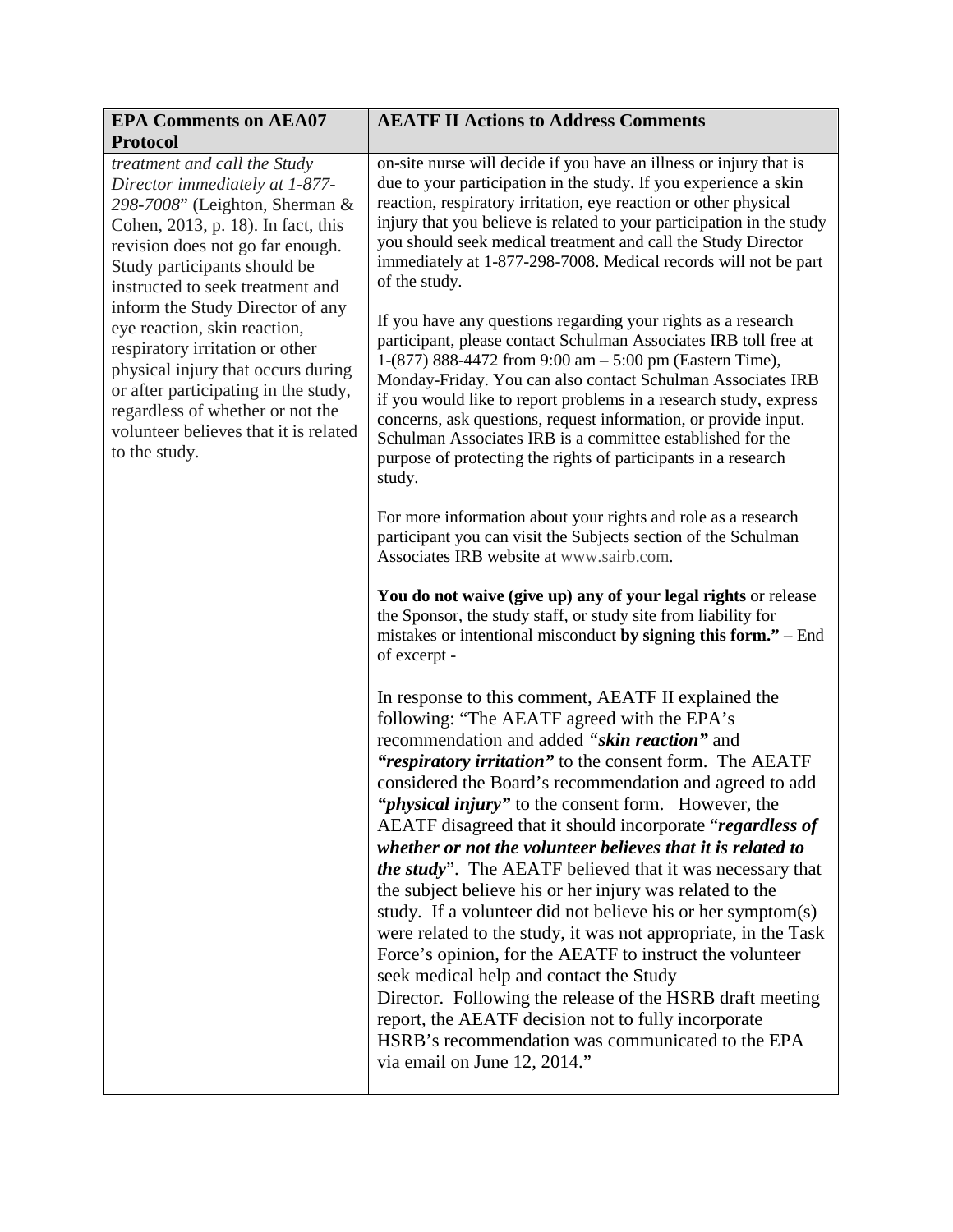| <b>EPA Comments on AEA07</b><br><b>Protocol</b>                                                                                                                                                                                                                                 | <b>AEATF II Actions to Address Comments</b>                                                                                                                                                                                                                                                                                                                                                                                                                                                                                                                                                                                                                                                                                                                                                                                                                                                                                                                                                                                                            |  |  |
|---------------------------------------------------------------------------------------------------------------------------------------------------------------------------------------------------------------------------------------------------------------------------------|--------------------------------------------------------------------------------------------------------------------------------------------------------------------------------------------------------------------------------------------------------------------------------------------------------------------------------------------------------------------------------------------------------------------------------------------------------------------------------------------------------------------------------------------------------------------------------------------------------------------------------------------------------------------------------------------------------------------------------------------------------------------------------------------------------------------------------------------------------------------------------------------------------------------------------------------------------------------------------------------------------------------------------------------------------|--|--|
| treatment and call the Study<br>Director immediately at 1-877-<br>298-7008" (Leighton, Sherman &<br>Cohen, 2013, p. 18). In fact, this<br>revision does not go far enough.<br>Study participants should be<br>instructed to seek treatment and                                  | on-site nurse will decide if you have an illness or injury that is<br>due to your participation in the study. If you experience a skin<br>reaction, respiratory irritation, eye reaction or other physical<br>injury that you believe is related to your participation in the study<br>you should seek medical treatment and call the Study Director<br>immediately at 1-877-298-7008. Medical records will not be part<br>of the study.                                                                                                                                                                                                                                                                                                                                                                                                                                                                                                                                                                                                               |  |  |
| inform the Study Director of any<br>eye reaction, skin reaction,<br>respiratory irritation or other<br>physical injury that occurs during<br>or after participating in the study,<br>regardless of whether or not the<br>volunteer believes that it is related<br>to the study. | If you have any questions regarding your rights as a research<br>participant, please contact Schulman Associates IRB toll free at<br>1-(877) 888-4472 from 9:00 am - 5:00 pm (Eastern Time),<br>Monday-Friday. You can also contact Schulman Associates IRB<br>if you would like to report problems in a research study, express<br>concerns, ask questions, request information, or provide input.<br>Schulman Associates IRB is a committee established for the<br>purpose of protecting the rights of participants in a research<br>study.                                                                                                                                                                                                                                                                                                                                                                                                                                                                                                          |  |  |
|                                                                                                                                                                                                                                                                                 | For more information about your rights and role as a research<br>participant you can visit the Subjects section of the Schulman<br>Associates IRB website at www.sairb.com.                                                                                                                                                                                                                                                                                                                                                                                                                                                                                                                                                                                                                                                                                                                                                                                                                                                                            |  |  |
|                                                                                                                                                                                                                                                                                 | You do not waive (give up) any of your legal rights or release<br>the Sponsor, the study staff, or study site from liability for<br>mistakes or intentional misconduct by signing this form." – End<br>of excerpt -                                                                                                                                                                                                                                                                                                                                                                                                                                                                                                                                                                                                                                                                                                                                                                                                                                    |  |  |
|                                                                                                                                                                                                                                                                                 | In response to this comment, AEATF II explained the<br>following: "The AEATF agreed with the EPA's<br>recommendation and added "skin reaction" and<br>"respiratory irritation" to the consent form. The AEATF<br>considered the Board's recommendation and agreed to add<br>" <i>physical injury</i> " to the consent form. However, the<br>AEATF disagreed that it should incorporate "regardless of<br>whether or not the volunteer believes that it is related to<br><i>the study</i> ". The AEATF believed that it was necessary that<br>the subject believe his or her injury was related to the<br>study. If a volunteer did not believe his or her symptom(s)<br>were related to the study, it was not appropriate, in the Task<br>Force's opinion, for the AEATF to instruct the volunteer<br>seek medical help and contact the Study<br>Director. Following the release of the HSRB draft meeting<br>report, the AEATF decision not to fully incorporate<br>HSRB's recommendation was communicated to the EPA<br>via email on June 12, 2014." |  |  |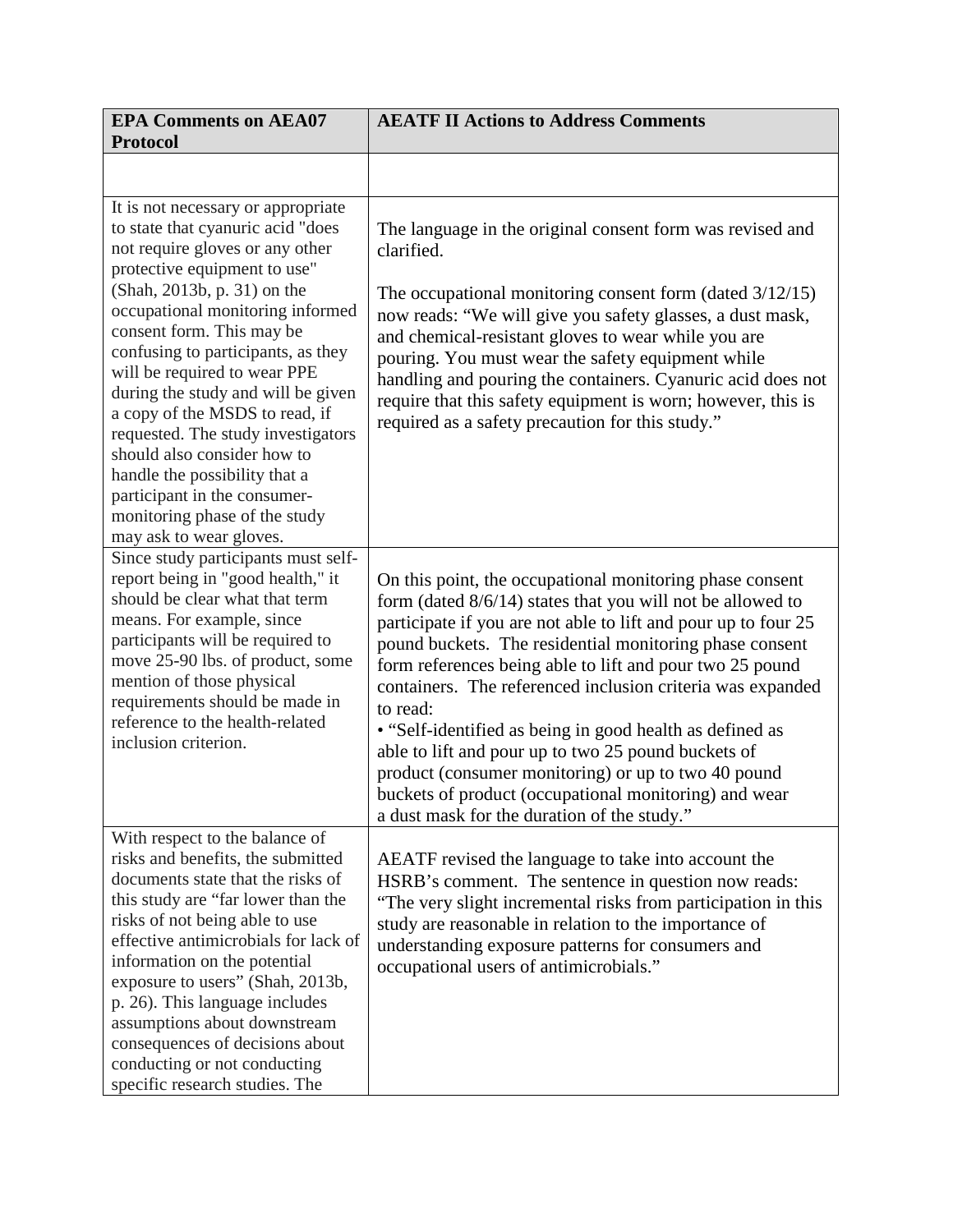| <b>EPA Comments on AEA07</b><br><b>Protocol</b>                                                                                                                                                                                                                                                                                                                                                                                                                                                                                                                                            | <b>AEATF II Actions to Address Comments</b>                                                                                                                                                                                                                                                                                                                                                                                                                                                                                                                                                                                                                                    |  |  |
|--------------------------------------------------------------------------------------------------------------------------------------------------------------------------------------------------------------------------------------------------------------------------------------------------------------------------------------------------------------------------------------------------------------------------------------------------------------------------------------------------------------------------------------------------------------------------------------------|--------------------------------------------------------------------------------------------------------------------------------------------------------------------------------------------------------------------------------------------------------------------------------------------------------------------------------------------------------------------------------------------------------------------------------------------------------------------------------------------------------------------------------------------------------------------------------------------------------------------------------------------------------------------------------|--|--|
|                                                                                                                                                                                                                                                                                                                                                                                                                                                                                                                                                                                            |                                                                                                                                                                                                                                                                                                                                                                                                                                                                                                                                                                                                                                                                                |  |  |
| It is not necessary or appropriate<br>to state that cyanuric acid "does<br>not require gloves or any other<br>protective equipment to use"<br>(Shah, 2013b, p. 31) on the<br>occupational monitoring informed<br>consent form. This may be<br>confusing to participants, as they<br>will be required to wear PPE<br>during the study and will be given<br>a copy of the MSDS to read, if<br>requested. The study investigators<br>should also consider how to<br>handle the possibility that a<br>participant in the consumer-<br>monitoring phase of the study<br>may ask to wear gloves. | The language in the original consent form was revised and<br>clarified.<br>The occupational monitoring consent form (dated $3/12/15$ )<br>now reads: "We will give you safety glasses, a dust mask,<br>and chemical-resistant gloves to wear while you are<br>pouring. You must wear the safety equipment while<br>handling and pouring the containers. Cyanuric acid does not<br>require that this safety equipment is worn; however, this is<br>required as a safety precaution for this study."                                                                                                                                                                             |  |  |
| Since study participants must self-<br>report being in "good health," it<br>should be clear what that term<br>means. For example, since<br>participants will be required to<br>move 25-90 lbs. of product, some<br>mention of those physical<br>requirements should be made in<br>reference to the health-related<br>inclusion criterion.                                                                                                                                                                                                                                                  | On this point, the occupational monitoring phase consent<br>form (dated $8/6/14$ ) states that you will not be allowed to<br>participate if you are not able to lift and pour up to four 25<br>pound buckets. The residential monitoring phase consent<br>form references being able to lift and pour two 25 pound<br>containers. The referenced inclusion criteria was expanded<br>to read:<br>• "Self-identified as being in good health as defined as<br>able to lift and pour up to two 25 pound buckets of<br>product (consumer monitoring) or up to two 40 pound<br>buckets of product (occupational monitoring) and wear<br>a dust mask for the duration of the study." |  |  |
| With respect to the balance of<br>risks and benefits, the submitted<br>documents state that the risks of<br>this study are "far lower than the<br>risks of not being able to use<br>effective antimicrobials for lack of<br>information on the potential<br>exposure to users" (Shah, 2013b,<br>p. 26). This language includes<br>assumptions about downstream<br>consequences of decisions about<br>conducting or not conducting<br>specific research studies. The                                                                                                                        | AEATF revised the language to take into account the<br>HSRB's comment. The sentence in question now reads:<br>"The very slight incremental risks from participation in this<br>study are reasonable in relation to the importance of<br>understanding exposure patterns for consumers and<br>occupational users of antimicrobials."                                                                                                                                                                                                                                                                                                                                            |  |  |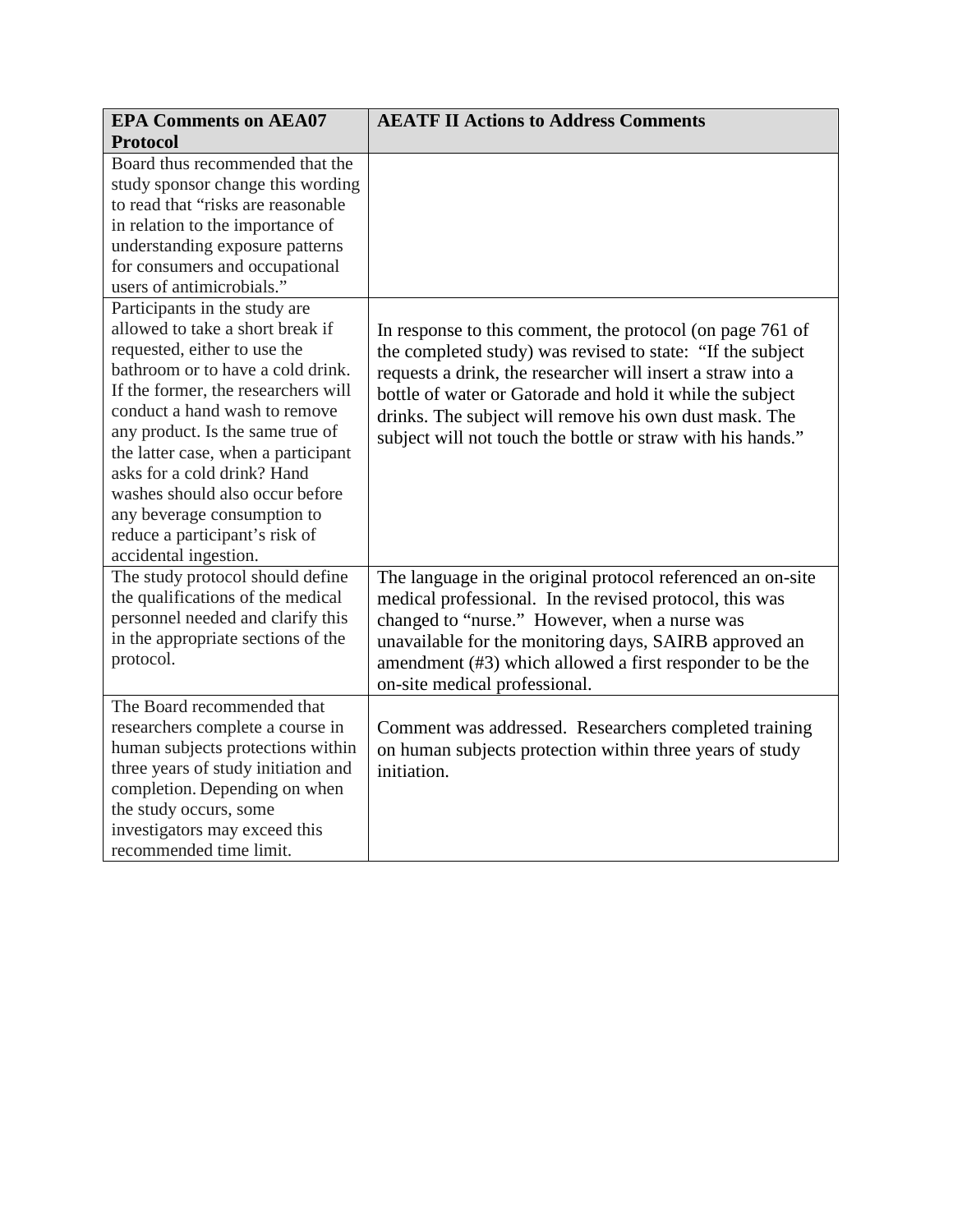| <b>EPA Comments on AEA07</b><br><b>Protocol</b>                                                                                                                                                                                                                                                                                                                                                                                                       | <b>AEATF II Actions to Address Comments</b>                                                                                                                                                                                                                                                                                                                                  |  |  |
|-------------------------------------------------------------------------------------------------------------------------------------------------------------------------------------------------------------------------------------------------------------------------------------------------------------------------------------------------------------------------------------------------------------------------------------------------------|------------------------------------------------------------------------------------------------------------------------------------------------------------------------------------------------------------------------------------------------------------------------------------------------------------------------------------------------------------------------------|--|--|
| Board thus recommended that the<br>study sponsor change this wording<br>to read that "risks are reasonable<br>in relation to the importance of<br>understanding exposure patterns<br>for consumers and occupational<br>users of antimicrobials."                                                                                                                                                                                                      |                                                                                                                                                                                                                                                                                                                                                                              |  |  |
| Participants in the study are<br>allowed to take a short break if<br>requested, either to use the<br>bathroom or to have a cold drink.<br>If the former, the researchers will<br>conduct a hand wash to remove<br>any product. Is the same true of<br>the latter case, when a participant<br>asks for a cold drink? Hand<br>washes should also occur before<br>any beverage consumption to<br>reduce a participant's risk of<br>accidental ingestion. | In response to this comment, the protocol (on page 761 of<br>the completed study) was revised to state: "If the subject<br>requests a drink, the researcher will insert a straw into a<br>bottle of water or Gatorade and hold it while the subject<br>drinks. The subject will remove his own dust mask. The<br>subject will not touch the bottle or straw with his hands." |  |  |
| The study protocol should define<br>the qualifications of the medical<br>personnel needed and clarify this<br>in the appropriate sections of the<br>protocol.                                                                                                                                                                                                                                                                                         | The language in the original protocol referenced an on-site<br>medical professional. In the revised protocol, this was<br>changed to "nurse." However, when a nurse was<br>unavailable for the monitoring days, SAIRB approved an<br>amendment (#3) which allowed a first responder to be the<br>on-site medical professional.                                               |  |  |
| The Board recommended that<br>researchers complete a course in<br>human subjects protections within<br>three years of study initiation and<br>completion. Depending on when<br>the study occurs, some<br>investigators may exceed this<br>recommended time limit.                                                                                                                                                                                     | Comment was addressed. Researchers completed training<br>on human subjects protection within three years of study<br>initiation.                                                                                                                                                                                                                                             |  |  |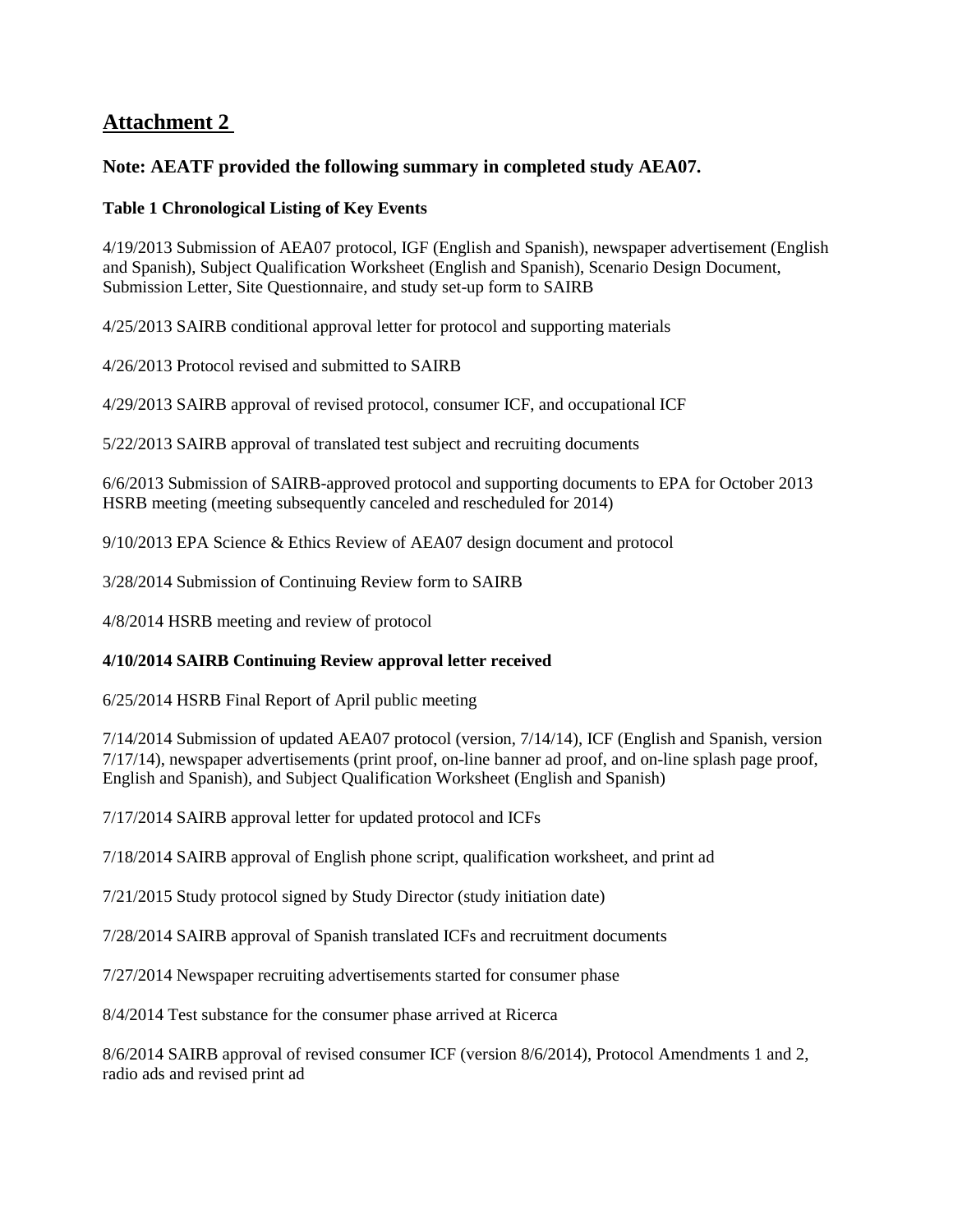## **Attachment 2**

## **Note: AEATF provided the following summary in completed study AEA07.**

#### **Table 1 Chronological Listing of Key Events**

4/19/2013 Submission of AEA07 protocol, IGF (English and Spanish), newspaper advertisement (English and Spanish), Subject Qualification Worksheet (English and Spanish), Scenario Design Document, Submission Letter, Site Questionnaire, and study set-up form to SAIRB

4/25/2013 SAIRB conditional approval letter for protocol and supporting materials

4/26/2013 Protocol revised and submitted to SAIRB

4/29/2013 SAIRB approval of revised protocol, consumer ICF, and occupational ICF

5/22/2013 SAIRB approval of translated test subject and recruiting documents

6/6/2013 Submission of SAIRB-approved protocol and supporting documents to EPA for October 2013 HSRB meeting (meeting subsequently canceled and rescheduled for 2014)

9/10/2013 EPA Science & Ethics Review of AEA07 design document and protocol

3/28/2014 Submission of Continuing Review form to SAIRB

4/8/2014 HSRB meeting and review of protocol

### **4/10/2014 SAIRB Continuing Review approval letter received**

6/25/2014 HSRB Final Report of April public meeting

7/14/2014 Submission of updated AEA07 protocol (version, 7/14/14), ICF (English and Spanish, version 7/17/14), newspaper advertisements (print proof, on-line banner ad proof, and on-line splash page proof, English and Spanish), and Subject Qualification Worksheet (English and Spanish)

7/17/2014 SAIRB approval letter for updated protocol and ICFs

7/18/2014 SAIRB approval of English phone script, qualification worksheet, and print ad

7/21/2015 Study protocol signed by Study Director (study initiation date)

7/28/2014 SAIRB approval of Spanish translated ICFs and recruitment documents

7/27/2014 Newspaper recruiting advertisements started for consumer phase

8/4/2014 Test substance for the consumer phase arrived at Ricerca

8/6/2014 SAIRB approval of revised consumer ICF (version 8/6/2014), Protocol Amendments 1 and 2, radio ads and revised print ad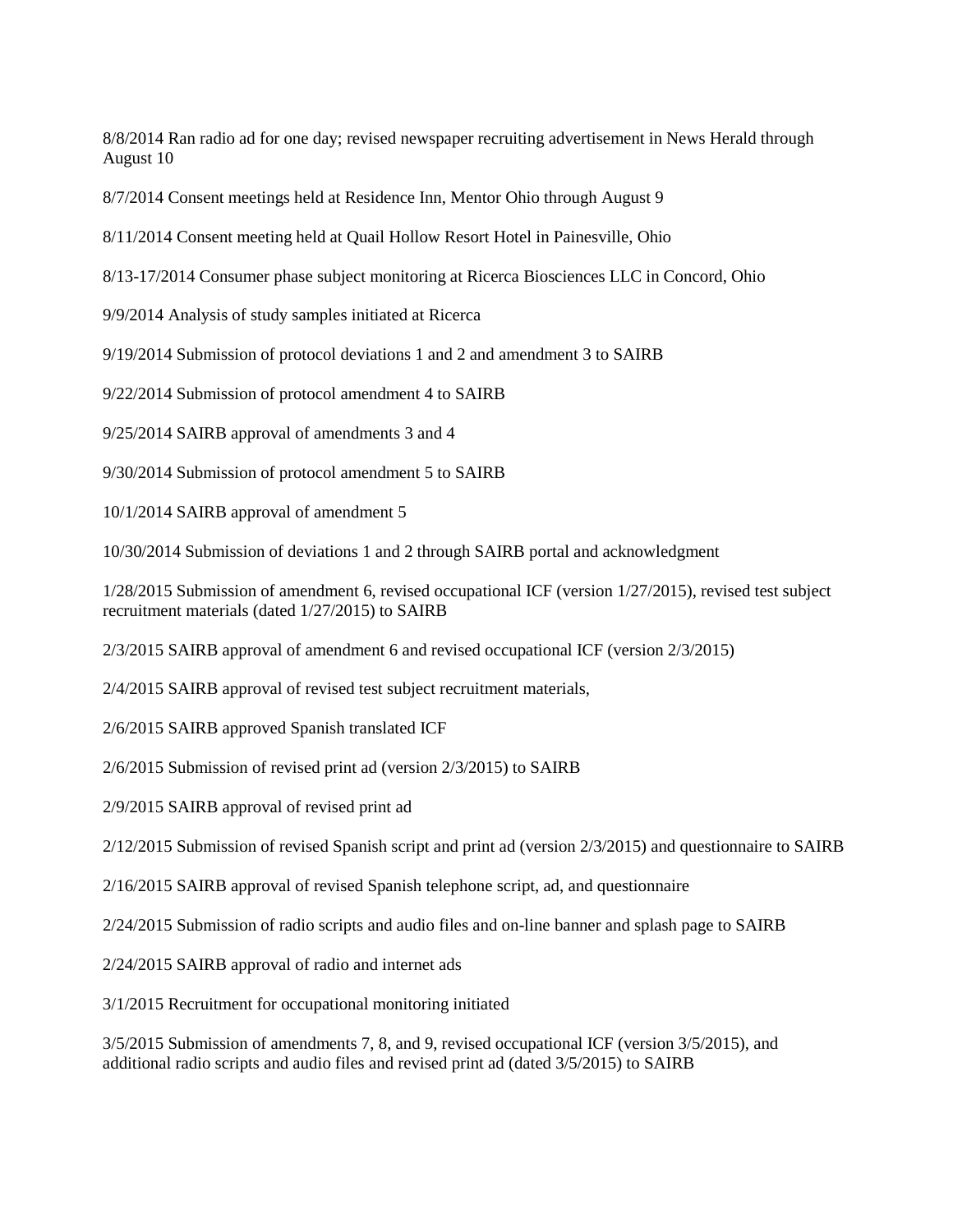8/8/2014 Ran radio ad for one day; revised newspaper recruiting advertisement in News Herald through August 10

8/7/2014 Consent meetings held at Residence Inn, Mentor Ohio through August 9

8/11/2014 Consent meeting held at Quail Hollow Resort Hotel in Painesville, Ohio

8/13-17/2014 Consumer phase subject monitoring at Ricerca Biosciences LLC in Concord, Ohio

9/9/2014 Analysis of study samples initiated at Ricerca

9/19/2014 Submission of protocol deviations 1 and 2 and amendment 3 to SAIRB

9/22/2014 Submission of protocol amendment 4 to SAIRB

9/25/2014 SAIRB approval of amendments 3 and 4

9/30/2014 Submission of protocol amendment 5 to SAIRB

10/1/2014 SAIRB approval of amendment 5

10/30/2014 Submission of deviations 1 and 2 through SAIRB portal and acknowledgment

1/28/2015 Submission of amendment 6, revised occupational ICF (version 1/27/2015), revised test subject recruitment materials (dated 1/27/2015) to SAIRB

2/3/2015 SAIRB approval of amendment 6 and revised occupational ICF (version 2/3/2015)

2/4/2015 SAIRB approval of revised test subject recruitment materials,

2/6/2015 SAIRB approved Spanish translated ICF

2/6/2015 Submission of revised print ad (version 2/3/2015) to SAIRB

2/9/2015 SAIRB approval of revised print ad

2/12/2015 Submission of revised Spanish script and print ad (version 2/3/2015) and questionnaire to SAIRB

2/16/2015 SAIRB approval of revised Spanish telephone script, ad, and questionnaire

2/24/2015 Submission of radio scripts and audio files and on-line banner and splash page to SAIRB

2/24/2015 SAIRB approval of radio and internet ads

3/1/2015 Recruitment for occupational monitoring initiated

3/5/2015 Submission of amendments 7, 8, and 9, revised occupational ICF (version 3/5/2015), and additional radio scripts and audio files and revised print ad (dated 3/5/2015) to SAIRB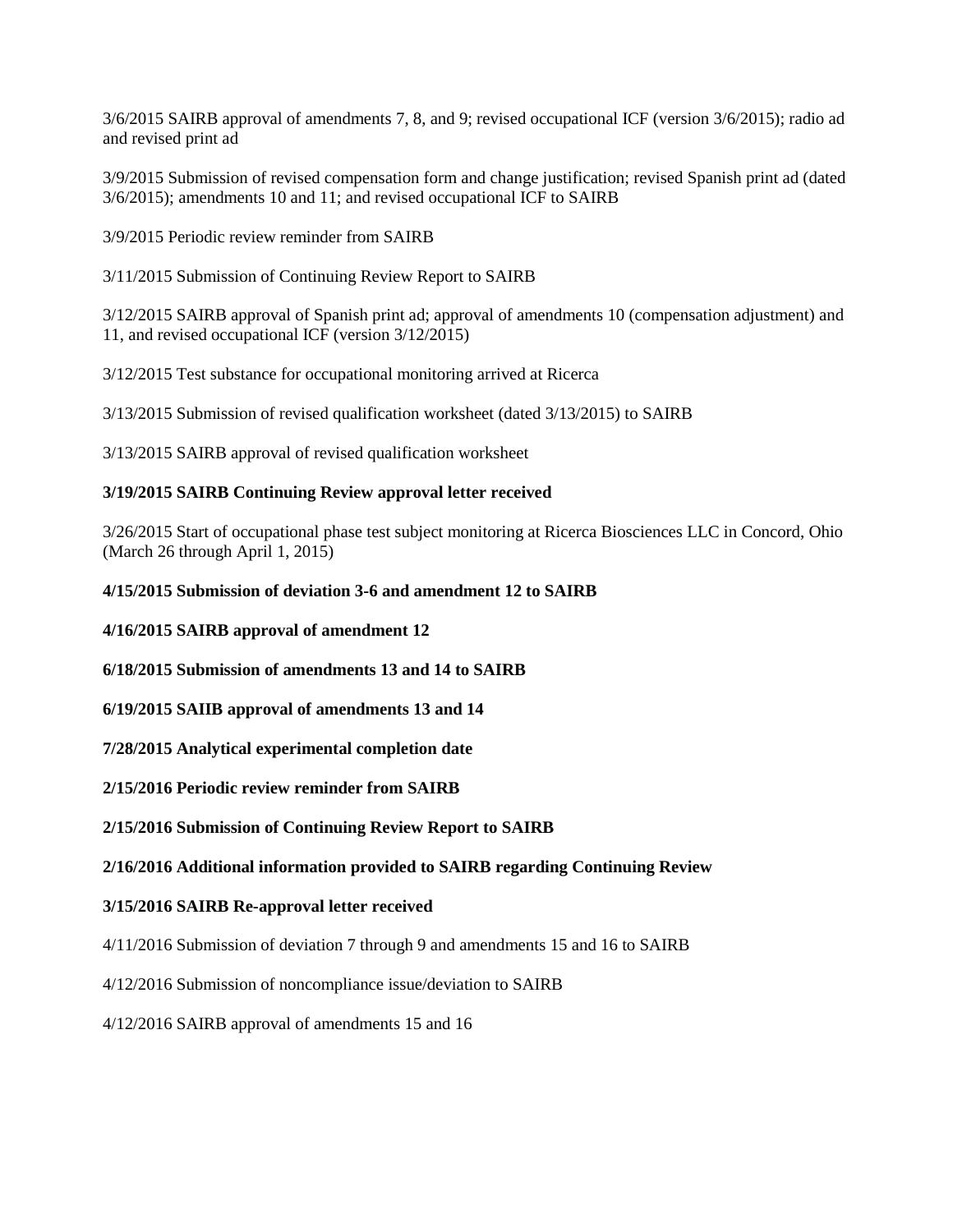3/6/2015 SAIRB approval of amendments 7, 8, and 9; revised occupational ICF (version 3/6/2015); radio ad and revised print ad

3/9/2015 Submission of revised compensation form and change justification; revised Spanish print ad (dated 3/6/2015); amendments 10 and 11; and revised occupational ICF to SAIRB

3/9/2015 Periodic review reminder from SAIRB

3/11/2015 Submission of Continuing Review Report to SAIRB

3/12/2015 SAIRB approval of Spanish print ad; approval of amendments 10 (compensation adjustment) and 11, and revised occupational ICF (version 3/12/2015)

3/12/2015 Test substance for occupational monitoring arrived at Ricerca

3/13/2015 Submission of revised qualification worksheet (dated 3/13/2015) to SAIRB

3/13/2015 SAIRB approval of revised qualification worksheet

#### **3/19/2015 SAIRB Continuing Review approval letter received**

3/26/2015 Start of occupational phase test subject monitoring at Ricerca Biosciences LLC in Concord, Ohio (March 26 through April 1, 2015)

#### **4/15/2015 Submission of deviation 3-6 and amendment 12 to SAIRB**

**4/16/2015 SAIRB approval of amendment 12**

**6/18/2015 Submission of amendments 13 and 14 to SAIRB**

**6/19/2015 SAIIB approval of amendments 13 and 14**

**7/28/2015 Analytical experimental completion date**

**2/15/2016 Periodic review reminder from SAIRB**

**2/15/2016 Submission of Continuing Review Report to SAIRB**

#### **2/16/2016 Additional information provided to SAIRB regarding Continuing Review**

#### **3/15/2016 SAIRB Re-approval letter received**

4/11/2016 Submission of deviation 7 through 9 and amendments 15 and 16 to SAIRB

4/12/2016 Submission of noncompliance issue/deviation to SAIRB

4/12/2016 SAIRB approval of amendments 15 and 16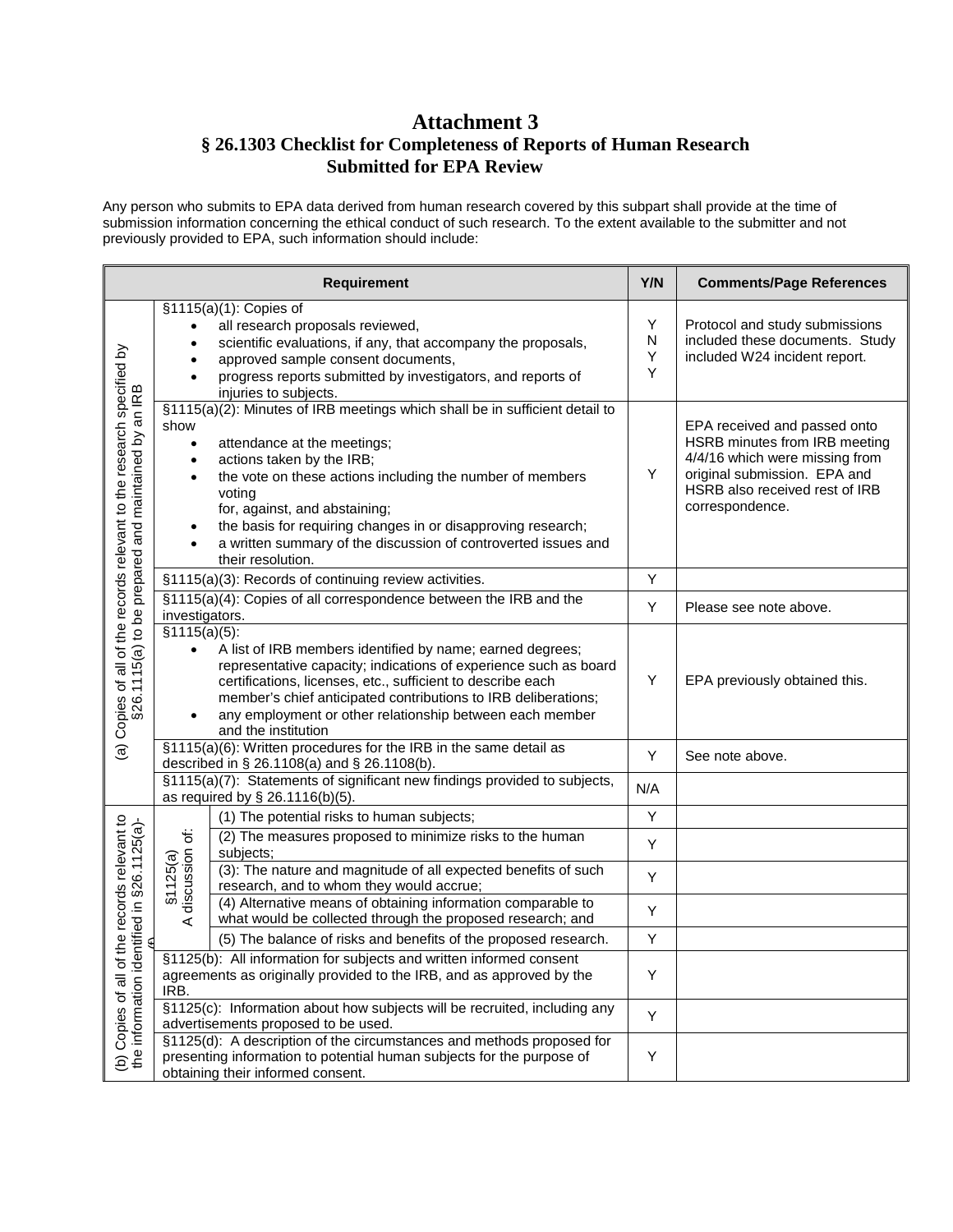## **Attachment 3 § 26.1303 Checklist for Completeness of Reports of Human Research Submitted for EPA Review**

Any person who submits to EPA data derived from human research covered by this subpart shall provide at the time of submission information concerning the ethical conduct of such research. To the extent available to the submitter and not previously provided to EPA, such information should include:

|                                                                                                                               |                                                                                                                                                     | <b>Requirement</b>                                                                                                                                                                                                                                                                                                                                                                                     | Y/N              | <b>Comments/Page References</b>                                                                                                                                                      |
|-------------------------------------------------------------------------------------------------------------------------------|-----------------------------------------------------------------------------------------------------------------------------------------------------|--------------------------------------------------------------------------------------------------------------------------------------------------------------------------------------------------------------------------------------------------------------------------------------------------------------------------------------------------------------------------------------------------------|------------------|--------------------------------------------------------------------------------------------------------------------------------------------------------------------------------------|
| (a) Copies of all of the records relevant to the research specified by<br>§26.1115(a) to be prepared and maintained by an IRB |                                                                                                                                                     | §1115(a)(1): Copies of<br>all research proposals reviewed,<br>scientific evaluations, if any, that accompany the proposals,<br>approved sample consent documents,<br>progress reports submitted by investigators, and reports of<br>injuries to subjects.                                                                                                                                              | Y<br>N<br>Υ<br>Y | Protocol and study submissions<br>included these documents. Study<br>included W24 incident report.                                                                                   |
|                                                                                                                               | show<br>$\bullet$<br>٠                                                                                                                              | §1115(a)(2): Minutes of IRB meetings which shall be in sufficient detail to<br>attendance at the meetings;<br>actions taken by the IRB;<br>the vote on these actions including the number of members<br>voting<br>for, against, and abstaining;<br>the basis for requiring changes in or disapproving research;<br>a written summary of the discussion of controverted issues and<br>their resolution. | Y                | EPA received and passed onto<br>HSRB minutes from IRB meeting<br>4/4/16 which were missing from<br>original submission. EPA and<br>HSRB also received rest of IRB<br>correspondence. |
|                                                                                                                               |                                                                                                                                                     | §1115(a)(3): Records of continuing review activities.                                                                                                                                                                                                                                                                                                                                                  | Y                |                                                                                                                                                                                      |
|                                                                                                                               | investigators.                                                                                                                                      | §1115(a)(4): Copies of all correspondence between the IRB and the                                                                                                                                                                                                                                                                                                                                      | Υ                | Please see note above.                                                                                                                                                               |
|                                                                                                                               | $\sqrt{(51115(a)(5))}$<br>$\bullet$<br>$\bullet$                                                                                                    | A list of IRB members identified by name; earned degrees;<br>representative capacity; indications of experience such as board<br>certifications, licenses, etc., sufficient to describe each<br>member's chief anticipated contributions to IRB deliberations;<br>any employment or other relationship between each member<br>and the institution                                                      | Y                | EPA previously obtained this.                                                                                                                                                        |
|                                                                                                                               |                                                                                                                                                     | §1115(a)(6): Written procedures for the IRB in the same detail as<br>described in § 26.1108(a) and § 26.1108(b).                                                                                                                                                                                                                                                                                       | Y                | See note above.                                                                                                                                                                      |
|                                                                                                                               |                                                                                                                                                     | §1115(a)(7): Statements of significant new findings provided to subjects,<br>as required by § 26.1116(b)(5).                                                                                                                                                                                                                                                                                           | N/A              |                                                                                                                                                                                      |
|                                                                                                                               |                                                                                                                                                     | (1) The potential risks to human subjects;                                                                                                                                                                                                                                                                                                                                                             | Υ                |                                                                                                                                                                                      |
|                                                                                                                               | §1125(a)<br>discussion of:                                                                                                                          | (2) The measures proposed to minimize risks to the human<br>subjects;                                                                                                                                                                                                                                                                                                                                  | Υ                |                                                                                                                                                                                      |
| (b) Copies of all of the records relevant to<br>the information identified in §26.1125(a)-<br>entified in §26.1125(a)-        |                                                                                                                                                     | (3): The nature and magnitude of all expected benefits of such<br>research, and to whom they would accrue;                                                                                                                                                                                                                                                                                             | Υ                |                                                                                                                                                                                      |
|                                                                                                                               | ⋖                                                                                                                                                   | (4) Alternative means of obtaining information comparable to<br>what would be collected through the proposed research; and                                                                                                                                                                                                                                                                             | Υ                |                                                                                                                                                                                      |
|                                                                                                                               |                                                                                                                                                     | (5) The balance of risks and benefits of the proposed research.                                                                                                                                                                                                                                                                                                                                        | Υ                |                                                                                                                                                                                      |
|                                                                                                                               | §1125(b): All information for subjects and written informed consent<br>agreements as originally provided to the IRB, and as approved by the<br>IRB. |                                                                                                                                                                                                                                                                                                                                                                                                        | Υ                |                                                                                                                                                                                      |
|                                                                                                                               | §1125(c): Information about how subjects will be recruited, including any<br>advertisements proposed to be used.                                    |                                                                                                                                                                                                                                                                                                                                                                                                        | Y                |                                                                                                                                                                                      |
|                                                                                                                               |                                                                                                                                                     | §1125(d): A description of the circumstances and methods proposed for<br>presenting information to potential human subjects for the purpose of<br>obtaining their informed consent.                                                                                                                                                                                                                    | Υ                |                                                                                                                                                                                      |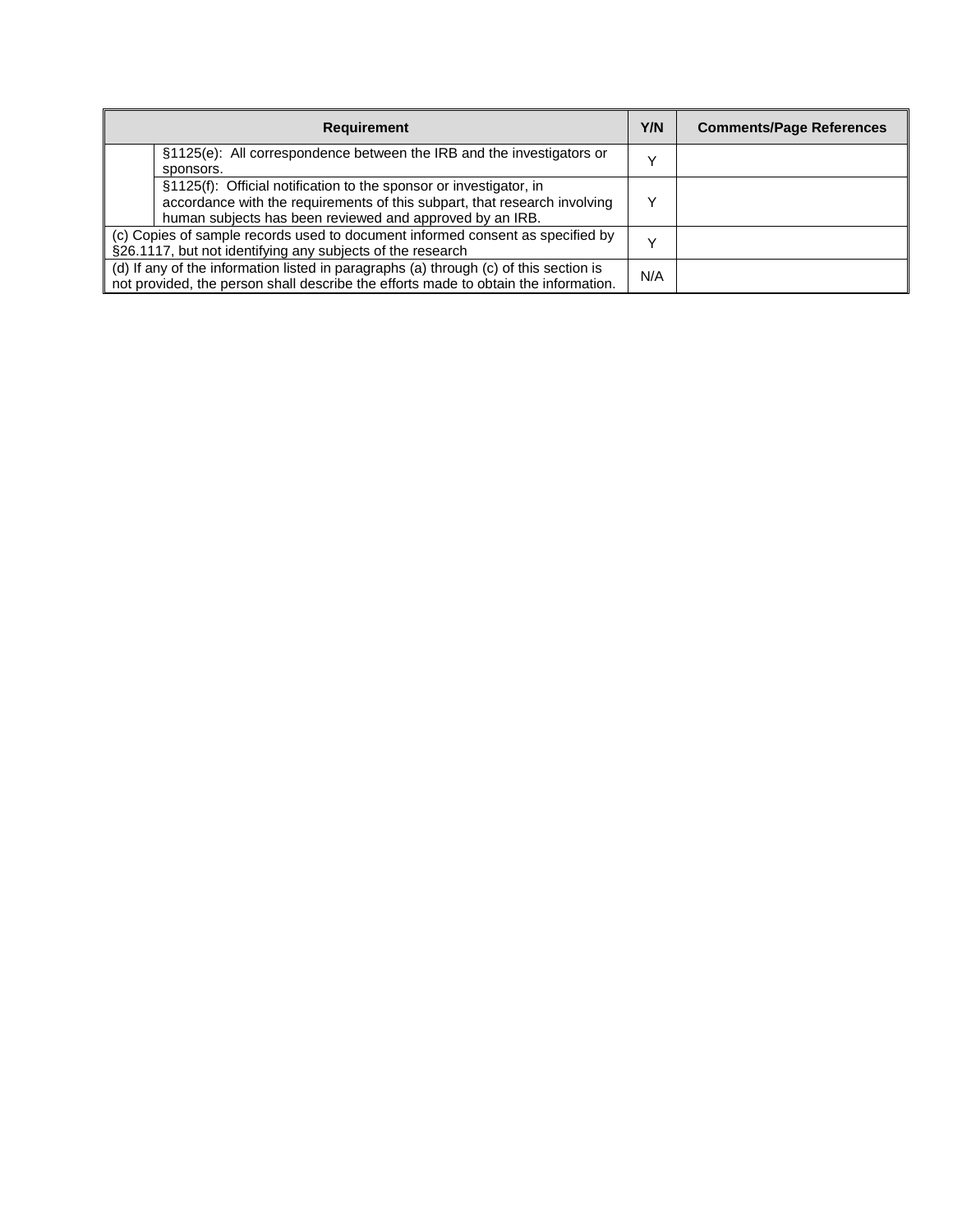| <b>Requirement</b>                                                                                                                                                                                          | Y/N | <b>Comments/Page References</b> |
|-------------------------------------------------------------------------------------------------------------------------------------------------------------------------------------------------------------|-----|---------------------------------|
| §1125(e): All correspondence between the IRB and the investigators or<br>sponsors.                                                                                                                          |     |                                 |
| §1125(f): Official notification to the sponsor or investigator, in<br>accordance with the requirements of this subpart, that research involving<br>human subjects has been reviewed and approved by an IRB. |     |                                 |
| (c) Copies of sample records used to document informed consent as specified by<br>§26.1117, but not identifying any subjects of the research                                                                |     |                                 |
| (d) If any of the information listed in paragraphs (a) through (c) of this section is<br>not provided, the person shall describe the efforts made to obtain the information.                                |     |                                 |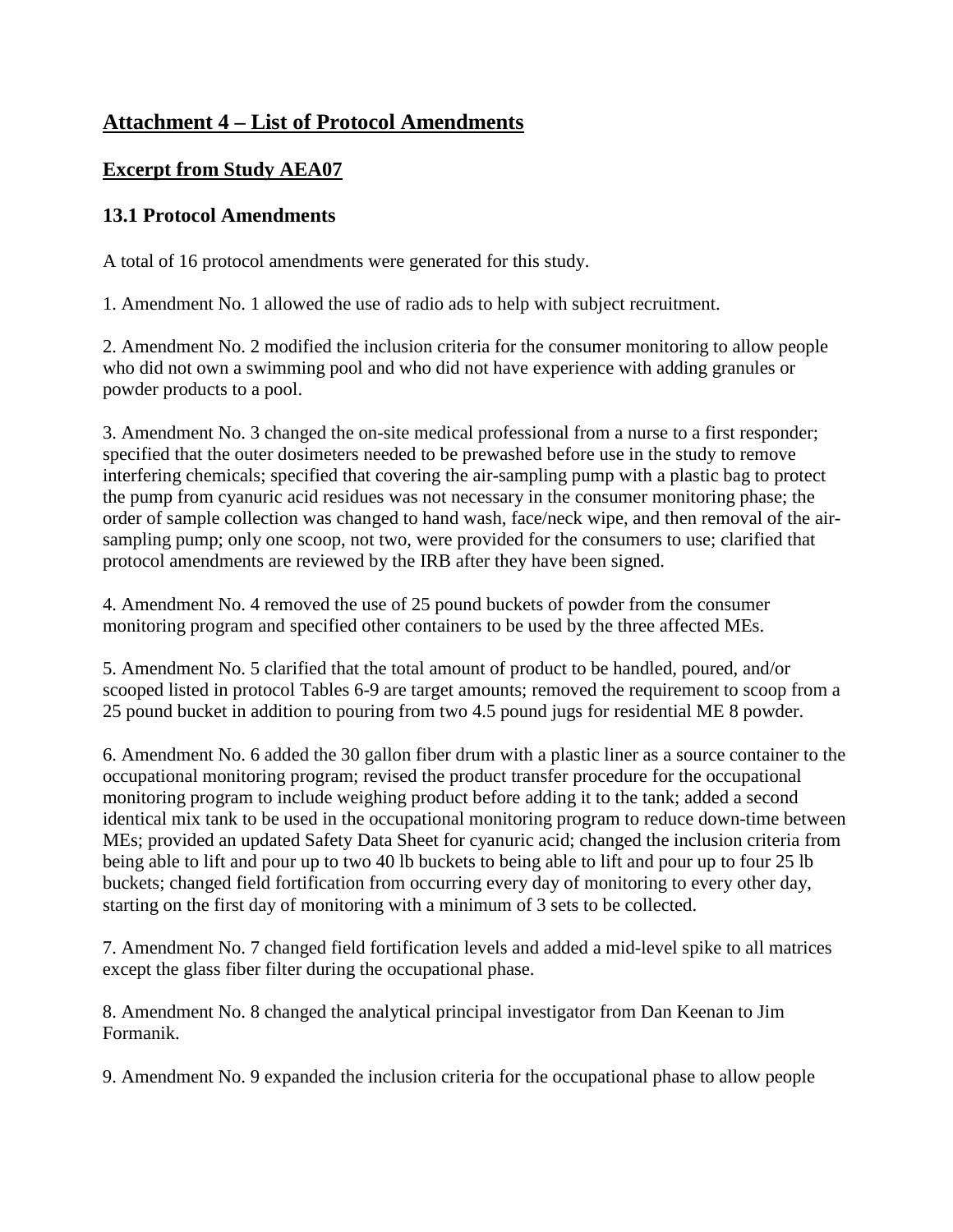# **Attachment 4 – List of Protocol Amendments**

## **Excerpt from Study AEA07**

## **13.1 Protocol Amendments**

A total of 16 protocol amendments were generated for this study.

1. Amendment No. 1 allowed the use of radio ads to help with subject recruitment.

2. Amendment No. 2 modified the inclusion criteria for the consumer monitoring to allow people who did not own a swimming pool and who did not have experience with adding granules or powder products to a pool.

3. Amendment No. 3 changed the on-site medical professional from a nurse to a first responder; specified that the outer dosimeters needed to be prewashed before use in the study to remove interfering chemicals; specified that covering the air-sampling pump with a plastic bag to protect the pump from cyanuric acid residues was not necessary in the consumer monitoring phase; the order of sample collection was changed to hand wash, face/neck wipe, and then removal of the airsampling pump; only one scoop, not two, were provided for the consumers to use; clarified that protocol amendments are reviewed by the IRB after they have been signed.

4. Amendment No. 4 removed the use of 25 pound buckets of powder from the consumer monitoring program and specified other containers to be used by the three affected MEs.

5. Amendment No. 5 clarified that the total amount of product to be handled, poured, and/or scooped listed in protocol Tables 6-9 are target amounts; removed the requirement to scoop from a 25 pound bucket in addition to pouring from two 4.5 pound jugs for residential ME 8 powder.

6. Amendment No. 6 added the 30 gallon fiber drum with a plastic liner as a source container to the occupational monitoring program; revised the product transfer procedure for the occupational monitoring program to include weighing product before adding it to the tank; added a second identical mix tank to be used in the occupational monitoring program to reduce down-time between MEs; provided an updated Safety Data Sheet for cyanuric acid; changed the inclusion criteria from being able to lift and pour up to two 40 lb buckets to being able to lift and pour up to four 25 lb buckets; changed field fortification from occurring every day of monitoring to every other day, starting on the first day of monitoring with a minimum of 3 sets to be collected.

7. Amendment No. 7 changed field fortification levels and added a mid-level spike to all matrices except the glass fiber filter during the occupational phase.

8. Amendment No. 8 changed the analytical principal investigator from Dan Keenan to Jim Formanik.

9. Amendment No. 9 expanded the inclusion criteria for the occupational phase to allow people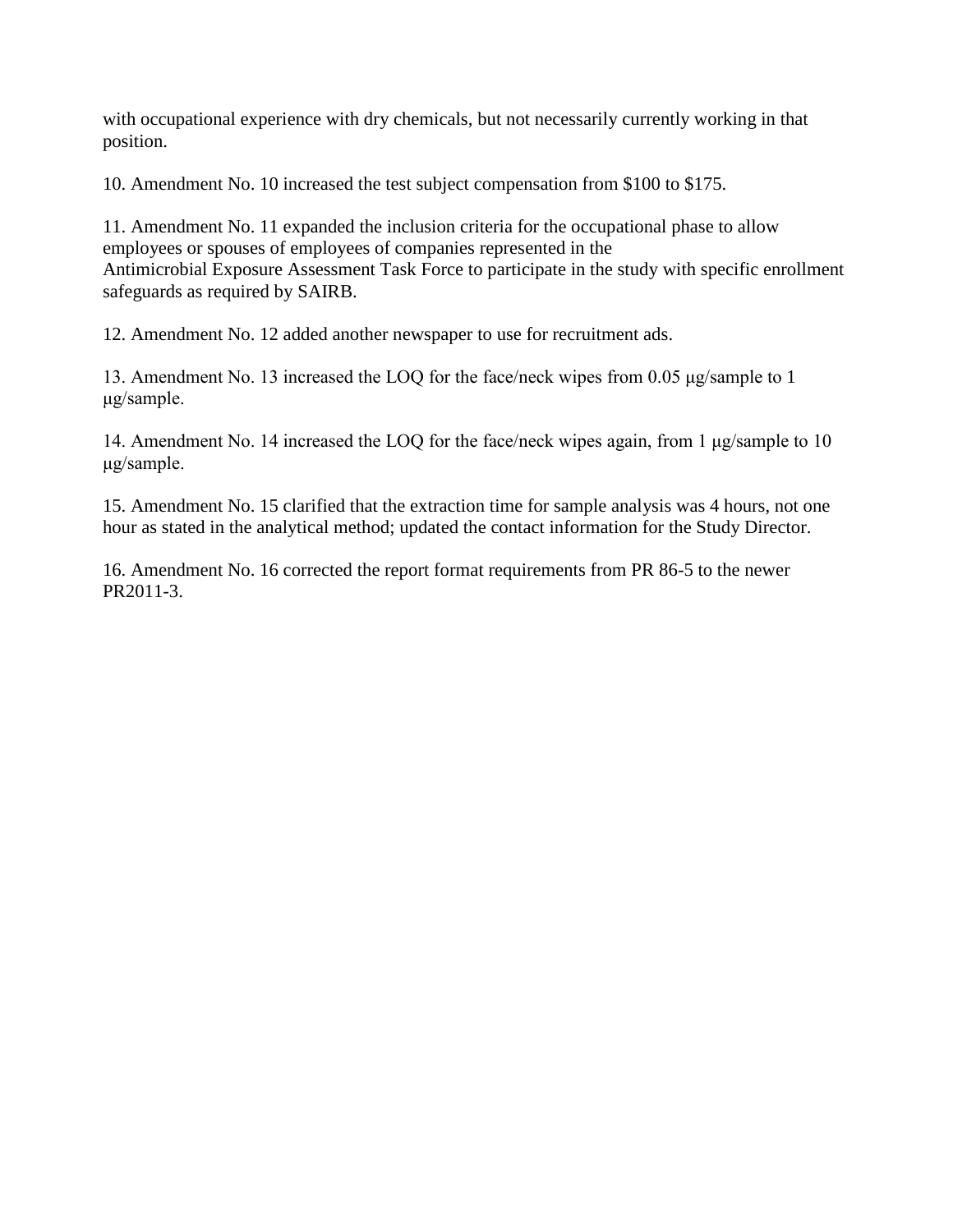with occupational experience with dry chemicals, but not necessarily currently working in that position.

10. Amendment No. 10 increased the test subject compensation from \$100 to \$175.

11. Amendment No. 11 expanded the inclusion criteria for the occupational phase to allow employees or spouses of employees of companies represented in the Antimicrobial Exposure Assessment Task Force to participate in the study with specific enrollment safeguards as required by SAIRB.

12. Amendment No. 12 added another newspaper to use for recruitment ads.

13. Amendment No. 13 increased the LOQ for the face/neck wipes from 0.05 μg/sample to 1 μg/sample.

14. Amendment No. 14 increased the LOQ for the face/neck wipes again, from 1 μg/sample to 10 μg/sample.

15. Amendment No. 15 clarified that the extraction time for sample analysis was 4 hours, not one hour as stated in the analytical method; updated the contact information for the Study Director.

16. Amendment No. 16 corrected the report format requirements from PR 86-5 to the newer PR2011-3.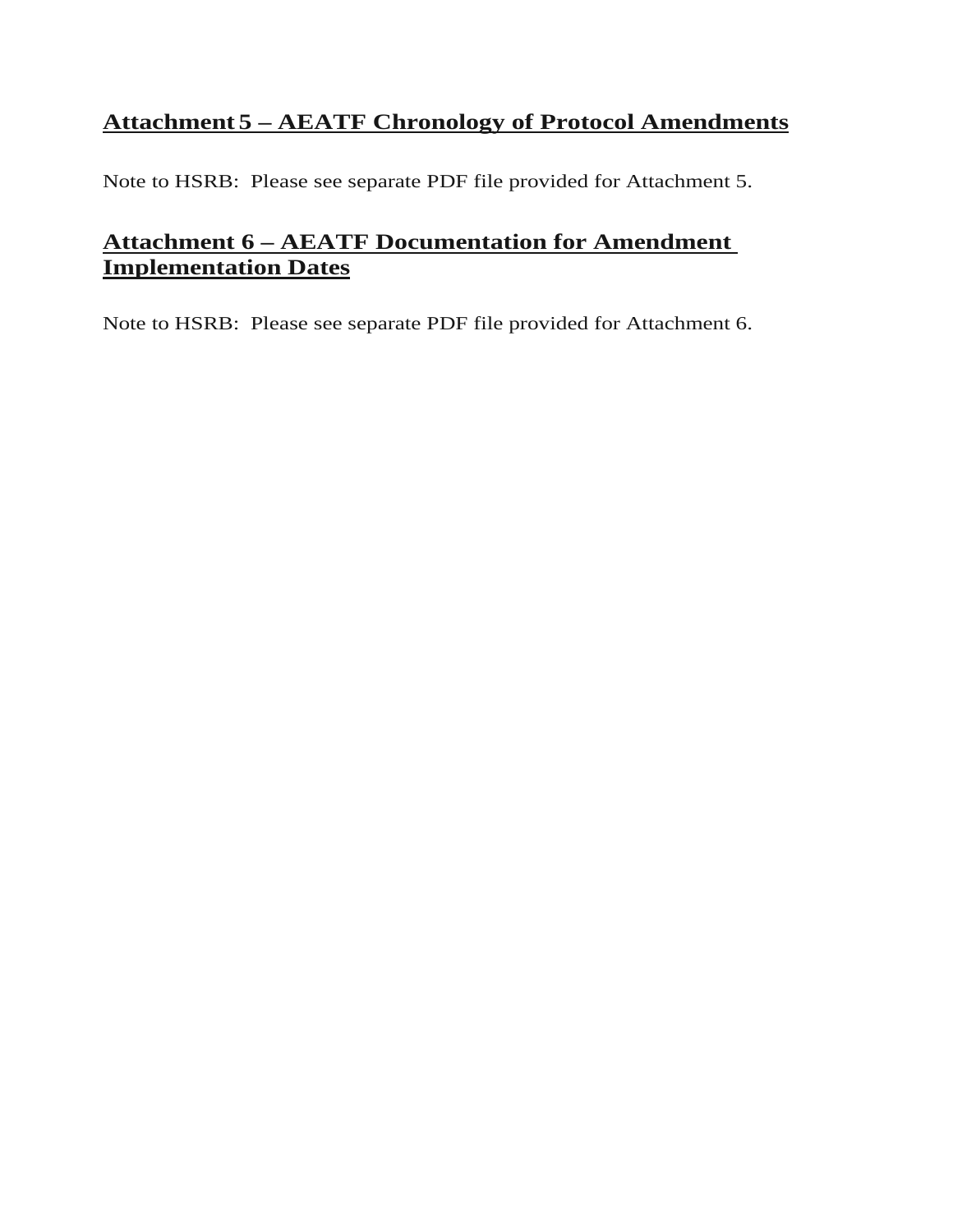# **Attachment 5 – AEATF Chronology of Protocol Amendments**

Note to HSRB: Please see separate PDF file provided for Attachment 5.

# **Attachment 6 – AEATF Documentation for Amendment Implementation Dates**

Note to HSRB: Please see separate PDF file provided for Attachment 6.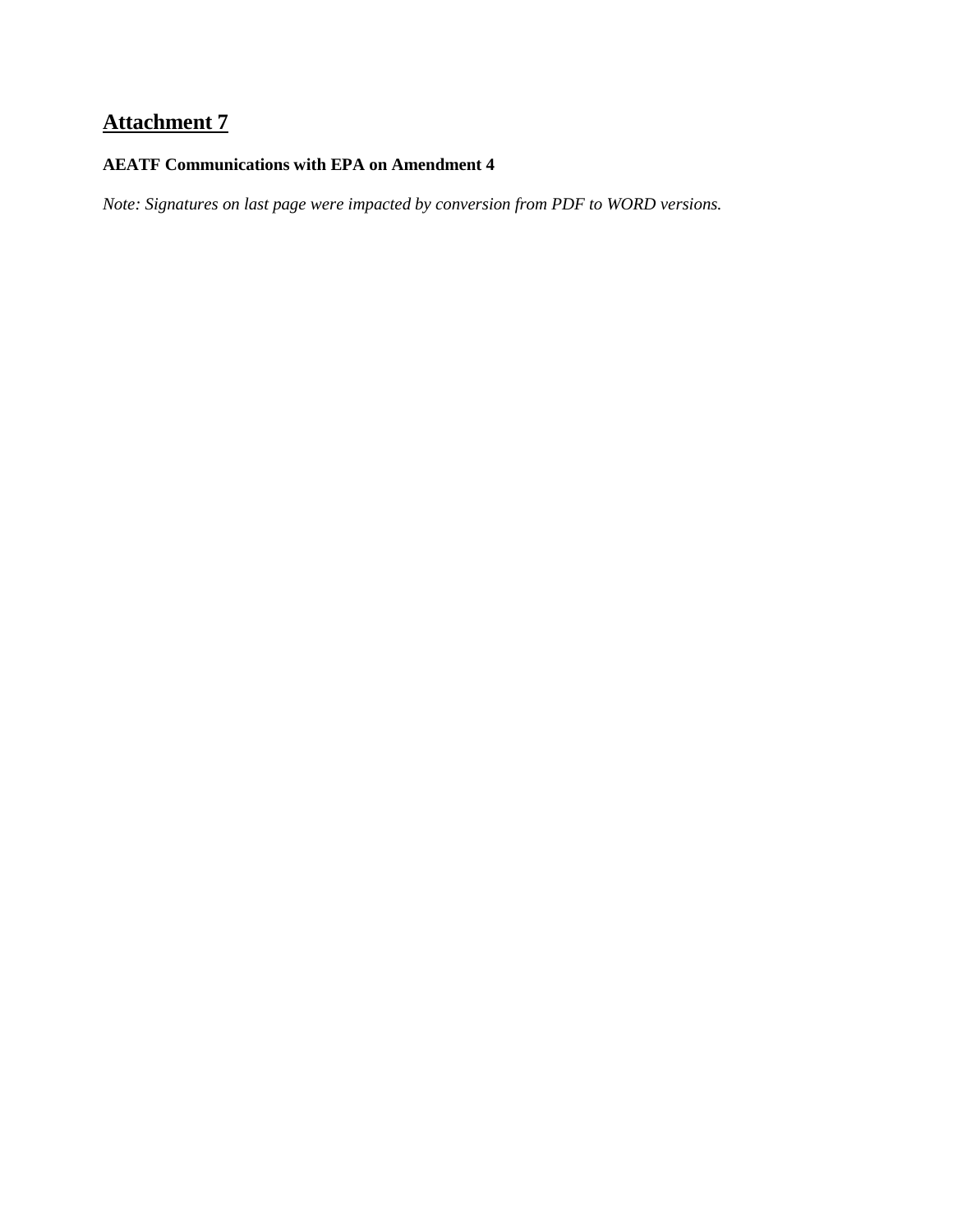# **Attachment 7**

#### **AEATF Communications with EPA on Amendment 4**

*Note: Signatures on last page were impacted by conversion from PDF to WORD versions.*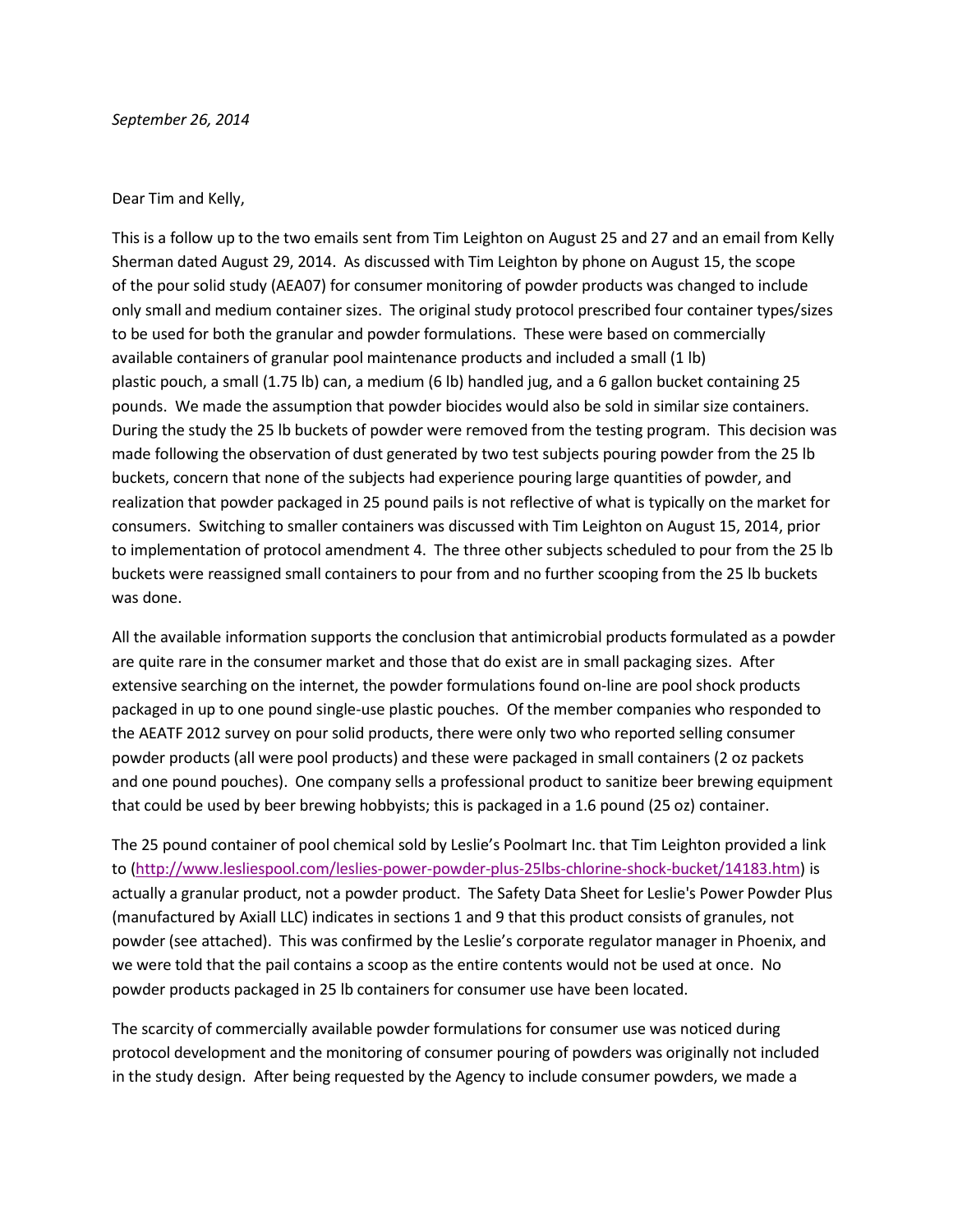#### Dear Tim and Kelly,

This is a follow up to the two emails sent from Tim Leighton on August 25 and 27 and an email from Kelly Sherman dated August 29, 2014. As discussed with Tim Leighton by phone on August 15, the scope of the pour solid study (AEA07) for consumer monitoring of powder products was changed to include only small and medium container sizes. The original study protocol prescribed four container types/sizes to be used for both the granular and powder formulations. These were based on commercially available containers of granular pool maintenance products and included a small (1 lb) plastic pouch, a small (1.75 lb) can, a medium (6 lb) handled jug, and a 6 gallon bucket containing 25 pounds. We made the assumption that powder biocides would also be sold in similar size containers. During the study the 25 lb buckets of powder were removed from the testing program. This decision was made following the observation of dust generated by two test subjects pouring powder from the 25 lb buckets, concern that none of the subjects had experience pouring large quantities of powder, and realization that powder packaged in 25 pound pails is not reflective of what is typically on the market for consumers. Switching to smaller containers was discussed with Tim Leighton on August 15, 2014, prior to implementation of protocol amendment 4. The three other subjects scheduled to pour from the 25 lb buckets were reassigned small containers to pour from and no further scooping from the 25 lb buckets was done.

All the available information supports the conclusion that antimicrobial products formulated as a powder are quite rare in the consumer market and those that do exist are in small packaging sizes. After extensive searching on the internet, the powder formulations found on-line are pool shock products packaged in up to one pound single-use plastic pouches. Of the member companies who responded to the AEATF 2012 survey on pour solid products, there were only two who reported selling consumer powder products (all were pool products) and these were packaged in small containers (2 oz packets and one pound pouches). One company sells a professional product to sanitize beer brewing equipment that could be used by beer brewing hobbyists; this is packaged in a 1.6 pound (25 oz) container.

The 25 pound container of pool chemical sold by Leslie's Poolmart Inc. that Tim Leighton provided a link to [\(http://www.lesliespool.com/leslies-power-powder-plus-25lbs-chlorine-shock-bucket/14183.htm\)](http://www.lesliespool.com/leslies-power-powder-plus-25lbs-chlorine-shock-bucket/14183.htm)) is actually a granular product, not a powder product. The Safety Data Sheet for Leslie's Power Powder Plus (manufactured by Axiall LLC) indicates in sections 1 and 9 that this product consists of granules, not powder (see attached). This was confirmed by the Leslie's corporate regulator manager in Phoenix, and we were told that the pail contains a scoop as the entire contents would not be used at once. No powder products packaged in 25 lb containers for consumer use have been located.

The scarcity of commercially available powder formulations for consumer use was noticed during protocol development and the monitoring of consumer pouring of powders was originally not included in the study design. After being requested by the Agency to include consumer powders, we made a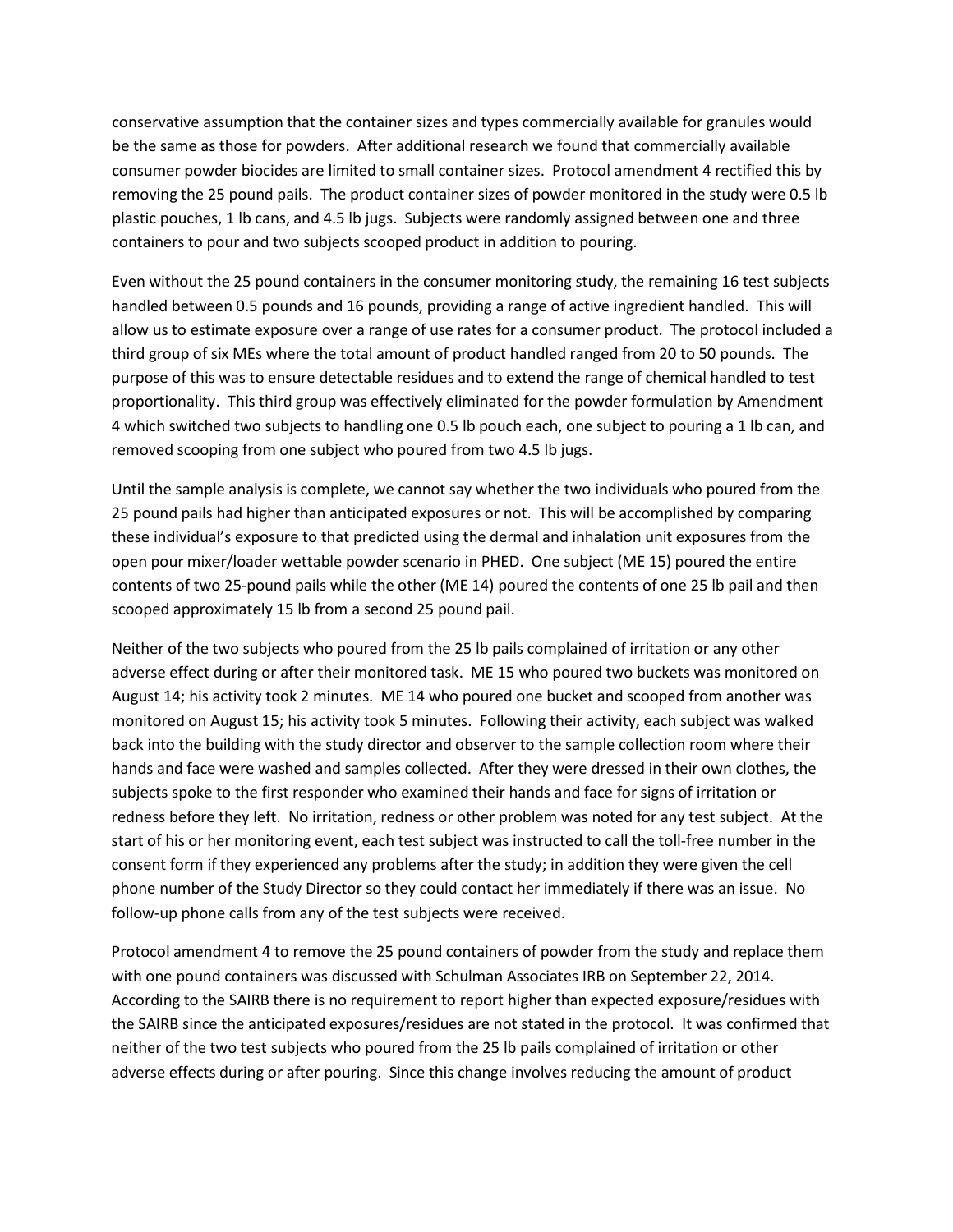conservative assumption that the container sizes and types commercially available for granules would be the same as those for powders. After additional research we found that commercially available consumer powder biocides are limited to small container sizes. Protocol amendment 4 rectified this by removing the 25 pound pails. The product container sizes of powder monitored in the study were 0.5 lb plastic pouches, 1 lb cans, and 4.5 lb jugs. Subjects were randomly assigned between one and three containers to pour and two subjects scooped product in addition to pouring.

Even without the 25 pound containers in the consumer monitoring study, the remaining 16 test subjects handled between 0.5 pounds and 16 pounds, providing a range of active ingredient handled. This will allow us to estimate exposure over a range of use rates for a consumer product. The protocol included a third group of six MEs where the total amount of product handled ranged from 20 to 50 pounds. The purpose of this was to ensure detectable residues and to extend the range of chemical handled to test proportionality. This third group was effectively eliminated for the powder formulation by Amendment 4 which switched two subjects to handling one 0.5 lb pouch each, one subject to pouring a 1 lb can, and removed scooping from one subject who poured from two 4.5 lb jugs.

Until the sample analysis is complete, we cannot say whether the two individuals who poured from the 25 pound pails had higher than anticipated exposures or not. This will be accomplished by comparing these individual's exposure to that predicted using the dermal and inhalation unit exposures from the open pour mixer/loader wettable powder scenario in PHED. One subject (ME 15) poured the entire contents of two 25-pound pails while the other (ME 14) poured the contents of one 25 lb pail and then scooped approximately 15 lb from a second 25 pound pail.

Neither of the two subjects who poured from the 25 lb pails complained of irritation or any other adverse effect during or after their monitored task. ME 15 who poured two buckets was monitored on August 14; his activity took 2 minutes. ME 14 who poured one bucket and scooped from another was monitored on August 15; his activity took 5 minutes. Following their activity, each subject was walked back into the building with the study director and observer to the sample collection room where their hands and face were washed and samples collected. After they were dressed in their own clothes, the subjects spoke to the first responder who examined their hands and face for signs of irritation or redness before they left. No irritation, redness or other problem was noted for any test subject. At the start of his or her monitoring event, each test subject was instructed to call the toll-free number in the consent form if they experienced any problems after the study; in addition they were given the cell phone number of the Study Director so they could contact her immediately if there was an issue. No follow-up phone calls from any of the test subjects were received.

Protocol amendment 4 to remove the 25 pound containers of powder from the study and replace them with one pound containers was discussed with Schulman Associates IRB on September 22, 2014. According to the SAIRB there is no requirement to report higher than expected exposure/residues with the SAIRB since the anticipated exposures/residues are not stated in the protocol. It was confirmed that neither of the two test subjects who poured from the 25 lb pails complained of irritation or other adverse effects during or after pouring. Since this change involves reducing the amount of product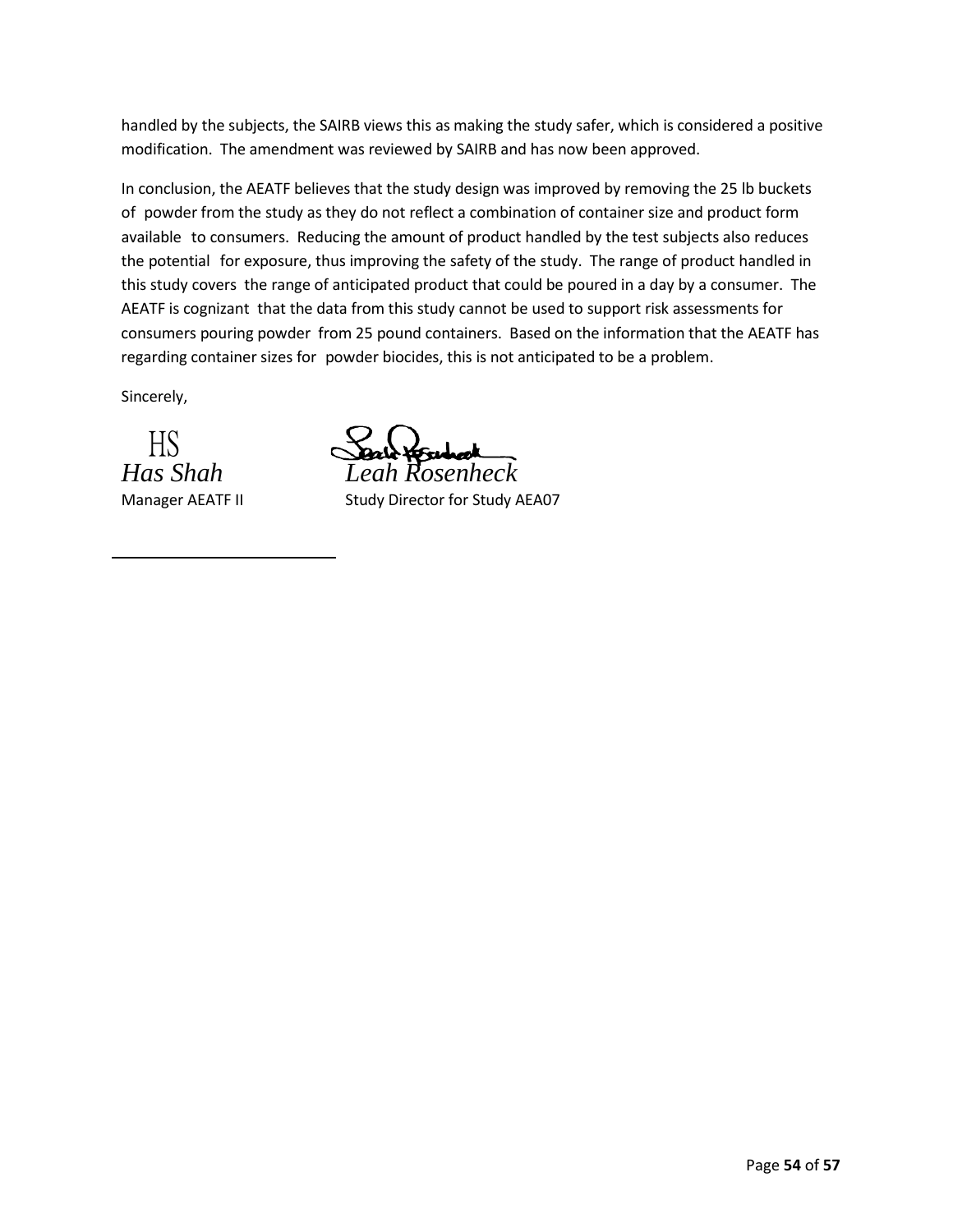handled by the subjects, the SAIRB views this as making the study safer, which is considered a positive modification. The amendment was reviewed by SAIRB and has now been approved.

In conclusion, the AEATF believes that the study design was improved by removing the 25 lb buckets of powder from the study as they do not reflect a combination of container size and product form available to consumers. Reducing the amount of product handled by the test subjects also reduces the potential for exposure, thus improving the safety of the study. The range of product handled in this study covers the range of anticipated product that could be poured in a day by a consumer. The AEATF is cognizant that the data from this study cannot be used to support risk assessments for consumers pouring powder from 25 pound containers. Based on the information that the AEATF has regarding container sizes for powder biocides, this is not anticipated to be a problem.

Sincerely,

HS

*Has Shah Leah Rosenheck*

Manager AEATF II Study Director for Study AEA07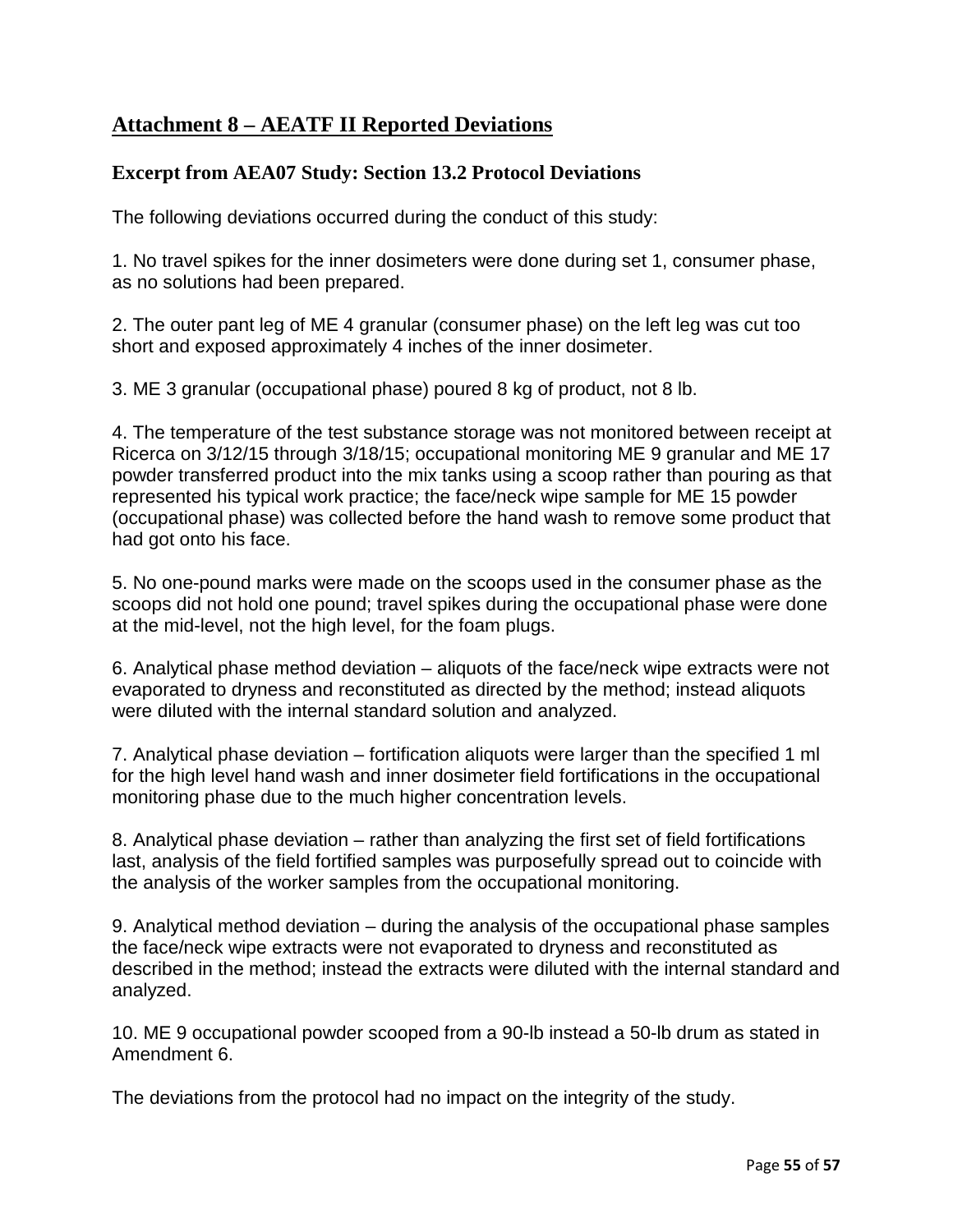## **Attachment 8 – AEATF II Reported Deviations**

### **Excerpt from AEA07 Study: Section 13.2 Protocol Deviations**

The following deviations occurred during the conduct of this study:

1. No travel spikes for the inner dosimeters were done during set 1, consumer phase, as no solutions had been prepared.

2. The outer pant leg of ME 4 granular (consumer phase) on the left leg was cut too short and exposed approximately 4 inches of the inner dosimeter.

3. ME 3 granular (occupational phase) poured 8 kg of product, not 8 lb.

4. The temperature of the test substance storage was not monitored between receipt at Ricerca on 3/12/15 through 3/18/15; occupational monitoring ME 9 granular and ME 17 powder transferred product into the mix tanks using a scoop rather than pouring as that represented his typical work practice; the face/neck wipe sample for ME 15 powder (occupational phase) was collected before the hand wash to remove some product that had got onto his face.

5. No one-pound marks were made on the scoops used in the consumer phase as the scoops did not hold one pound; travel spikes during the occupational phase were done at the mid-level, not the high level, for the foam plugs.

6. Analytical phase method deviation – aliquots of the face/neck wipe extracts were not evaporated to dryness and reconstituted as directed by the method; instead aliquots were diluted with the internal standard solution and analyzed.

7. Analytical phase deviation – fortification aliquots were larger than the specified 1 ml for the high level hand wash and inner dosimeter field fortifications in the occupational monitoring phase due to the much higher concentration levels.

8. Analytical phase deviation – rather than analyzing the first set of field fortifications last, analysis of the field fortified samples was purposefully spread out to coincide with the analysis of the worker samples from the occupational monitoring.

9. Analytical method deviation – during the analysis of the occupational phase samples the face/neck wipe extracts were not evaporated to dryness and reconstituted as described in the method; instead the extracts were diluted with the internal standard and analyzed.

10. ME 9 occupational powder scooped from a 90-lb instead a 50-lb drum as stated in Amendment 6.

The deviations from the protocol had no impact on the integrity of the study.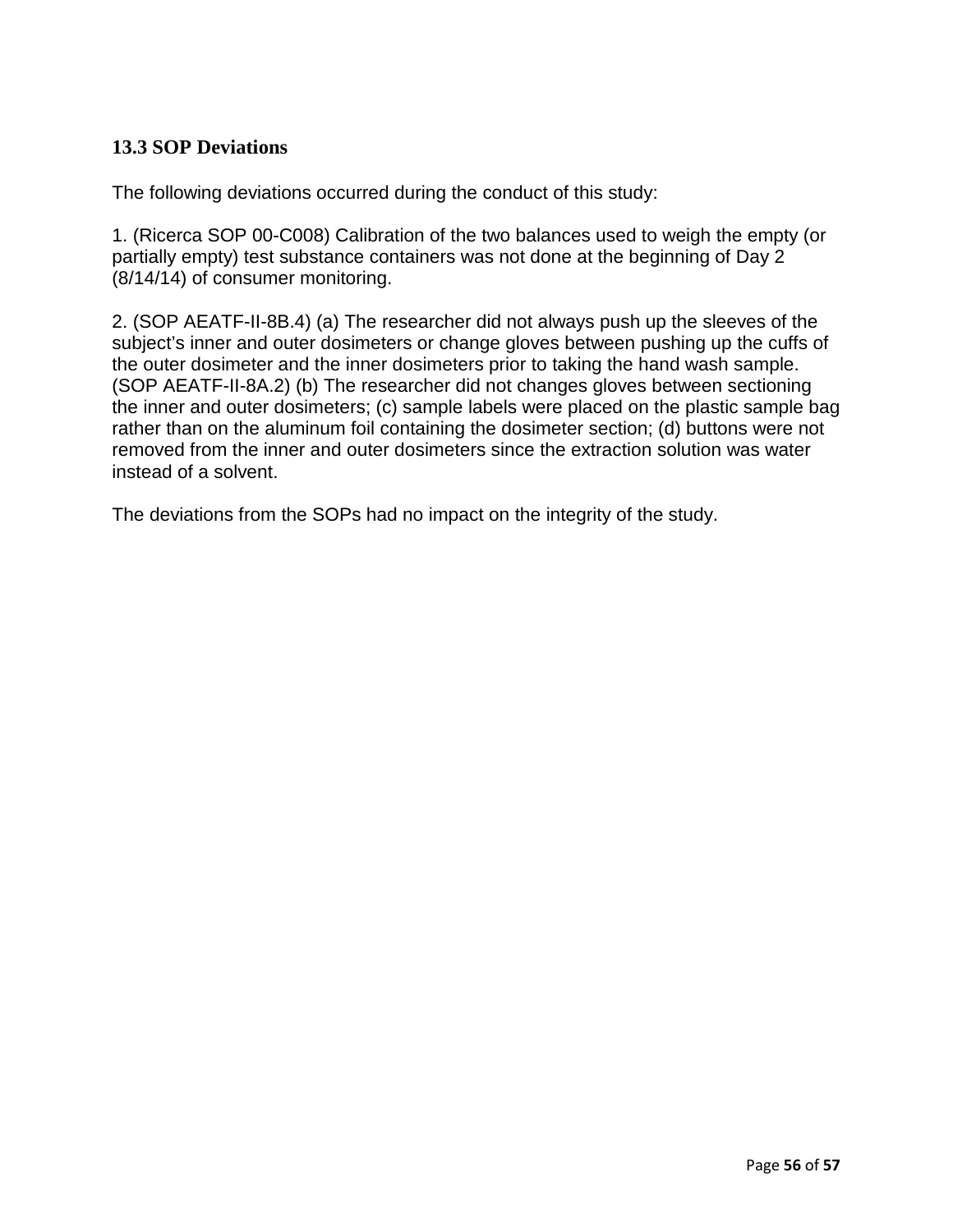## **13.3 SOP Deviations**

The following deviations occurred during the conduct of this study:

1. (Ricerca SOP 00-C008) Calibration of the two balances used to weigh the empty (or partially empty) test substance containers was not done at the beginning of Day 2 (8/14/14) of consumer monitoring.

2. (SOP AEATF-II-8B.4) (a) The researcher did not always push up the sleeves of the subject's inner and outer dosimeters or change gloves between pushing up the cuffs of the outer dosimeter and the inner dosimeters prior to taking the hand wash sample. (SOP AEATF-II-8A.2) (b) The researcher did not changes gloves between sectioning the inner and outer dosimeters; (c) sample labels were placed on the plastic sample bag rather than on the aluminum foil containing the dosimeter section; (d) buttons were not removed from the inner and outer dosimeters since the extraction solution was water instead of a solvent.

The deviations from the SOPs had no impact on the integrity of the study.